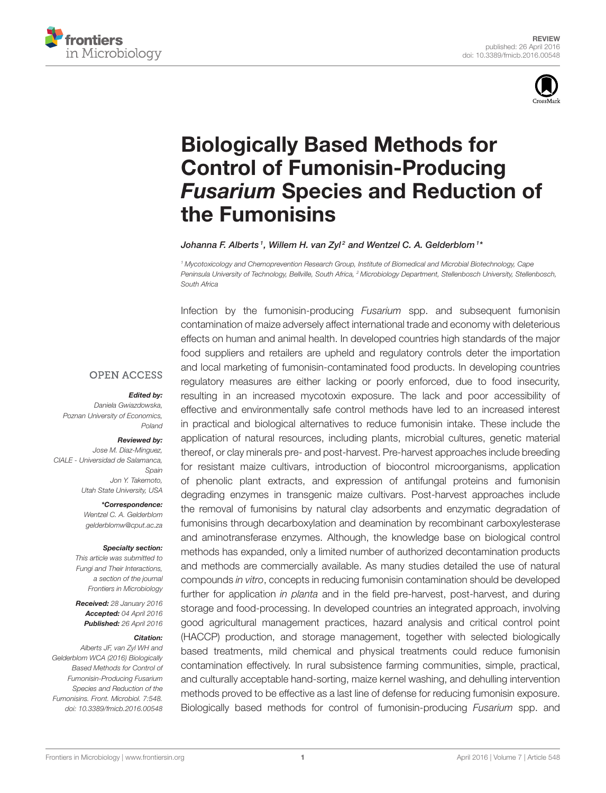



# Biologically Based Methods for [Control of Fumonisin-Producing](http://journal.frontiersin.org/article/10.3389/fmicb.2016.00548/abstract) Fusarium Species and Reduction of the Fumonisins

#### [Johanna F. Alberts](http://loop.frontiersin.org/people/312409/overview)1, [Willem H. van Zyl](http://loop.frontiersin.org/people/312932/overview) $^2$  and [Wentzel C. A. Gelderblom](http://loop.frontiersin.org/people/302718/overview) $^{1*}$

*<sup>1</sup> Mycotoxicology and Chemoprevention Research Group, Institute of Biomedical and Microbial Biotechnology, Cape Peninsula University of Technology, Bellville, South Africa, <sup>2</sup> Microbiology Department, Stellenbosch University, Stellenbosch, South Africa*

**OPEN ACCESS** 

#### Edited by:

*Daniela Gwiazdowska, Poznan University of Economics, Poland*

#### Reviewed by:

*Jose M. Diaz-Minguez, CIALE - Universidad de Salamanca, Spain Jon Y. Takemoto, Utah State University, USA*

\*Correspondence:

*Wentzel C. A. Gelderblom [gelderblomw@cput.ac.za](mailto:gelderblomw@cput.ac.za)*

#### Specialty section:

*This article was submitted to Fungi and Their Interactions, a section of the journal Frontiers in Microbiology*

Received: *28 January 2016* Accepted: *04 April 2016* Published: *26 April 2016*

#### Citation:

*Alberts JF, van Zyl WH and Gelderblom WCA (2016) Biologically Based Methods for Control of Fumonisin-Producing Fusarium Species and Reduction of the Fumonisins. Front. Microbiol. 7:548. doi: [10.3389/fmicb.2016.00548](http://dx.doi.org/10.3389/fmicb.2016.00548)* Infection by the fumonisin-producing *Fusarium* spp. and subsequent fumonisin contamination of maize adversely affect international trade and economy with deleterious effects on human and animal health. In developed countries high standards of the major food suppliers and retailers are upheld and regulatory controls deter the importation and local marketing of fumonisin-contaminated food products. In developing countries regulatory measures are either lacking or poorly enforced, due to food insecurity, resulting in an increased mycotoxin exposure. The lack and poor accessibility of effective and environmentally safe control methods have led to an increased interest in practical and biological alternatives to reduce fumonisin intake. These include the application of natural resources, including plants, microbial cultures, genetic material thereof, or clay minerals pre- and post-harvest. Pre-harvest approaches include breeding for resistant maize cultivars, introduction of biocontrol microorganisms, application of phenolic plant extracts, and expression of antifungal proteins and fumonisin degrading enzymes in transgenic maize cultivars. Post-harvest approaches include the removal of fumonisins by natural clay adsorbents and enzymatic degradation of fumonisins through decarboxylation and deamination by recombinant carboxylesterase and aminotransferase enzymes. Although, the knowledge base on biological control methods has expanded, only a limited number of authorized decontamination products and methods are commercially available. As many studies detailed the use of natural compounds *in vitro*, concepts in reducing fumonisin contamination should be developed further for application *in planta* and in the field pre-harvest, post-harvest, and during storage and food-processing. In developed countries an integrated approach, involving good agricultural management practices, hazard analysis and critical control point (HACCP) production, and storage management, together with selected biologically based treatments, mild chemical and physical treatments could reduce fumonisin contamination effectively. In rural subsistence farming communities, simple, practical, and culturally acceptable hand-sorting, maize kernel washing, and dehulling intervention methods proved to be effective as a last line of defense for reducing fumonisin exposure. Biologically based methods for control of fumonisin-producing *Fusarium* spp. and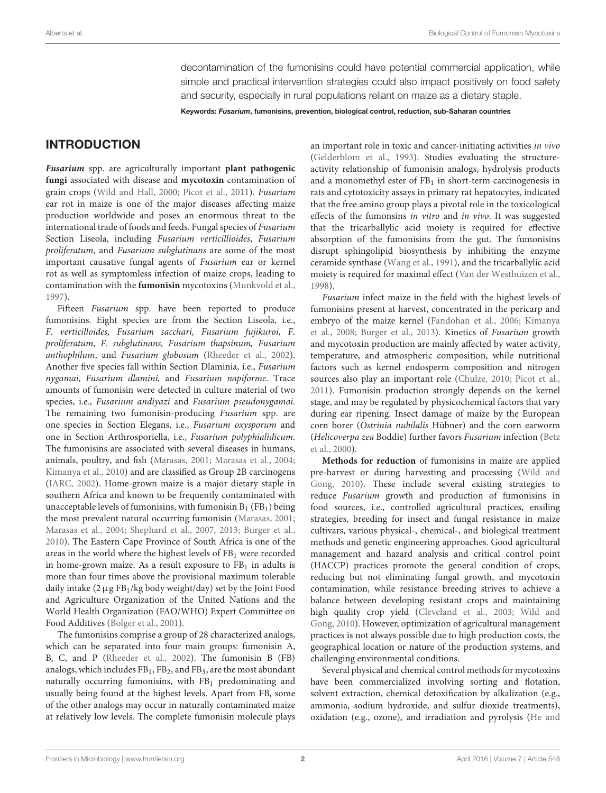decontamination of the fumonisins could have potential commercial application, while simple and practical intervention strategies could also impact positively on food safety and security, especially in rural populations reliant on maize as a dietary staple.

Keywords: Fusarium, fumonisins, prevention, biological control, reduction, sub-Saharan countries

# INTRODUCTION

**Fusarium** spp. are agriculturally important **plant pathogenic fungi** associated with disease and **mycotoxin** contamination of grain crops [\(Wild and Hall, 2000;](#page-32-0) [Picot et al., 2011\)](#page-31-0). Fusarium ear rot in maize is one of the major diseases affecting maize production worldwide and poses an enormous threat to the international trade of foods and feeds. Fungal species of Fusarium Section Liseola, including Fusarium verticillioides, Fusarium proliferatum, and Fusarium subglutinans are some of the most important causative fungal agents of Fusarium ear or kernel rot as well as symptomless infection of maize crops, leading to contamination with the **fumonisin** mycotoxins [\(Munkvold et al.,](#page-31-1) [1997\)](#page-31-1).

Fifteen Fusarium spp. have been reported to produce fumonisins. Eight species are from the Section Liseola, i.e., F. verticilloides, Fusarium sacchari, Fusarium fujikuroi, F. proliferatum, F. subglutinans, Fusarium thapsinum, Fusarium anthophilum, and Fusarium globosum [\(Rheeder et al., 2002\)](#page-32-1). Another five species fall within Section Dlaminia, i.e., Fusarium nygamai, Fusarium dlamini, and Fusarium napiforme. Trace amounts of fumonisin were detected in culture material of two species, i.e., Fusarium andiyazi and Fusarium pseudonygamai. The remaining two fumonisin-producing Fusarium spp. are one species in Section Elegans, i.e., Fusarium oxysporum and one in Section Arthrosporiella, i.e., Fusarium polyphialidicum. The fumonisins are associated with several diseases in humans, animals, poultry, and fish [\(Marasas, 2001;](#page-31-2) [Marasas et al., 2004;](#page-31-3) [Kimanya et al., 2010\)](#page-31-4) and are classified as Group 2B carcinogens [\(IARC, 2002\)](#page-31-5). Home-grown maize is a major dietary staple in southern Africa and known to be frequently contaminated with unacceptable levels of fumonisins, with fumonisin  $B_1$  (FB<sub>1</sub>) being the most prevalent natural occurring fumonisin [\(Marasas, 2001;](#page-31-2) [Marasas et al., 2004;](#page-31-3) [Shephard et al., 2007,](#page-32-2) [2013;](#page-32-3) [Burger et al.,](#page-30-0) [2010\)](#page-30-0). The Eastern Cape Province of South Africa is one of the areas in the world where the highest levels of FB<sub>1</sub> were recorded in home-grown maize. As a result exposure to  $FB<sub>1</sub>$  in adults is more than four times above the provisional maximum tolerable daily intake  $(2 \mu g FB_1/kg$  body weight/day) set by the Joint Food and Agriculture Organization of the United Nations and the World Health Organization (FAO/WHO) Expert Committee on Food Additives [\(Bolger et al., 2001\)](#page-30-1).

The fumonisins comprise a group of 28 characterized analogs, which can be separated into four main groups: fumonisin A, B, C, and P [\(Rheeder et al., 2002\)](#page-32-1). The fumonisin B (FB) analogs, which includes FB1, FB2, and FB3, are the most abundant naturally occurring fumonisins, with  $FB<sub>1</sub>$  predominating and usually being found at the highest levels. Apart from FB, some of the other analogs may occur in naturally contaminated maize at relatively low levels. The complete fumonisin molecule plays an important role in toxic and cancer-initiating activities in vivo [\(Gelderblom et al., 1993\)](#page-30-2). Studies evaluating the structureactivity relationship of fumonisin analogs, hydrolysis products and a monomethyl ester of  $FB<sub>1</sub>$  in short-term carcinogenesis in rats and cytotoxicity assays in primary rat hepatocytes, indicated that the free amino group plays a pivotal role in the toxicological effects of the fumonsins in vitro and in vivo. It was suggested that the tricarballylic acid moiety is required for effective absorption of the fumonisins from the gut. The fumonisins disrupt sphingolipid biosynthesis by inhibiting the enzyme ceramide synthase [\(Wang et al., 1991\)](#page-32-4), and the tricarballylic acid moiety is required for maximal effect [\(Van der Westhuizen et al.,](#page-32-5) [1998\)](#page-32-5).

Fusarium infect maize in the field with the highest levels of fumonisins present at harvest, concentrated in the pericarp and embryo of the maize kernel [\(Fandohan et al., 2006;](#page-30-3) Kimanya et al., [2008;](#page-31-6) [Burger et al., 2013\)](#page-30-4). Kinetics of Fusarium growth and mycotoxin production are mainly affected by water activity, temperature, and atmospheric composition, while nutritional factors such as kernel endosperm composition and nitrogen sources also play an important role [\(Chulze, 2010;](#page-30-5) [Picot et al.,](#page-31-0) [2011\)](#page-31-0). Fumonisin production strongly depends on the kernel stage, and may be regulated by physicochemical factors that vary during ear ripening. Insect damage of maize by the European corn borer (Ostrinia nubilalis Hübner) and the corn earworm (Helicoverpa zea Boddie) further favors Fusarium infection (Betz et al., [2000\)](#page-30-6).

**Methods for reduction** of fumonisins in maize are applied pre-harvest or during harvesting and processing (Wild and Gong, [2010\)](#page-32-6). These include several existing strategies to reduce Fusarium growth and production of fumonisins in food sources, i.e., controlled agricultural practices, ensiling strategies, breeding for insect and fungal resistance in maize cultivars, various physical-, chemical-, and biological treatment methods and genetic engineering approaches. Good agricultural management and hazard analysis and critical control point (HACCP) practices promote the general condition of crops, reducing but not eliminating fungal growth, and mycotoxin contamination, while resistance breeding strives to achieve a balance between developing resistant crops and maintaining high quality crop yield [\(Cleveland et al., 2003;](#page-30-7) Wild and Gong, [2010\)](#page-32-6). However, optimization of agricultural management practices is not always possible due to high production costs, the geographical location or nature of the production systems, and challenging environmental conditions.

Several physical and chemical control methods for mycotoxins have been commercialized involving sorting and flotation, solvent extraction, chemical detoxification by alkalization (e.g., ammonia, sodium hydroxide, and sulfur dioxide treatments), oxidation (e.g., ozone), and irradiation and pyrolysis (He and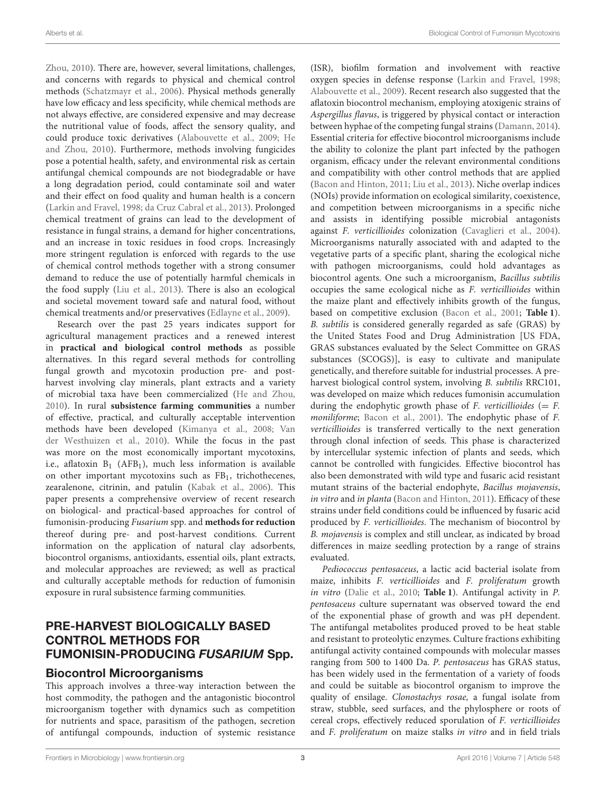Zhou, [2010\)](#page-31-7). There are, however, several limitations, challenges, and concerns with regards to physical and chemical control methods [\(Schatzmayr et al., 2006\)](#page-32-7). Physical methods generally have low efficacy and less specificity, while chemical methods are not always effective, are considered expensive and may decrease the nutritional value of foods, affect the sensory quality, and could produce toxic derivatives [\(Alabouvette et al., 2009;](#page-29-0) He and Zhou, [2010\)](#page-31-7). Furthermore, methods involving fungicides pose a potential health, safety, and environmental risk as certain antifungal chemical compounds are not biodegradable or have a long degradation period, could contaminate soil and water and their effect on food quality and human health is a concern [\(Larkin and Fravel, 1998;](#page-31-8) [da Cruz Cabral et al., 2013\)](#page-30-8). Prolonged chemical treatment of grains can lead to the development of resistance in fungal strains, a demand for higher concentrations, and an increase in toxic residues in food crops. Increasingly more stringent regulation is enforced with regards to the use of chemical control methods together with a strong consumer demand to reduce the use of potentially harmful chemicals in the food supply [\(Liu et al., 2013\)](#page-31-9). There is also an ecological and societal movement toward safe and natural food, without chemical treatments and/or preservatives [\(Edlayne et al., 2009\)](#page-30-9).

Research over the past 25 years indicates support for agricultural management practices and a renewed interest in **practical and biological control methods** as possible alternatives. In this regard several methods for controlling fungal growth and mycotoxin production pre- and postharvest involving clay minerals, plant extracts and a variety of microbial taxa have been commercialized [\(He and Zhou,](#page-31-7) [2010\)](#page-31-7). In rural **subsistence farming communities** a number of effective, practical, and culturally acceptable intervention methods have been developed [\(Kimanya et al., 2008;](#page-31-6) Van der Westhuizen et al., [2010\)](#page-32-8). While the focus in the past was more on the most economically important mycotoxins, i.e., aflatoxin  $B_1$  (AFB<sub>1</sub>), much less information is available on other important mycotoxins such as FB1, trichothecenes, zearalenone, citrinin, and patulin [\(Kabak et al., 2006\)](#page-31-10). This paper presents a comprehensive overview of recent research on biological- and practical-based approaches for control of fumonisin-producing Fusarium spp. and **methods for reduction** thereof during pre- and post-harvest conditions. Current information on the application of natural clay adsorbents, biocontrol organisms, antioxidants, essential oils, plant extracts, and molecular approaches are reviewed; as well as practical and culturally acceptable methods for reduction of fumonisin exposure in rural subsistence farming communities.

# PRE-HARVEST BIOLOGICALLY BASED CONTROL METHODS FOR FUMONISIN-PRODUCING FUSARIUM Spp.

### Biocontrol Microorganisms

This approach involves a three-way interaction between the host commodity, the pathogen and the antagonistic biocontrol microorganism together with dynamics such as competition for nutrients and space, parasitism of the pathogen, secretion of antifungal compounds, induction of systemic resistance (ISR), biofilm formation and involvement with reactive oxygen species in defense response [\(Larkin and Fravel, 1998;](#page-31-8) [Alabouvette et al., 2009\)](#page-29-0). Recent research also suggested that the aflatoxin biocontrol mechanism, employing atoxigenic strains of Aspergillus flavus, is triggered by physical contact or interaction between hyphae of the competing fungal strains [\(Damann, 2014\)](#page-30-10). Essential criteria for effective biocontrol microorganisms include the ability to colonize the plant part infected by the pathogen organism, efficacy under the relevant environmental conditions and compatibility with other control methods that are applied [\(Bacon and Hinton, 2011;](#page-29-1) [Liu et al., 2013\)](#page-31-9). Niche overlap indices (NOIs) provide information on ecological similarity, coexistence, and competition between microorganisms in a specific niche and assists in identifying possible microbial antagonists against F. verticillioides colonization [\(Cavaglieri et al., 2004\)](#page-30-11). Microorganisms naturally associated with and adapted to the vegetative parts of a specific plant, sharing the ecological niche with pathogen microorganisms, could hold advantages as biocontrol agents. One such a microorganism, Bacillus subtilis occupies the same ecological niche as F. verticillioides within the maize plant and effectively inhibits growth of the fungus, based on competitive exclusion [\(Bacon et al., 2001;](#page-29-2) **[Table 1](#page-3-0)**). B. subtilis is considered generally regarded as safe (GRAS) by the United States Food and Drug Administration [US FDA, GRAS substances evaluated by the Select Committee on GRAS substances (SCOGS)], is easy to cultivate and manipulate genetically, and therefore suitable for industrial processes. A preharvest biological control system, involving B. subtilis RRC101, was developed on maize which reduces fumonisin accumulation during the endophytic growth phase of  $F$ . verticillioides (=  $F$ . moniliforme; [Bacon et al., 2001\)](#page-29-2). The endophytic phase of F. verticillioides is transferred vertically to the next generation through clonal infection of seeds. This phase is characterized by intercellular systemic infection of plants and seeds, which cannot be controlled with fungicides. Effective biocontrol has also been demonstrated with wild type and fusaric acid resistant mutant strains of the bacterial endophyte, Bacillus mojavensis, in vitro and in planta [\(Bacon and Hinton, 2011\)](#page-29-1). Efficacy of these strains under field conditions could be influenced by fusaric acid produced by F. verticillioides. The mechanism of biocontrol by B. mojavensis is complex and still unclear, as indicated by broad differences in maize seedling protection by a range of strains evaluated.

Pediococcus pentosaceus, a lactic acid bacterial isolate from maize, inhibits F. verticillioides and F. proliferatum growth in vitro [\(Dalie et al., 2010;](#page-30-12) **[Table 1](#page-3-0)**). Antifungal activity in P. pentosaceus culture supernatant was observed toward the end of the exponential phase of growth and was pH dependent. The antifungal metabolites produced proved to be heat stable and resistant to proteolytic enzymes. Culture fractions exhibiting antifungal activity contained compounds with molecular masses ranging from 500 to 1400 Da. P. pentosaceus has GRAS status, has been widely used in the fermentation of a variety of foods and could be suitable as biocontrol organism to improve the quality of ensilage. Clonostachys rosae, a fungal isolate from straw, stubble, seed surfaces, and the phylosphere or roots of cereal crops, effectively reduced sporulation of F. verticillioides and F. proliferatum on maize stalks in vitro and in field trials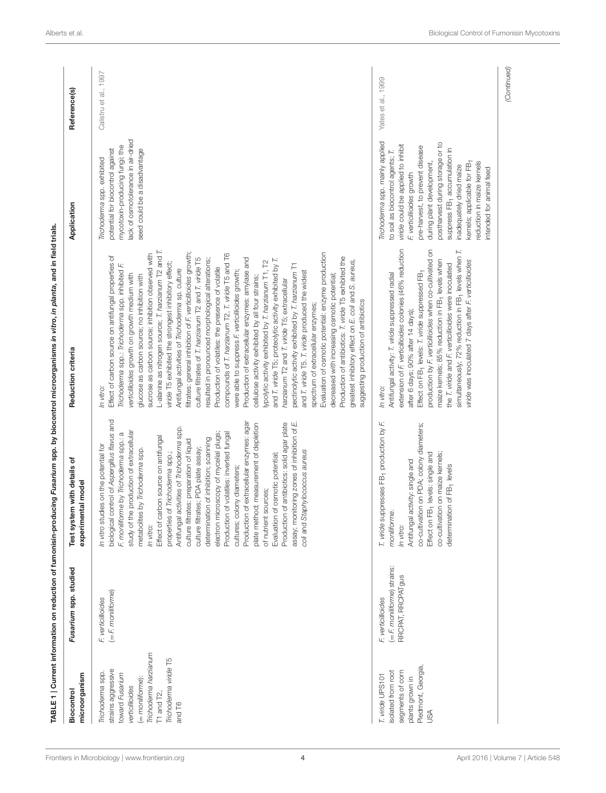<span id="page-3-0"></span>

| microorganism<br>Biocontrol                                                                                                                                                     | Fusarium spp. studied                                                  | Test system with details of<br>experimental model                                                                                                                                                                                                                                                                                                                                                                                                                                                                                                                                                                                                                                                                                                                                                                                                                                                  | Reduction criteria                                                                                                                                                                                                                                                                                                                                                                                                                                                                                                                                                                                                                                                                                                                                                                                                                                                                                                                                                                                                                                                                                                                                                                                                                                                                                                                                                                                                                                                             | Application                                                                                                                                                                                                                                                                                                                                                                                                | Reference(s)          |
|---------------------------------------------------------------------------------------------------------------------------------------------------------------------------------|------------------------------------------------------------------------|----------------------------------------------------------------------------------------------------------------------------------------------------------------------------------------------------------------------------------------------------------------------------------------------------------------------------------------------------------------------------------------------------------------------------------------------------------------------------------------------------------------------------------------------------------------------------------------------------------------------------------------------------------------------------------------------------------------------------------------------------------------------------------------------------------------------------------------------------------------------------------------------------|--------------------------------------------------------------------------------------------------------------------------------------------------------------------------------------------------------------------------------------------------------------------------------------------------------------------------------------------------------------------------------------------------------------------------------------------------------------------------------------------------------------------------------------------------------------------------------------------------------------------------------------------------------------------------------------------------------------------------------------------------------------------------------------------------------------------------------------------------------------------------------------------------------------------------------------------------------------------------------------------------------------------------------------------------------------------------------------------------------------------------------------------------------------------------------------------------------------------------------------------------------------------------------------------------------------------------------------------------------------------------------------------------------------------------------------------------------------------------------|------------------------------------------------------------------------------------------------------------------------------------------------------------------------------------------------------------------------------------------------------------------------------------------------------------------------------------------------------------------------------------------------------------|-----------------------|
| Trichoderma harzianum<br>Trichoderma viride T5<br>strains aggressive<br>Trichoderma spp.<br>toward Fusarium<br>(= moniliforme):<br>verticillioides<br>$T1$ and $T2$ ,<br>and T6 | $(=$ F, moniliforme)<br>F. verticillioides                             | biological control of Aspergillus flavus and<br>Production of extracellular enzymes: agar<br>assay; monitoring zones of inhibition of E.<br>Production of antibiotics: solid agar plate<br>plate method; measurement of depletion<br>Antifungal activities of Trichoderma spp.<br>study of the production of extracellular<br>Production of volatiles: inverted fungal<br>electron microscopy of mycelial plugs;<br>F. moniliforme by Trichoderma spp.: a<br>Effect of carbon source on antifungal<br>determination of inhibition; scanning<br>culture filtrates: preparation of liquid<br>idies on the potential for<br>culture filtrates; PDA plate assay;<br>metabolites by Trichoderma spp.<br>coli and Staphylococcus aureus<br>of osmotic potential;<br>properties of Trichoderma spp.;<br>cultures; colony diameters;<br>sources;<br>of nutrient<br>Evaluation<br>In vitro stu<br>In vitro: | L-alanine as nitrogen source; T. harzianum T2 and T.<br>filtrates: general inhibition of F. verticillioides growth;<br>Evaluation of osmotic potential: enzyme production<br>sucrose as carbon source; inhibition observed with<br>compounds of T. harzianum T2, T. viride T5 and T6<br>Effect of carbon source on antifungal properties of<br>Production of antibiotics: T. viride T5 exhibited the<br>culture filtrates of T. harzianum T2 and T. viride T5<br>Production of extracellular enzymes: amylase and<br>and T. viride T5; proteolytic activity exhibited by T.<br>resulted in pronounced morphological alterations;<br>ypolytic activity exhibited by T. harzianum T1, T2<br>greatest inhibitory effect on E. coli and S. aureus,<br>viride T5 exhibited the strongest inhibitory effect<br>pectinolytic activity exhibited by T. harzianum T1<br>Trichoderma spp.: Trichoderma spp. inhibited F.<br>Production of volatiles: the presence of volatile<br>Antifungal activities of Trichoderma sp. culture<br>were able to suppress F. verticillioides growth;<br>and T. viride T5. T. viride produced the widest<br>decreased with increasing osmotic potential;<br>verticillioides growth on growth medium with<br>glucose as carbon source; no inhibition with<br>cellulose activity exhibited by all four strains;<br>harzianum T2 and T. viride T5; extracellular<br>suggesting production of antibiotics<br>spectrum of extracellular enzymes;<br>In vitro: | lack of osmotolerance in air-dried<br>mycotoxin-producing fungi; the<br>potential for biocontrol against<br>seed could be a disadvantage<br>Trichoderma spp. exhibited                                                                                                                                                                                                                                     | Calistru et al., 1997 |
| Piedmont, Georgia,<br>segments of corn<br>isolated from root<br>T. wirde UPS101<br>plants grown in<br>SA                                                                        | (= F. moniliforme) strains:<br>RRCPAT, RRCPATgus<br>F. verticillioides | T. viride suppresses FB1 production by F.<br>co-cultivation on PDA; colony diameters;<br>co-cultivation on maize kernels;<br>"B <sub>1</sub> levels: single and<br>Antifungal activity: single and<br>determination of FB <sub>1</sub> levels<br>moniliforme.<br>Effect on F<br>In vitro:                                                                                                                                                                                                                                                                                                                                                                                                                                                                                                                                                                                                          | extension of F. verticillioides colonies (46% reduction<br>production by F. verticillioides when co-cultivated on<br>simultaneously; 72% reduction in FB <sub>1</sub> levels when T.<br>maize kernels; 85% reduction in FB <sub>1</sub> levels when<br>viride was inoculated 7 days after F. verticillioides<br>the T. viride and F. verticillioides were inoculated<br>Effect on FB <sub>1</sub> levels: T. wiride suppressed FB <sub>1</sub><br>Antifungal activity: T. viride suppressed radial<br>after 6 days; 90% after 14 days);<br>In vitro:                                                                                                                                                                                                                                                                                                                                                                                                                                                                                                                                                                                                                                                                                                                                                                                                                                                                                                                           | Trichoderma spp. mainly applied<br>postharvest during storage or to<br>viride could be applied to inhibit<br>pre-harvest, to prevent disease<br>suppress FB <sub>1</sub> accumulation in<br>to soil as biocontrol agents; T.<br>eduction in maize kernels<br>during plant development,<br>kernels; applicable for FB-<br>inadequately dried maize<br>intended for animal feed<br>F. verticillioides growth | Yates et al., 1999    |
|                                                                                                                                                                                 |                                                                        |                                                                                                                                                                                                                                                                                                                                                                                                                                                                                                                                                                                                                                                                                                                                                                                                                                                                                                    |                                                                                                                                                                                                                                                                                                                                                                                                                                                                                                                                                                                                                                                                                                                                                                                                                                                                                                                                                                                                                                                                                                                                                                                                                                                                                                                                                                                                                                                                                |                                                                                                                                                                                                                                                                                                                                                                                                            | (Continued)           |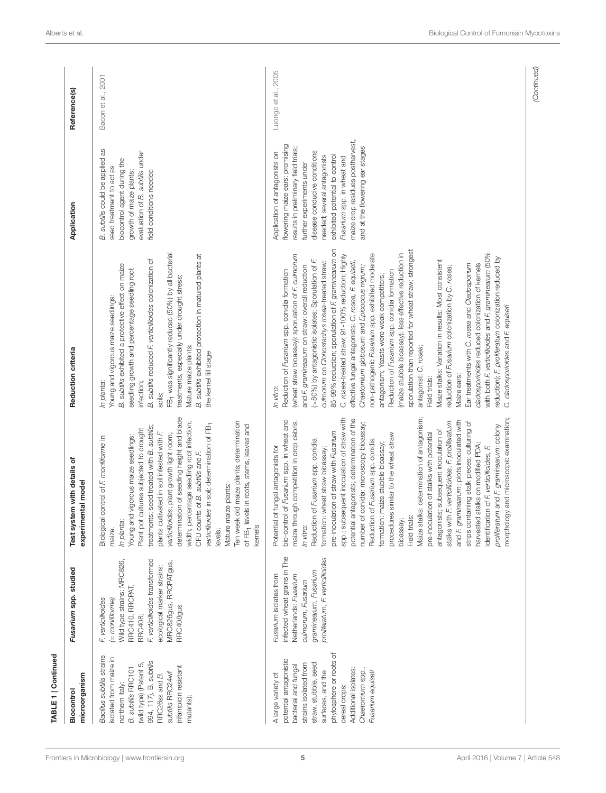| TABLE 1   Continued                                                                                                                                                                                                                                    |                                                                                                                                                                                                                |                                                                                                                                                                                                                                                                                                                                                                                                                                                                                                                                                                                                                                                                                                                                                                                                                                                                                                                                                                                                                            |                                                                                                                                                                                                                                                                                                                                                                                                                                                                                                                                                                                                                                                                                                                                                                                                                                                                                                                                                                                                                                                                                                                                                                                       |                                                                                                                                                                                                                                                                                                                                             |                     |
|--------------------------------------------------------------------------------------------------------------------------------------------------------------------------------------------------------------------------------------------------------|----------------------------------------------------------------------------------------------------------------------------------------------------------------------------------------------------------------|----------------------------------------------------------------------------------------------------------------------------------------------------------------------------------------------------------------------------------------------------------------------------------------------------------------------------------------------------------------------------------------------------------------------------------------------------------------------------------------------------------------------------------------------------------------------------------------------------------------------------------------------------------------------------------------------------------------------------------------------------------------------------------------------------------------------------------------------------------------------------------------------------------------------------------------------------------------------------------------------------------------------------|---------------------------------------------------------------------------------------------------------------------------------------------------------------------------------------------------------------------------------------------------------------------------------------------------------------------------------------------------------------------------------------------------------------------------------------------------------------------------------------------------------------------------------------------------------------------------------------------------------------------------------------------------------------------------------------------------------------------------------------------------------------------------------------------------------------------------------------------------------------------------------------------------------------------------------------------------------------------------------------------------------------------------------------------------------------------------------------------------------------------------------------------------------------------------------------|---------------------------------------------------------------------------------------------------------------------------------------------------------------------------------------------------------------------------------------------------------------------------------------------------------------------------------------------|---------------------|
| microorganism<br>Biocontrol                                                                                                                                                                                                                            | Fusarium spp. studied                                                                                                                                                                                          | Test system with details of<br>experimental model                                                                                                                                                                                                                                                                                                                                                                                                                                                                                                                                                                                                                                                                                                                                                                                                                                                                                                                                                                          | Reduction criteria                                                                                                                                                                                                                                                                                                                                                                                                                                                                                                                                                                                                                                                                                                                                                                                                                                                                                                                                                                                                                                                                                                                                                                    | Application                                                                                                                                                                                                                                                                                                                                 | Reference(s)        |
| Bacillus subtilis strains<br>isolated from maize in<br>994, 117), B. subtilis<br>(wild type) (Patent 5<br>(rifampicin resistant<br><b>B.</b> subtilis RRC101<br>subtilis RRC24wf<br>RRC26ss and B.<br>northern Italy:<br>mutants);                     | Wild type strains: MRC826,<br>F. verticillioides transformed<br>MRC826gus, RRCPATgus,<br>ecological marker strains:<br>RRC410, RRCPAT,<br>F. verticillioides<br>(= moniliforme)<br>RRC408gus<br><b>RRC408;</b> | determination of seedling height and blade<br>Ten week old maize plants; determination<br>width; percentage seedling root infection;<br>of FB- levels in roots, stems, leaves and<br>verticillioides in soil; determination of FB-<br>treatments; seed treated with B. subtilis;<br>Plant pot cultures subjected to drought<br>plants cultivated in soil infested with F<br>verticillioides; plant growth light room;<br>Young and vigorous maize seedlings:<br>control of F. moniliforme in<br>CFU counts of B. subtilis and F.<br>Mature maize plants:<br>Biological<br>In planta:<br>kernels<br>maize.<br>levels;                                                                                                                                                                                                                                                                                                                                                                                                       | FB <sub>1</sub> was significantly reduced (50%) by all bacterial<br>B. subtilis exhibited protection in matured plants at<br>B. subtilis reduced F. verticillioides colonization of<br>B. subtilis exhibited a protective effect on maize<br>seedling growth and percentage seedling root<br>treatments, especially under drought stress;<br>Young and vigorous maize seedlings:<br>Mature maize plants:<br>the kernel fill stage<br>In planta:<br>infection;<br>soils;                                                                                                                                                                                                                                                                                                                                                                                                                                                                                                                                                                                                                                                                                                               | B. subtilis could be applied as<br>evaluation of B. subtilis under<br>biocontrol agent during the<br>seed treatment to act as<br>growth of maize plants;<br>field conditions needed                                                                                                                                                         | Bacon et al., 2001  |
| phylosphere or roots of<br>potential antagonistic<br>strains isolated from<br>straw, stubble, seed<br>bacterial and fungal<br>Additional isolates:<br>Chaetomium spp.<br>surfaces, and the<br>Fusarium equiseti<br>A large variety of<br>cereal crops; | infected wheat grains in The<br>proliferatum, F. verticillioides<br>graminearum, Fusarium<br>Fusarium isolates from<br>Netherlands: Fusarium<br>culmorum, Fusarium                                             | morphology and microscopic examination;<br>Maize stalks: determination of antagonism;<br>spp.; subsequent inoculation of straw with<br>potential antagonists; determination of the<br>bio-control of Fusarium spp. in wheat and<br>and F. graminearum; plots inoculated with<br>maize through competition in crop debris.<br>stalks with F. verticillioides, F. proliferatum<br>number of conidia: microscopy bioassay;<br>strips containing stalk pieces; culturing of<br>proliferatum and F. graminearum: colony<br>antagonists; subsequent inoculation of<br>pre-inoculation of straw with Fusarium<br>pre-inoculation of stalks with potential<br>procedures similar to the wheat straw<br>Reduction of Fusarium spp. conidia<br>Reduction of Fusarium spp. conidia<br>maize stubble bioassay;<br>harvested stalks on modified PDA;<br>Potential of fungal antagonists for<br>: wheat straw bioassay;<br>identification of F. verticillioides, F.<br>formation<br>formation:<br>bioassay;<br>Field trials<br>In vitro: | 85-99% reduction; sporulation of F. graminearum on<br>sporulation than reported for wheat straw; strongest<br>with both F. verticillioides and F. graminearum (50%<br>(maize stubble bioassay): less effective reduction in<br>C. rosea-treated straw: 91-100% reduction; Highly<br>non-pathogenic Fusarium spp. exhibited moderate<br>(wheat straw bioassay): sporulation of F, culmorum<br>reduction); F, proliferatum colonization reduced by<br>(>80%) by antagonistic isolates; Sporulation of F.<br>Maize stalks: Variation in results; Most consistent<br>culmorum on Clonostachys rosea-treated straw:<br>effective fungal antagonists: C. rosea, F. equiseti,<br>cladosporioides reduced colonization of kernels<br>Ear treatments with C. rosea and Cladosporium<br>and F. graminearum on straw: overall reduction<br>Chaetomium globosum and Epicoccus nigrum;<br>reduction of Fusarium colonization by C. rosea;<br>Reduction of Fusarium spp. conidia formation<br>Reduction of Fusarium spp. conidia formation<br>antagonism; Yeasts were weak competitors;<br>C. cladosporioides and F. equiseti<br>antagonist: C. rosea;<br>Maize ears:<br>Field trials:<br>In vitro: | maize crop residues postharvest,<br>flowering maize ears: promising<br>and at the flowering ear stages<br>results in preliminary field trials;<br>disease conducive conditions<br>Application of antagonists on<br>needed; several antagonists<br>exhibited potential to control<br>Fusarium spp. in wheat and<br>further experiments under | Luongo et al., 2005 |
|                                                                                                                                                                                                                                                        |                                                                                                                                                                                                                |                                                                                                                                                                                                                                                                                                                                                                                                                                                                                                                                                                                                                                                                                                                                                                                                                                                                                                                                                                                                                            |                                                                                                                                                                                                                                                                                                                                                                                                                                                                                                                                                                                                                                                                                                                                                                                                                                                                                                                                                                                                                                                                                                                                                                                       |                                                                                                                                                                                                                                                                                                                                             | (Continued)         |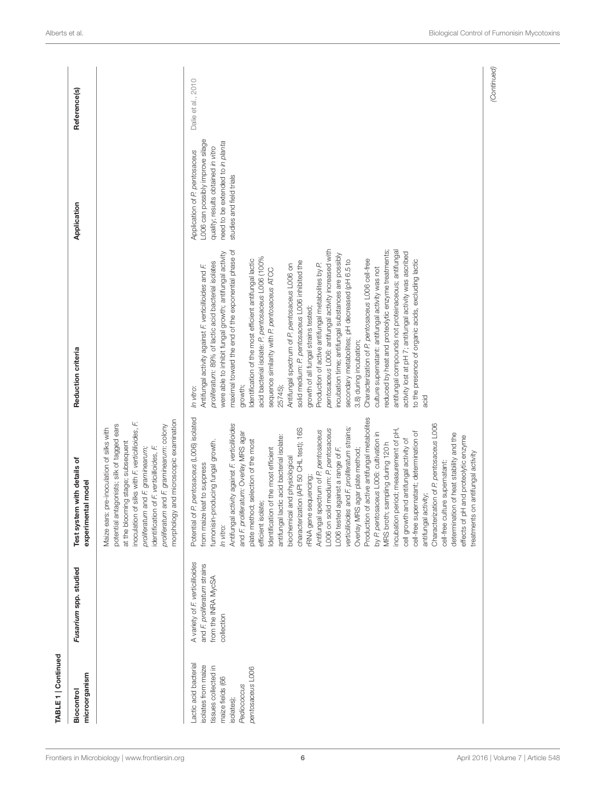| TABLE 1   Continued                                                                                                                      |                                                                                                     |                                                                                                                                                                                                                                                                                                                                                                                                                                                                                                                                                                                                                                                                                                                                                                                                                                                                                                                                                                                                                                                                                                                                                                                     |                                                                                                                                                                                                                                                                                                                                                                                                                                                                                                                                                                                                                                                                                                                                                                                                                                                                                                                                                                                                                                                                                                                                                                            |                                                                                                                                                                         |                    |
|------------------------------------------------------------------------------------------------------------------------------------------|-----------------------------------------------------------------------------------------------------|-------------------------------------------------------------------------------------------------------------------------------------------------------------------------------------------------------------------------------------------------------------------------------------------------------------------------------------------------------------------------------------------------------------------------------------------------------------------------------------------------------------------------------------------------------------------------------------------------------------------------------------------------------------------------------------------------------------------------------------------------------------------------------------------------------------------------------------------------------------------------------------------------------------------------------------------------------------------------------------------------------------------------------------------------------------------------------------------------------------------------------------------------------------------------------------|----------------------------------------------------------------------------------------------------------------------------------------------------------------------------------------------------------------------------------------------------------------------------------------------------------------------------------------------------------------------------------------------------------------------------------------------------------------------------------------------------------------------------------------------------------------------------------------------------------------------------------------------------------------------------------------------------------------------------------------------------------------------------------------------------------------------------------------------------------------------------------------------------------------------------------------------------------------------------------------------------------------------------------------------------------------------------------------------------------------------------------------------------------------------------|-------------------------------------------------------------------------------------------------------------------------------------------------------------------------|--------------------|
| microorganism<br>Biocontrol                                                                                                              | Fusarium spp. studied                                                                               | with details of<br>experimental model<br>Test system                                                                                                                                                                                                                                                                                                                                                                                                                                                                                                                                                                                                                                                                                                                                                                                                                                                                                                                                                                                                                                                                                                                                | Reduction criteria                                                                                                                                                                                                                                                                                                                                                                                                                                                                                                                                                                                                                                                                                                                                                                                                                                                                                                                                                                                                                                                                                                                                                         | Application                                                                                                                                                             | Reference(s)       |
|                                                                                                                                          |                                                                                                     | and microscopic examination<br>f silks with F. verticillioides, F.<br>potential antagonists; silk of tagged ears<br>proliferatum and F. graminearum: colony<br>Maize ears: pre-inoculation of silks with<br>at the blooming stage; subsequent<br>identification of F. verticillioides, F.<br>proliferatum and F. graminearum;<br>inoculation of<br>morphology                                                                                                                                                                                                                                                                                                                                                                                                                                                                                                                                                                                                                                                                                                                                                                                                                       |                                                                                                                                                                                                                                                                                                                                                                                                                                                                                                                                                                                                                                                                                                                                                                                                                                                                                                                                                                                                                                                                                                                                                                            |                                                                                                                                                                         |                    |
| Lactic acid bacteria<br>isolates from maize<br>tissues collected in<br>pentosaceus LOO6<br>maize fields (66<br>Pediococcus<br>isolates); | A variety of F. verticillioides<br>and F. proliferatum strains<br>from the INRA MycSA<br>collection | Production of active antifungal metabolites<br>Potential of P. pentosaceus (L006) isolated<br>Characterization of P. pentosaceus LOO6<br>Antifungal activity against F. verticillioides<br>verticillioides and F. proliferatum strains;<br>L006 on solid medium: P. pentosaceus<br>incubation period; measurement of pH,<br>characterization (API 50 CHL test); 16S<br>Antifungal spectrum of P. pentosaceus<br>cell-free supernatant; determination of<br>and F. proliferatum: Overlay MRS agar<br>by P. pentosaceus LOO6: cultivation in<br>determination of heat stability and the<br>effects of pH and proteolytic enzyme<br>antifungal lactic acid bacterial isolate:<br>cell growth and antifungal activity of<br>plate method; selection of the most<br>fumonisin-producing fungal growth.<br>MRS broth; sampling during 120h<br>dentification of the most efficient<br>against a range of F.<br>agar plate method;<br>treatments on antifungal activity<br>biochemical and physiological<br>cell-free culture supernatant:<br>from maize leaf to suppress<br>rRNA gene sequencing;<br>antifungal activity;<br>efficient isolate;<br>Overlay MRS<br>L006 tested<br>In vitro: | maximal toward the end of the exponential phase of<br>pentosaceus L006: antifungal activity increased with<br>reduced by heat and proteolytic enzyme treatments;<br>antifungal compounds not proteinaceous; antifungal<br>activity lost at pH 7; antifungal activity was ascribed<br>were able to inhibit fungal growth; antifungal activity<br>incubation time; antifungal substances are possibly<br>acid bacterial isolate: P. pentosaceus L006 (100%<br>Characterization of P. pentosaceus LOO6 cell-free<br>Identification of the most efficient antifungal lactic<br>secondary metabolites; pH decreased (pH 6.5 to<br>to the presence of organic acids, excluding lactic<br>proliferatum: 89% of lactic acid bacterial isolates<br>solid medium: P. pentosaceus LOO6 inhibited the<br>Production of active antifungal metabolites by P.<br>Antifungal spectrum of P. pentosaceus L006 on<br>Antifungal activity against F. verticillioides and F.<br>culture supernatant: antifungal activity was not<br>sequence similarity with P. pentosaceus ATCC<br>growth of all fungal strains tested;<br>3.8) during incubation;<br>growth;<br>25745);<br>In vitro:<br>acid | L006 can possibly improve silage<br>need to be extended to in planta<br>quality; results obtained in vitro<br>Application of P. pentosaceus<br>studies and field trials | Dalie et al., 2010 |
|                                                                                                                                          |                                                                                                     |                                                                                                                                                                                                                                                                                                                                                                                                                                                                                                                                                                                                                                                                                                                                                                                                                                                                                                                                                                                                                                                                                                                                                                                     |                                                                                                                                                                                                                                                                                                                                                                                                                                                                                                                                                                                                                                                                                                                                                                                                                                                                                                                                                                                                                                                                                                                                                                            |                                                                                                                                                                         | (Continued)        |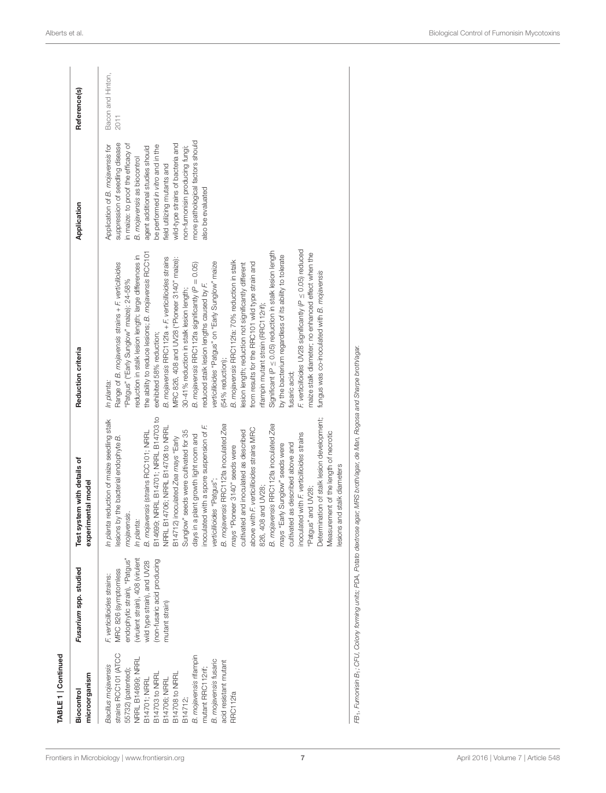| TABLE 1   Continued                                                                                                                                                                                                                                                                       |                                                                                                                                                                                                         |                                                                                                                                                                                                                                                                                                                                                                                                                                                                                                                                                                                                                                                                                                                                                                                                                                                                                                                                        |                                                                                                                                                                                                                                                                                                                                                                                                                                                                                                                                                                                                                                                                                                                                                                                                                                                                                                                                                                                                                                                                                                        |                                                                                                                                                                                                                                                                                                                                                                                |                           |
|-------------------------------------------------------------------------------------------------------------------------------------------------------------------------------------------------------------------------------------------------------------------------------------------|---------------------------------------------------------------------------------------------------------------------------------------------------------------------------------------------------------|----------------------------------------------------------------------------------------------------------------------------------------------------------------------------------------------------------------------------------------------------------------------------------------------------------------------------------------------------------------------------------------------------------------------------------------------------------------------------------------------------------------------------------------------------------------------------------------------------------------------------------------------------------------------------------------------------------------------------------------------------------------------------------------------------------------------------------------------------------------------------------------------------------------------------------------|--------------------------------------------------------------------------------------------------------------------------------------------------------------------------------------------------------------------------------------------------------------------------------------------------------------------------------------------------------------------------------------------------------------------------------------------------------------------------------------------------------------------------------------------------------------------------------------------------------------------------------------------------------------------------------------------------------------------------------------------------------------------------------------------------------------------------------------------------------------------------------------------------------------------------------------------------------------------------------------------------------------------------------------------------------------------------------------------------------|--------------------------------------------------------------------------------------------------------------------------------------------------------------------------------------------------------------------------------------------------------------------------------------------------------------------------------------------------------------------------------|---------------------------|
| microorganism<br>Biocontrol                                                                                                                                                                                                                                                               | Fusarium spp. studied                                                                                                                                                                                   | Test system with details of<br>experimental model                                                                                                                                                                                                                                                                                                                                                                                                                                                                                                                                                                                                                                                                                                                                                                                                                                                                                      | Reduction criteria                                                                                                                                                                                                                                                                                                                                                                                                                                                                                                                                                                                                                                                                                                                                                                                                                                                                                                                                                                                                                                                                                     | Application                                                                                                                                                                                                                                                                                                                                                                    | Reference(s)              |
| strains RCC101 (ATCC<br>B. mojavensis rifampin<br>NRRL B14699; NRRL<br>B. mojavensis fusaric<br>acid resistant mutant<br>Bacillus mojavensis<br>mutant RRC112rif;<br>55732) (patented);<br>B14708 to NRRL<br><b>B14703 to NRRL</b><br>B14701; NRRL<br>B14706; NRRL<br>RRC112fa<br>B14712; | (virulent strain), 408 (virulent<br>endophytic strain), "Patgus"<br>(non-fusaric acid producing<br>wild type strain), and UV28<br>MRC 826 (symptomless<br>F. verticillioides strains:<br>mutant strain) | B14699; NRRL B14701; NRRL B14703 to<br>Determination of stalk lesion development;<br>In planta reduction of maize seedling stalk<br>B. mojavensis RRC112fa inoculated Zea<br>B. mojavensis RRC112fa inoculated Zea<br>inoculated with a spore suspension of F.<br>NRRL B14706; NRRL B14708 to NRRL<br>above with F. verticillioides strains MRC<br>Sunglow" seeds were cultivated for 35<br>cultivated and inoculated as described<br>B. mojavensis (strains RCC101; NRRL<br>Measurement of the length of necrotic<br>inoculated with F. verticillioides strains<br>days in a plant growth light room and<br>lesions by the bacterial endophyte B.<br>B14712) inoculated Zea mays "Early<br>cultivated as described above and<br>mays "Early Sunglow" seeds were<br>mays "Pioneer 3140" seeds were<br>esions and stalk diameters<br>verticillioides "Patgus";<br>826, 408 and UV28;<br>"Patgus" and UV28;<br>mojavensis.<br>In planta: | F. verticilloides UV28 significantly (P < 0.05) reduced<br>Significant ( $P \leq 0.05$ ) reduction in stalk lesion length<br>the ability to reduce lesions; B. mojavensis RCC101<br>maize stalk diameter; no enhanced effect when the<br>by the bacterium regardless of its ability to tolerate<br>reduction in stalk lesion length; large differences in<br>B. mojavensis RRC112fa + F. verticillioides strains<br>MRC 826, 408 and UV28 ("Pioneer 3140" maize):<br>B. mojavensis RRC112fa: 70% reduction in stalk<br>verticillioides "Patgus" on "Early Sunglow" maize<br>from results for the RRC101 wild type strain and<br>B. mojavensis RRC112fa significantly (P = 0.05)<br>Range of B. mojavensis strains + F. verticilloides<br>lesion length; reduction not significantly different<br>fungus was co-inoculated with B. mojavensis<br>'Patgus" ("Early Sunglow" maize): 24-58%<br>reduced stalk lesion lengths caused by F.<br>30-41% reduction in stalk lesion length;<br>ffampin mutant strain (RRC112rif);<br>exhibited 58% reduction;<br>(54% reduction);<br>fusaric acid;<br>In planta: | more pathological factors should<br>suppression of seedling disease<br>wild-type strains of bacteria and<br>Application of B. mojavensis for<br>in maize: to proof the efficacy of<br>be performed in vitro and in the<br>agent additional studies should<br>non-fumonisin producing fungi;<br>B. mojavensis as biocontrol<br>field utilizing mutants and<br>also be evaluated | Bacon and Hinton,<br>2011 |
|                                                                                                                                                                                                                                                                                           |                                                                                                                                                                                                         | FB1, Furnonisin B1, CFU, Colony forming units; PDA, Potato dextrose agar; MRS broth/agar, de Man, Rogosa and Sharpe broth/agar.                                                                                                                                                                                                                                                                                                                                                                                                                                                                                                                                                                                                                                                                                                                                                                                                        |                                                                                                                                                                                                                                                                                                                                                                                                                                                                                                                                                                                                                                                                                                                                                                                                                                                                                                                                                                                                                                                                                                        |                                                                                                                                                                                                                                                                                                                                                                                |                           |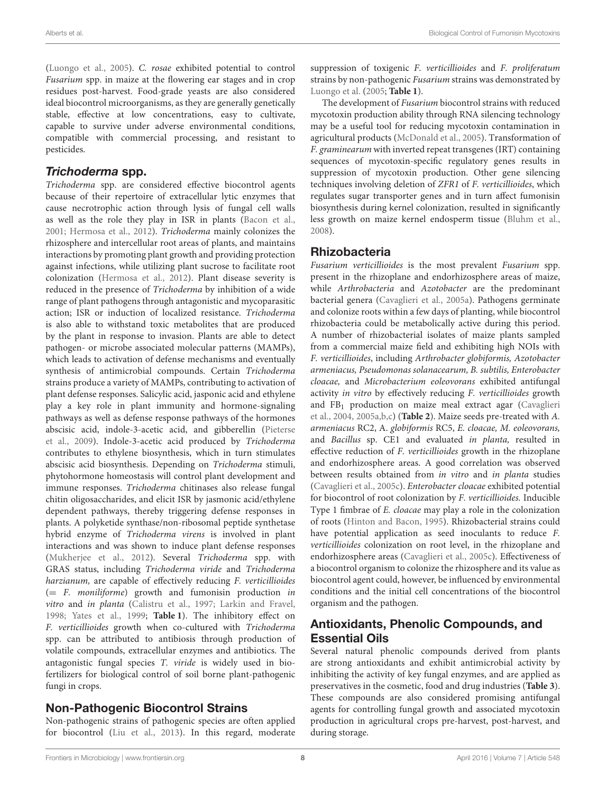[\(Luongo et al., 2005\)](#page-31-11). C. rosae exhibited potential to control Fusarium spp. in maize at the flowering ear stages and in crop residues post-harvest. Food-grade yeasts are also considered ideal biocontrol microorganisms, as they are generally genetically stable, effective at low concentrations, easy to cultivate, capable to survive under adverse environmental conditions, compatible with commercial processing, and resistant to pesticides.

### Trichoderma spp.

Trichoderma spp. are considered effective biocontrol agents because of their repertoire of extracellular lytic enzymes that cause necrotrophic action through lysis of fungal cell walls as well as the role they play in ISR in plants [\(Bacon et al.,](#page-29-2) [2001;](#page-29-2) [Hermosa et al., 2012\)](#page-31-12). Trichoderma mainly colonizes the rhizosphere and intercellular root areas of plants, and maintains interactions by promoting plant growth and providing protection against infections, while utilizing plant sucrose to facilitate root colonization [\(Hermosa et al., 2012\)](#page-31-12). Plant disease severity is reduced in the presence of Trichoderma by inhibition of a wide range of plant pathogens through antagonistic and mycoparasitic action; ISR or induction of localized resistance. Trichoderma is also able to withstand toxic metabolites that are produced by the plant in response to invasion. Plants are able to detect pathogen- or microbe associated molecular patterns (MAMPs), which leads to activation of defense mechanisms and eventually synthesis of antimicrobial compounds. Certain Trichoderma strains produce a variety of MAMPs, contributing to activation of plant defense responses. Salicylic acid, jasponic acid and ethylene play a key role in plant immunity and hormone-signaling pathways as well as defense response pathways of the hormones abscisic acid, indole-3-acetic acid, and gibberellin (Pieterse et al., [2009\)](#page-31-13). Indole-3-acetic acid produced by Trichoderma contributes to ethylene biosynthesis, which in turn stimulates abscisic acid biosynthesis. Depending on Trichoderma stimuli, phytohormone homeostasis will control plant development and immune responses. Trichoderma chitinases also release fungal chitin oligosaccharides, and elicit ISR by jasmonic acid/ethylene dependent pathways, thereby triggering defense responses in plants. A polyketide synthase/non-ribosomal peptide synthetase hybrid enzyme of Trichoderma virens is involved in plant interactions and was shown to induce plant defense responses [\(Mukherjee et al., 2012\)](#page-31-14). Several Trichoderma spp. with GRAS status, including Trichoderma viride and Trichoderma harzianum, are capable of effectively reducing F. verticillioides  $(= F.$  moniliforme) growth and fumonisin production in vitro and in planta [\(Calistru et al., 1997;](#page-30-13) [Larkin and Fravel,](#page-31-8) [1998;](#page-31-8) [Yates et al., 1999;](#page-32-9) **[Table 1](#page-3-0)**). The inhibitory effect on F. verticillioides growth when co-cultured with Trichoderma spp. can be attributed to antibiosis through production of volatile compounds, extracellular enzymes and antibiotics. The antagonistic fungal species T. viride is widely used in biofertilizers for biological control of soil borne plant-pathogenic fungi in crops.

# Non-Pathogenic Biocontrol Strains

Non-pathogenic strains of pathogenic species are often applied for biocontrol [\(Liu et al., 2013\)](#page-31-9). In this regard, moderate suppression of toxigenic F. verticillioides and F. proliferatum strains by non-pathogenic Fusarium strains was demonstrated by [Luongo et al.](#page-31-11) [\(2005;](#page-31-11) **[Table 1](#page-3-0)**).

The development of Fusarium biocontrol strains with reduced mycotoxin production ability through RNA silencing technology may be a useful tool for reducing mycotoxin contamination in agricultural products [\(McDonald et al., 2005\)](#page-31-15). Transformation of F. graminearum with inverted repeat transgenes (IRT) containing sequences of mycotoxin-specific regulatory genes results in suppression of mycotoxin production. Other gene silencing techniques involving deletion of ZFR1 of F. verticillioides, which regulates sugar transporter genes and in turn affect fumonisin biosynthesis during kernel colonization, resulted in significantly less growth on maize kernel endosperm tissue [\(Bluhm et al.,](#page-30-14) [2008\)](#page-30-14).

### Rhizobacteria

Fusarium verticillioides is the most prevalent Fusarium spp. present in the rhizoplane and endorhizosphere areas of maize, while Arthrobacteria and Azotobacter are the predominant bacterial genera [\(Cavaglieri et al., 2005a\)](#page-30-15). Pathogens germinate and colonize roots within a few days of planting, while biocontrol rhizobacteria could be metabolically active during this period. A number of rhizobacterial isolates of maize plants sampled from a commercial maize field and exhibiting high NOIs with F. verticillioides, including Arthrobacter globiformis, Azotobacter armeniacus, Pseudomonas solanacearum, B. subtilis, Enterobacter cloacae, and Microbacterium eoleovorans exhibited antifungal activity in vitro by effectively reducing F. verticillioides growth and FB<sub>1</sub> production on maize meal extract agar (Cavaglieri et al., [2004,](#page-30-11) [2005a](#page-30-15)[,b](#page-30-16)[,c\)](#page-30-17) (**[Table 2](#page-8-0)**). Maize seeds pre-treated with A. armeniacus RC2, A. globiformis RC5, E. cloacae, M. eoleovorans, and Bacillus sp. CE1 and evaluated in planta, resulted in effective reduction of F. verticillioides growth in the rhizoplane and endorhizosphere areas. A good correlation was observed between results obtained from in vitro and in planta studies [\(Cavaglieri et al., 2005c\)](#page-30-17). Enterobacter cloacae exhibited potential for biocontrol of root colonization by F. verticillioides. Inducible Type 1 fimbrae of E. cloacae may play a role in the colonization of roots [\(Hinton and Bacon, 1995\)](#page-31-16). Rhizobacterial strains could have potential application as seed inoculants to reduce F. verticillioides colonization on root level, in the rhizoplane and endorhizosphere areas [\(Cavaglieri et al., 2005c\)](#page-30-17). Effectiveness of a biocontrol organism to colonize the rhizosphere and its value as biocontrol agent could, however, be influenced by environmental conditions and the initial cell concentrations of the biocontrol organism and the pathogen.

# Antioxidants, Phenolic Compounds, and Essential Oils

Several natural phenolic compounds derived from plants are strong antioxidants and exhibit antimicrobial activity by inhibiting the activity of key fungal enzymes, and are applied as preservatives in the cosmetic, food and drug industries (**[Table 3](#page-11-0)**). These compounds are also considered promising antifungal agents for controlling fungal growth and associated mycotoxin production in agricultural crops pre-harvest, post-harvest, and during storage.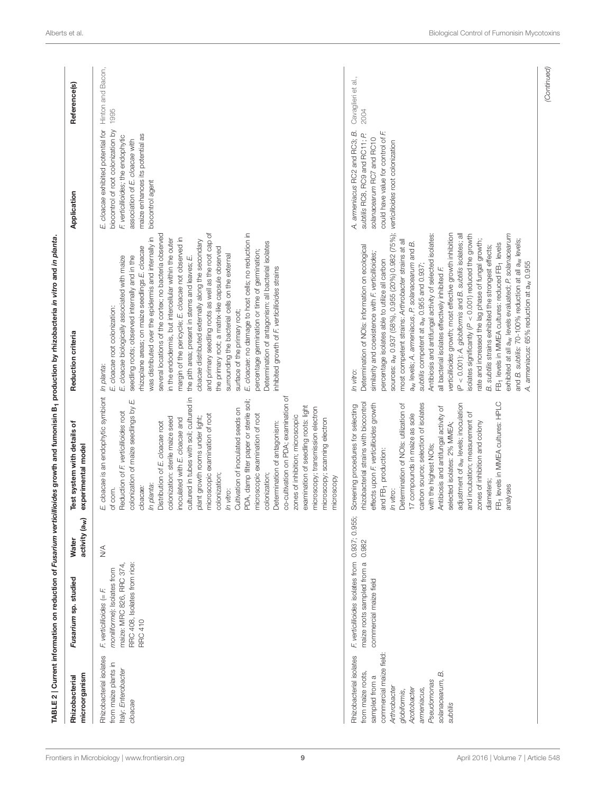<span id="page-8-0"></span>

| microorganism<br>Rhizobacterial                                                                                                                                                                                | Fusarium sp. studied                                                                                                                        | activity (a <sub>w</sub> )<br>Water | ৳<br>Test system with details<br>experimental model                                                                                                                                                                                                                                                                                                                                                                                                                                                                                                                                                                                                                                                                                                                                                  | Reduction criteria                                                                                                                                                                                                                                                                                                                                                                                                                                                                                                                                                                                                                                                                                                                                                                                                                                                                                                                                                                                                                                                                                                   | Application                                                                                                                                                                                             | Reference(s)               |
|----------------------------------------------------------------------------------------------------------------------------------------------------------------------------------------------------------------|---------------------------------------------------------------------------------------------------------------------------------------------|-------------------------------------|------------------------------------------------------------------------------------------------------------------------------------------------------------------------------------------------------------------------------------------------------------------------------------------------------------------------------------------------------------------------------------------------------------------------------------------------------------------------------------------------------------------------------------------------------------------------------------------------------------------------------------------------------------------------------------------------------------------------------------------------------------------------------------------------------|----------------------------------------------------------------------------------------------------------------------------------------------------------------------------------------------------------------------------------------------------------------------------------------------------------------------------------------------------------------------------------------------------------------------------------------------------------------------------------------------------------------------------------------------------------------------------------------------------------------------------------------------------------------------------------------------------------------------------------------------------------------------------------------------------------------------------------------------------------------------------------------------------------------------------------------------------------------------------------------------------------------------------------------------------------------------------------------------------------------------|---------------------------------------------------------------------------------------------------------------------------------------------------------------------------------------------------------|----------------------------|
| Rhizobacterial isolates<br>from maize plants in<br>Italy: Enterobacter<br>cloacae                                                                                                                              | RRC 408, Isolates from rice:<br>maize: MRC 826, RRC 374,<br>moniliforme): Isolates from<br>$F$ , verticillioides (= $F$ ,<br><b>RRC 410</b> | $\stackrel{\triangleleft}{\geq}$    | E. cloacae is an endophytic symbiont<br>co-cultivation on PDA; examination of<br>cultured in tubes with soil; cultured in<br>PDA, damp filter paper or sterile soil;<br>Щ<br>examination of seedling roots: light<br>colonization of maize seedlings by<br>microscopy; transmission electron<br>Cultivation of inoculated seeds on<br>Reduction of F. verticillioides root<br>microscopic examination of root<br>microscopic examination of root<br>zones of inhibition; microscopic<br>plant growth rooms under light;<br>colonization: sterile maize seed<br>inoculated with E. cloacae and<br>microscopy; scanning electron<br>Distribution of E. cloacae root<br>Determination of antagonism:<br>colonization;<br>colonization;<br>microscopy<br>In planta:<br>cloacae:<br>of corn.<br>In vitro: | and primary seedling roots as well as the root cap of<br>E. cloacae: no damage to host cells; no reduction in<br>several locations of the cortex; no bacteria observed<br>was distributed over the epidermis and internally in<br>margin of the pericycle; E. cloacae not observed in<br>in the endodermis, but intercellular within the outer<br>cloacae distributed externally along the secondary<br>Determination of antagonism: all bacterial isolates<br>thizoplane areas; on maize seedlings E. cloacae<br>the primary root; a matrix-like capsule observed<br>percentage germination or time of germination;<br>surrounding the bacterial cells on the external<br>seedling roots; observed internally and in the<br>E. cloacae biologically associated with maize<br>the pith area; present in stems and leaves; E.<br>inhibited growth of F. verticillioides strains<br>E. cloacae root colonization:<br>surface of the primary root;<br>In planta:                                                                                                                                                        | E. cloacae exhibited potential for<br>biocontrol of root colonization by<br>maize enhances its potential as<br>F. verticillioides; the endophytic<br>association of E. cloacae with<br>biocontrol agent | Hinton and Bacon,<br>1995  |
| commercial maize field:<br>Rhizobacterial isolates<br>from maize roots,<br>ΩÓ<br>sampled from a<br>solanacearum,<br>Pseudomonas<br>Arthrobacter<br><b>Azotobacter</b><br>ameniacus<br>globifornis,<br>subtilis | F. verticillioides isolates from 0.937; 0.955<br>maize roots sampled from a<br>commercial maize field                                       | 0.982                               | FB <sub>1</sub> levels in MMEA cultures: HPLC<br>rhizobacterial strains with biocontrol<br>adjustment of a <sub>w</sub> levels; inoculation<br>effects upon F. verticillioides growth<br>carbon source; selection of isolates<br>Determination of NOIs: utilization of<br>Screening procedures for selecting<br>Antibiosis and antifungal activity of<br>and incubation; measurement of<br>17 compounds in maize as sole<br>zones of inhibition and colony<br>selected isolates: 2% MMEA;<br>with the highest NOIs;<br>and FB <sub>1</sub> production:<br>diameters;<br>analyses<br>In vitro:                                                                                                                                                                                                        | sources: a <sub>w</sub> 0.937 (58%), 0.955 (20%) 0.982 (75%);<br>verticillioides growth; most effective growth inhibition<br>(P < 0.001): A. globiformis and B. subtilis isolates; all<br>exhibited at all a <sub>w</sub> levels evaluated; P. solanacearum<br>Antibiosis and antifungal activity of selected isolates:<br>isolates significantly ( $P < 0.001$ ) reduced the growth<br>rate and increased the lag phase of fungal growth;<br>and B. subtilis: 70-100% reduction at all a <sub>w</sub> levels;<br>most competent strains: Arthrobacter strains at all<br>a <sub>w</sub> levels; A. armeniacus, P. solanacearum and B.<br>FB <sub>1</sub> levels in MMEA cultures: reduced FB <sub>1</sub> levels<br>Determination of NOIs: information on ecological<br>B. subtilis strains exhibited the strongest effects;<br>similarity and coexistence with F verticillioides;<br>percentage isolates able to utilize all carbon<br>A. armeniacus: 65% reduction at a <sub>w</sub> 0.955<br>subtilis competent at a <sub>w</sub> 0.955 and 0.937<br>all bacterial isolates effectively inhibited F.<br>In vitro: | could have value for control of F.<br>A. armeniacus RC2 and RC3; B.<br>subtilis RC8, RC9 and RC11; P.<br>solanacearum RC7 and RC10<br>verticilloides root colonization                                  | Cavaglieri et al.,<br>2004 |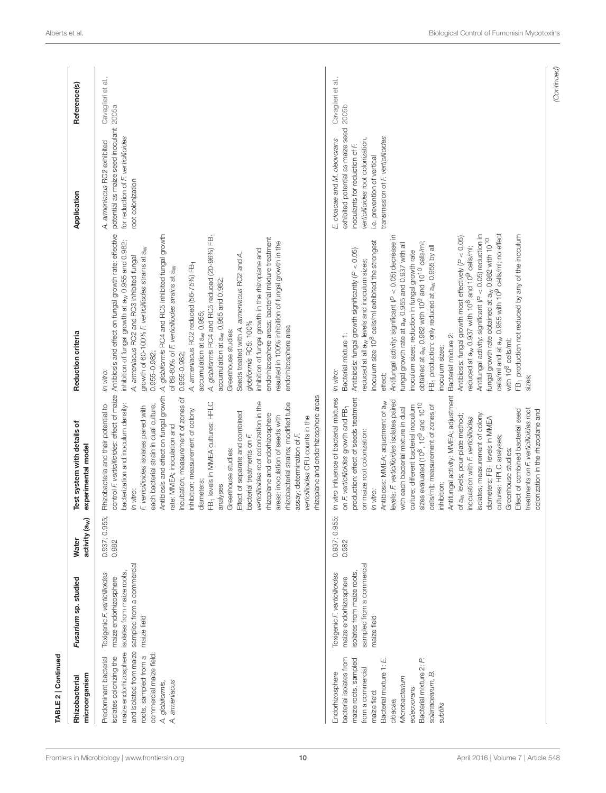| In vitro:<br>In vitro:<br>0.937; 0.955;<br>0.937; 0.955<br>0.982<br>0.982<br>sampled from a commercial<br>sampled from a commercial<br>isolates from maize roots<br>isolates from maize roots<br>Toxigenic F. verticillioides<br>Toxigenic F. verticillioides<br>maize endorhizosphere<br>maize endorhizosphere<br>maize field<br>maize field<br>and isolated from maize<br>maize endorhizosphere<br>commercial maize field:<br>roots, sampled from a<br>isolates colonizing the<br>Predominant bacterial<br>bacterial isolates from<br>Bacterial mixture 1: E.<br>maize roots, sampled<br>from a commercial<br>Endorhizosphere<br>A. ameniacus<br>A. globiformis,<br>maize field:<br>cloacae, | Test system with details of<br>experimental model<br>activity (a <sub>w</sub> )                                                                                                                                                                                                                                                                                                                                                                                                                                                                                                                                                                                                                                                                                                                                                                                            | Reduction criteria                                                                                                                                                                                                                                                                                                                                                                                                                                                                                                                                                                                                                                                                                                                                                                                                                                                                                                                                                                                                                                                                                                      | Application                                                                                                                                                                                                          | Reference(s)       |
|------------------------------------------------------------------------------------------------------------------------------------------------------------------------------------------------------------------------------------------------------------------------------------------------------------------------------------------------------------------------------------------------------------------------------------------------------------------------------------------------------------------------------------------------------------------------------------------------------------------------------------------------------------------------------------------------|----------------------------------------------------------------------------------------------------------------------------------------------------------------------------------------------------------------------------------------------------------------------------------------------------------------------------------------------------------------------------------------------------------------------------------------------------------------------------------------------------------------------------------------------------------------------------------------------------------------------------------------------------------------------------------------------------------------------------------------------------------------------------------------------------------------------------------------------------------------------------|-------------------------------------------------------------------------------------------------------------------------------------------------------------------------------------------------------------------------------------------------------------------------------------------------------------------------------------------------------------------------------------------------------------------------------------------------------------------------------------------------------------------------------------------------------------------------------------------------------------------------------------------------------------------------------------------------------------------------------------------------------------------------------------------------------------------------------------------------------------------------------------------------------------------------------------------------------------------------------------------------------------------------------------------------------------------------------------------------------------------------|----------------------------------------------------------------------------------------------------------------------------------------------------------------------------------------------------------------------|--------------------|
|                                                                                                                                                                                                                                                                                                                                                                                                                                                                                                                                                                                                                                                                                                | control F. verticillioides: effect of maize<br>Antibiosis and effect on fungal growth<br>rhizoplane and endorhizosphere areas<br>incubation; measurement of zones of<br>verticillioides root colonization in the<br>FB <sub>1</sub> levels in MMEA cultures: HPLC<br>rhizobacterial strains; modified tube<br>bacterization and inoculum density:<br>each bacterial strain in dual culture;<br>Rhizobacteria and their potential to<br>F. verticillioides isolates paired with<br>inhibition; measurement of colony<br>Effect of separate and combined<br>rhizoplane and endorhizosphere<br>areas; inoculation of seeds with<br>verticillioides CFU counts in the<br>rate: MMEA; inoculation and<br>assay; determination of F.<br>bacterial treatments on F.<br>Greenhouse studies:<br>diameters;<br>analyses                                                              | Antibiosis and effect on fungal growth rate: effective<br>A. globiformis RC4 and RC5 inhibited fungal growth<br>A. globiformis RC4 and RC5 reduced (20-96%) FB-<br>endorhizosphere areas; bacterial mixture treatment<br>inhibition of fungal growth at a <sub>w</sub> 0.955 and 0.982;<br>resulted in 100% inhibition of fungal growth in the<br>growth of 60-100% F, verticilliodes strains at a <sub>w</sub><br>inhibition of fungal growth in the rhizoplane and<br>Seeds treated with A. armeniacus RC2 and A.<br>A. armeniacus RC2 and RC3 inhibited fungal<br>A. armeniacus RC2 reduced (56-75%) FB-<br>of 69-80% of F. verticilliodes strains at aw<br>accumulation at a <sub>w</sub> 0.955 and 0.982<br>accumulation at a <sub>w</sub> 0.955;<br>globiformis RC5: 100%<br>endorhizosphere area<br>Greenhouse studies:<br>$0.955 - 0.982$<br>$0.955 - 0.982;$<br>In vitro:                                                                                                                                                                                                                                      | potential as maize seed inoculant 2005a<br>for reduction of F. verticillioides<br>A. armeniacus RC2 exhibited<br>root colonization                                                                                   | Cavaglieri et al., |
| Bacterial mixture 2: P.<br>solanacearum, B.<br>Microbacterium<br>eoleovorans<br>subtilis                                                                                                                                                                                                                                                                                                                                                                                                                                                                                                                                                                                                       | Antifungal activity: MMEA; adjustment<br>production: effect of seeds treatment<br>In vitro influence of bacterial mixtures<br>levels; F. verticillioides isolates paired<br>Antibiosis: MMEA; adjustment of a <sub>w</sub><br>sizes evaluated (10 <sup>8</sup> , 10 <sup>9</sup> and 10 <sup>10</sup><br>cells/ml); measurement of zones of<br>culture; different bacterial inoculum<br>on F. verticillioides growth and FB <sub>1</sub><br>with each bacterial mixture in dual<br>treatments on F. verticillioides root<br>Effect of combined bacterial seed<br>colonization in the rhizoplane and<br>solates; measurement of colony<br>of a <sub>w</sub> levels; pour-plate method;<br>inoculation with F. verticillioides<br>diameters; FB <sub>1</sub> levels in MMEA<br>on maize root colonization:<br>cultures: HPLC analyses;<br>Greenhouse studies:<br>inhibition; | cells/ml and at a <sub>w</sub> 0.955 with 10 <sup>9</sup> cells/ml; no effect<br>Antifungal activity: significant ( $P < 0.05$ ) reduction in<br>Antifungal activity: significant (P < 0.05) decrease in<br>FB <sub>1</sub> production not reduced by any of the inoculum<br>Antibiosis: fungal growth most effectively (P < 0.05)<br>fungal growth rate obtained at a <sub>w</sub> 0.982 with 10 <sup>10</sup><br>inoculum size 10 <sup>8</sup> cells/ml exhibited the strongest<br>obtained at a <sub>w</sub> 0.982 with 10 <sup>9</sup> and 10 <sup>10</sup> cells/ml;<br>fungal growth rate at a <sub>w</sub> 0.955 and 0.937 with all<br>FB <sub>1</sub> production: only reduced at a <sub>w</sub> 0.955 by all<br>reduced at a <sub>w</sub> 0.937 with 10 <sup>8</sup> and 10 <sup>9</sup> cells/ml;<br>Antibiosis: fungal growth significantly (P < 0.05)<br>inoculum sizes; reduction in fungal growth rate<br>reduced at all a <sub>w</sub> levels and inoculum sizes;<br>Bacterial mixture 1:<br>Bacterial mixture 2:<br>with 10 <sup>8</sup> cells/ml;<br>inoculum sizes;<br>In vitro:<br>effect;<br>sizes; | exhibited potential as maize seed 2005b<br>transmission of F. verticillioides<br>verticillioides root colonization,<br>E. cloacae and M. oleovorans<br>inoculants for reduction of F.<br>i.e. prevention of vertical | Cavaglieri et al., |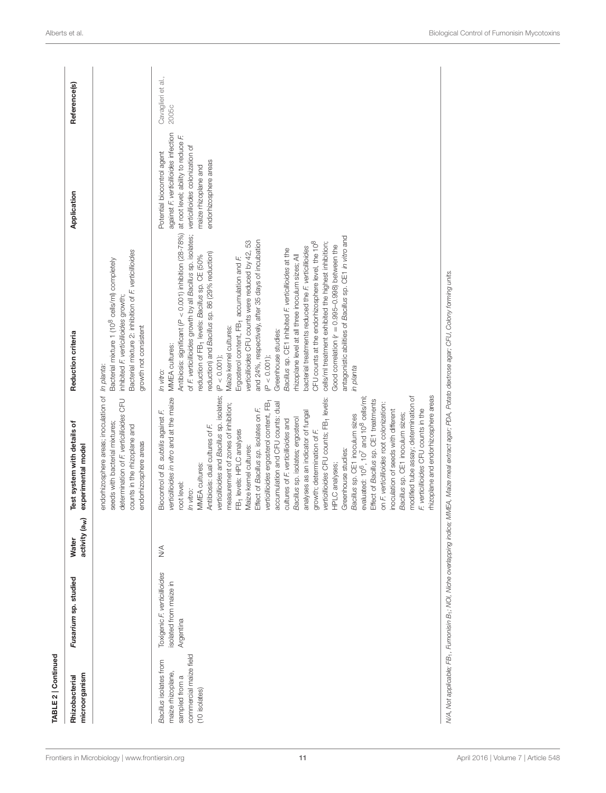| TABLE 2   Continued                                                                                     |                                                                    |                                            |                                                                                                                                                                                                                                                                                                                                                                                                                                                                                                                                                                                                                                                                                                                                                                                                                                                                                                                                                                                                                                                                                                              |                                                                                                                                                                                                                                                                                                                                                                                                                                                                                                                                                                                                                                                                                                                                                                                                                                                                                                                                                 |                                                                                                                                                                                              |                             |
|---------------------------------------------------------------------------------------------------------|--------------------------------------------------------------------|--------------------------------------------|--------------------------------------------------------------------------------------------------------------------------------------------------------------------------------------------------------------------------------------------------------------------------------------------------------------------------------------------------------------------------------------------------------------------------------------------------------------------------------------------------------------------------------------------------------------------------------------------------------------------------------------------------------------------------------------------------------------------------------------------------------------------------------------------------------------------------------------------------------------------------------------------------------------------------------------------------------------------------------------------------------------------------------------------------------------------------------------------------------------|-------------------------------------------------------------------------------------------------------------------------------------------------------------------------------------------------------------------------------------------------------------------------------------------------------------------------------------------------------------------------------------------------------------------------------------------------------------------------------------------------------------------------------------------------------------------------------------------------------------------------------------------------------------------------------------------------------------------------------------------------------------------------------------------------------------------------------------------------------------------------------------------------------------------------------------------------|----------------------------------------------------------------------------------------------------------------------------------------------------------------------------------------------|-----------------------------|
| microorganism<br>Rhizobacterial                                                                         | Fusarium sp. studied                                               | activity (a <sub>w</sub> )<br><b>Water</b> | Test system with details of<br>experimental model                                                                                                                                                                                                                                                                                                                                                                                                                                                                                                                                                                                                                                                                                                                                                                                                                                                                                                                                                                                                                                                            | Reduction criteria                                                                                                                                                                                                                                                                                                                                                                                                                                                                                                                                                                                                                                                                                                                                                                                                                                                                                                                              | Application                                                                                                                                                                                  | Reference(s)                |
|                                                                                                         |                                                                    |                                            | endorhizosphere areas; inoculation of<br>determination of F. verticillioides CFU<br>seeds with bacterial mixtures;<br>counts in the rhizoplane and<br>endorhizosphere areas                                                                                                                                                                                                                                                                                                                                                                                                                                                                                                                                                                                                                                                                                                                                                                                                                                                                                                                                  | Bacterial mixture 2: inhibition of F. verticillioides<br>Bacterial mixture 1 (10 <sup>8</sup> cells/ml) completely<br>inhibited F. verticillioides growth;<br>growth not consistent<br>In planta:                                                                                                                                                                                                                                                                                                                                                                                                                                                                                                                                                                                                                                                                                                                                               |                                                                                                                                                                                              |                             |
| commercial maize field<br>Bacillus isolates from<br>maize rhizoplane<br>sampled from a<br>(10 isolates) | Toxigenic F. verticillioides<br>solated from maize in<br>Argentina | $\stackrel{\triangle}{\geq}$               | /erticillioides and Bacillus sp. isolates;<br>thizoplane and endorhizosphere areas<br>modified tube assay; determination of<br>verticillioides in vitro and at the maize<br>verticillioides CFU counts; FB <sub>1</sub> levels:<br>evaluated: 10 <sup>6</sup> , 10 <sup>7</sup> and 10 <sup>8</sup> cells/ml<br>Effect of Bacillus sp. CE1 treatments<br>verticillioides ergosterol content, FB-<br>accumulation and CFU counts: dual<br>on F. verticillioides root colonization:<br>measurement of zones of inhibition;<br>Effect of Bacillus sp. isolates on F.<br>F. verticillioides CFU counts in the<br>Biocontrol of B. subtilis against F.<br>inoculation of seeds with different<br>analyses as an indicator of fungal<br>Bacillus sp. CE1 inoculum sizes;<br>Bacillus sp. CE1 inoculum sizes<br>Bacillus sp. isolates; ergosterol<br>cultures of F. verticillioides and<br>Antibiosis: dual cultures of F.<br>FB <sub>1</sub> levels: HPLC analyses<br>growth; determination of F.<br>Maize kernel cultures:<br>Greenhouse studies:<br>MMEA cultures:<br>HPLC analyses;<br>root level:<br>In vitro: | Antibiosis: significant (P < 0.001) inhibition (28-78%)<br>of F. verticillioides growth by all Bacillus sp. isolates;<br>antagonistic abilities of Bacillus sp. CE1 in vitro and<br>and 24%, respectively, after 35 days of incubation<br>verticillioides CFU counts were reduced by 42, 53<br>OFU counts at the endorhizosphere level, the 10 <sup>8</sup><br>cells/ml treatment exhibited the highest inhibition;<br>Good correlation $(r = 0.995 - 0.998)$ between the<br>pacterial treatments reduced the F. verticillioides<br>Bacillus sp. CE1 inhibited F. verticillioides at the<br>reduction) and Bacillus sp. 86 (29% reduction)<br>reduction of FB- levels: Bacillus sp. CE (50%<br>thizoplane level at all three inoculum sizes; All<br>Ergosterol content, FB <sub>1</sub> accumulation and F<br>Maize kernel cultures:<br>Greenhouse studies:<br>MMEA cultures:<br>$P < 0.001$ );<br>$(P < 0.001)$ ;<br>planta<br>In vitro:<br>Q. | against F. verticillioides infection<br>at root level; ability to reduce F<br>verticillioides colonization of<br>Potential biocontrol agent<br>endorhizosphere areas<br>maize rhizoplane and | Cavaglieri et al.,<br>2005c |
|                                                                                                         |                                                                    |                                            |                                                                                                                                                                                                                                                                                                                                                                                                                                                                                                                                                                                                                                                                                                                                                                                                                                                                                                                                                                                                                                                                                                              | N/A, Not applicable; FB1, Fumonisin B1; NOI, Niche overlapping indice; MMEA, Maize meal extract agar; PDA, Potato dextrose agar; CFU, Colony forming units.                                                                                                                                                                                                                                                                                                                                                                                                                                                                                                                                                                                                                                                                                                                                                                                     |                                                                                                                                                                                              |                             |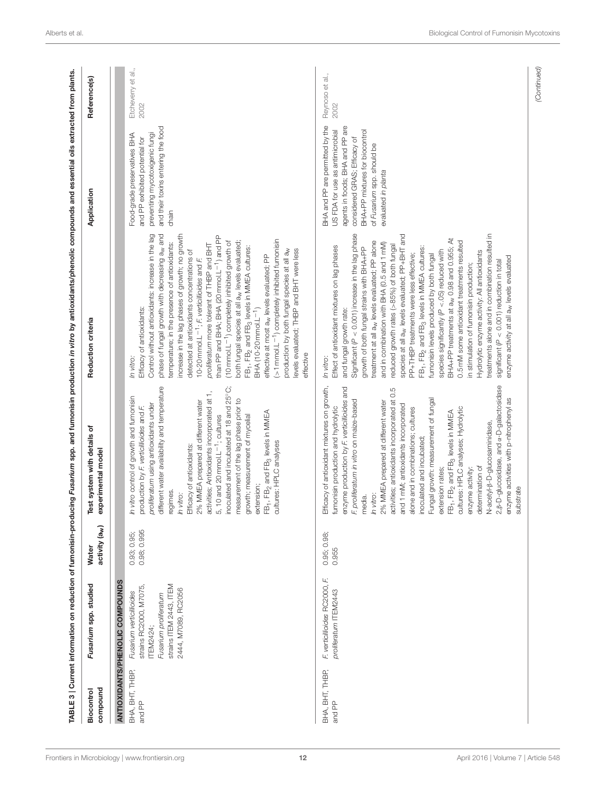<span id="page-11-0"></span>

| compound<br>Biocontrol    | Fusarium spp. studied                                                                                                                     | activity (a <sub>w</sub> )<br><b>Water</b> | Test system with details of<br>experimental model                                                                                                                                                                                                                                                                                                                                                                                                                                                                                                                                                                                                                                                                                                                         | Reduction criteria                                                                                                                                                                                                                                                                                                                                                                                                                                                                                                                                                                                                                                                                                                                                                                                                                                                                                                                                                                                                | Application                                                                                                                                                                                                                  | Reference(s)               |
|---------------------------|-------------------------------------------------------------------------------------------------------------------------------------------|--------------------------------------------|---------------------------------------------------------------------------------------------------------------------------------------------------------------------------------------------------------------------------------------------------------------------------------------------------------------------------------------------------------------------------------------------------------------------------------------------------------------------------------------------------------------------------------------------------------------------------------------------------------------------------------------------------------------------------------------------------------------------------------------------------------------------------|-------------------------------------------------------------------------------------------------------------------------------------------------------------------------------------------------------------------------------------------------------------------------------------------------------------------------------------------------------------------------------------------------------------------------------------------------------------------------------------------------------------------------------------------------------------------------------------------------------------------------------------------------------------------------------------------------------------------------------------------------------------------------------------------------------------------------------------------------------------------------------------------------------------------------------------------------------------------------------------------------------------------|------------------------------------------------------------------------------------------------------------------------------------------------------------------------------------------------------------------------------|----------------------------|
|                           | ANTIOXIDANTS/PHENOLIC COMPOUNDS                                                                                                           |                                            |                                                                                                                                                                                                                                                                                                                                                                                                                                                                                                                                                                                                                                                                                                                                                                           |                                                                                                                                                                                                                                                                                                                                                                                                                                                                                                                                                                                                                                                                                                                                                                                                                                                                                                                                                                                                                   |                                                                                                                                                                                                                              |                            |
| ВНА, ВНТ, ТНВР,<br>and PP | strains ITEM 2443, ITEM<br>strains RC2000, M7075,<br>2444, M7089, RC2056<br>Fusarium verticillioides<br>Fusarium proliferatum<br>TEM2424; | 0.98; 0.995<br>0.93; 0.95;                 | different water availability and temperature<br>activities; Antioxidants incorporated at 1,<br>5, 10 and 20 mmol.L <sup>-1</sup> ; cultures<br>inoculated and incubated at 18 and 25°C;<br>In vitro control of growth and fumonisin<br>measurement of the lag phase prior to<br>Efficacy of antioxidants:<br>2% MMEA prepared at different water<br>proliferatum using antioxidants under<br>production by F verticillioides and F.<br>FB <sub>1</sub> , FB <sub>2</sub> and FB <sub>3</sub> levels in MMEA<br>growth; measurement of mycelial<br>cultures: HPLC analyses<br>extension;<br>regimes.<br>In vitro:                                                                                                                                                          | Control without antioxidants: increase in the lag<br>phase of fungal growth with decreasing a <sub>w</sub> and<br>increase in the lag phases of growth; no growth<br>than PP and BHA; BHA (20 mmol.L <sup>-1</sup> ) and PP<br>>1 mmol.L <sup>-1</sup> ) completely inhibited fumonisin<br>(10 mmol.L <sup>-1</sup> ) completely inhibited growth of<br>both fungal species at all a <sub>w</sub> levels evaluated;<br>temperature; in the presence of antioxidants:<br>proliferatum more tolerant of THBP and BHT<br>FB <sub>1</sub> , FB <sub>2</sub> and FB <sub>3</sub> levels in MMEA cultures:<br>evels evaluated; THBP and BHT were less<br>production by both fungal species at all aw<br>detected at antioxidants concentrations of<br>effective at most a <sub>w</sub> levels evaluated; PP<br>10-20 mmol.L <sup>-1</sup> ; F, verticillioides and F.<br>Efficacy of antioxidants:<br>BHA (10-20 mmol.L <sup>-1</sup> )<br>effective<br>In vitro:                                                       | and their toxins entering the food<br>Food-grade preservatives BHA<br>preventing mycotoxigenic fung<br>and PP exhibited potential for<br>chain                                                                               | Etcheverry et al.,<br>2002 |
| ВНА, ВНТ, ТНВР,<br>and PP | F.<br>F. verticillioides RC2000,<br>proliferatum ITEM2443                                                                                 | 0.95; 0.98;<br>0.955                       | 2, B-D-glucosidase, and $\alpha$ -D-galactosidase<br>Efficacy of antioxidant mixtures on growth,<br>enzyme production by F. verticillioides and<br>activities; antioxidants incorporated at 0.5<br>enzyme activities with p-nitrophenyl as<br>inoculated and incubated;<br>Fungal growth: measurement of fungal<br>proliferatum in vitro on maize-based<br>In vitro:<br>2% MMEA prepared at different water<br>and 1 mM; antioxidants incorporated<br>fumonisin production and hydrolytic<br>alone and in combinations; cultures<br>cultures: HPLC analyses; Hydrolytic<br>FB <sub>1</sub> , FB <sub>2</sub> and FB <sub>3</sub> levels in MMEA<br>N-acetyl-ß-D-glucosaminidase,<br>determination of<br>enzyme activity:<br>extension rates;<br>substrate<br>media.<br>Н. | Significant ( $P < 0.001$ ) increase in the lag phase<br>treatments alone and in combination resulted in<br>species at all a <sub>w</sub> levels evaluated; PP+BHT and<br>BHA+PP treatments at a <sub>w</sub> 0.98 and 0.955; At<br>0.5 mM some antioxidant treatments resulted<br>treatment at all a <sub>w</sub> levels evaluated; PP alone<br>and in combination with BHA (0.5 and 1 mM)<br>reduced growth rates (>85%) of both fungal<br>Effect of antioxidant mixtures on lag phases<br>growth of both fungal strains with BHA+PP<br>FB <sub>1</sub> , FB <sub>2</sub> and FB <sub>3</sub> levels in MMEA cultures:<br>species significantly ( $P < 05$ ) reduced with<br>Hydrolytic enzyme activity: All antioxidants<br>PP+THBP treatments were less effective;<br>fumonisin levels produced by both fungal<br>enzyme activity at all a <sub>w</sub> levels evaluated<br>significant ( $P < 0.001$ ) reduction in total<br>in stimulation of fumonisin production;<br>and fungal growth rate:<br>In vitro: | BHA and PP are permitted by the<br>agents in foods; BHA and PP are<br>BHA+PP mixtures for biocontrol<br>US FDA for use as antimicrobial<br>considered GRAS; Efficacy of<br>of Fusarium spp. should be<br>evaluated in planta | Reynoso et al.,<br>2002    |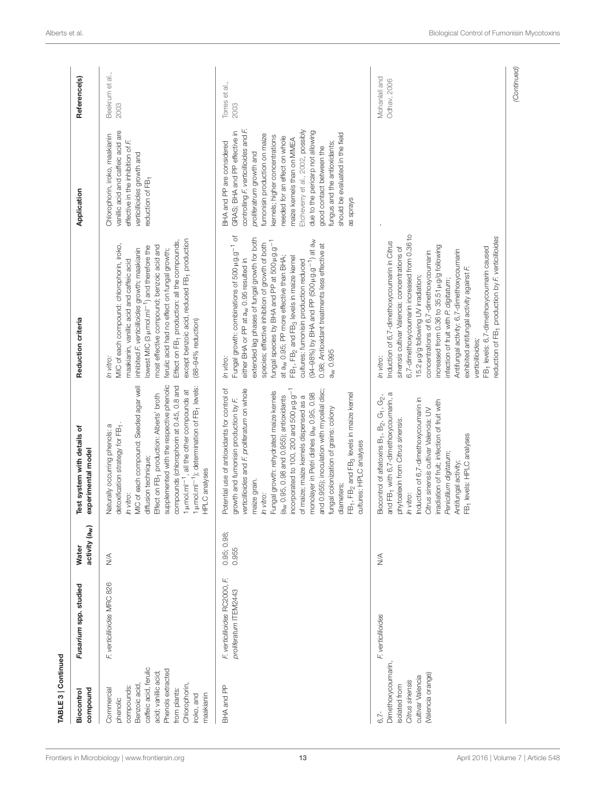| TABLE 3   Continued<br>Biocontrol                                                                                                                                                                   | Fusarium spp. studied                                      | activity (a <sub>w</sub> )<br><b>Water</b> | Test system with details of                                                                                                                                                                                                                                                                                                                                                                                                                                                                                                                                                                                                                    | Reduction criteria                                                                                                                                                                                                                                                                                                                                                                                                                                                                                                                                                                                                          | Application                                                                                                                                                                                                                                                                                                                                                                                                                                             | Reference(s)                 |
|-----------------------------------------------------------------------------------------------------------------------------------------------------------------------------------------------------|------------------------------------------------------------|--------------------------------------------|------------------------------------------------------------------------------------------------------------------------------------------------------------------------------------------------------------------------------------------------------------------------------------------------------------------------------------------------------------------------------------------------------------------------------------------------------------------------------------------------------------------------------------------------------------------------------------------------------------------------------------------------|-----------------------------------------------------------------------------------------------------------------------------------------------------------------------------------------------------------------------------------------------------------------------------------------------------------------------------------------------------------------------------------------------------------------------------------------------------------------------------------------------------------------------------------------------------------------------------------------------------------------------------|---------------------------------------------------------------------------------------------------------------------------------------------------------------------------------------------------------------------------------------------------------------------------------------------------------------------------------------------------------------------------------------------------------------------------------------------------------|------------------------------|
| caffeic acid, ferulic<br>Phenols extracted<br>acid; vanillic acid;<br>Benzoic acid,<br>Chlorophorin,<br>compounds:<br>compound<br>Commercial<br>from plants:<br>iroko, and<br>maakianin<br>phenolic | F. verticillioides MRC 826                                 | $\lessgtr$                                 | supplemented with the respective phenolic<br>MIC of each compound: Seeded agar well<br>compounds (chlorophorin at 0.45, 0.8 and<br>1 µmol.ml <sup>-1</sup> , all the other compounds at<br>1 µmol.ml <sup>-1</sup> ); determination of FB <sub>1</sub> levels:<br>Effect on FB <sub>1</sub> production: Alberts' broth<br>detoxification strategy for FB1.<br>Naturally occurring phenols: a<br>experimental model<br>diffusion technique;<br>HPLC analyses<br>In vitro:                                                                                                                                                                       | except benzoic acid, reduced FB <sub>1</sub> production<br>Effect on FB <sub>1</sub> production: all the compounds,<br>MIC of each compound: chlorophorin, iroko,<br>most effective compound; benzoic acid and<br>owest MIC (3 µ mol.ml <sup>-1</sup> ) and therefore the<br>inhibited F. verticillioides growth; maakianin<br>ferulic acid had no effect on fungal growth;<br>maakianin, vanillic acid and caffeic acid<br>(88-94% reduction)<br>In vitro:                                                                                                                                                                 | vanilic acid and caffeic acid are<br>Chlorophorin, iroko, maakianin<br>effective in the inhibition of F.<br>verticillioides growth and<br>reduction of FB <sub>1</sub>                                                                                                                                                                                                                                                                                  | Beekrum et al.,<br>2003      |
| BHA and PP                                                                                                                                                                                          | LĽ.<br>F. verticillioides RC2000,<br>proliferatum ITEM2443 | 0.95; 0.98;<br>0.955                       | Potential use of antioxidants for control of<br>verticillioides and F. proliferatum on whole<br>incorporated to 100, 200 and 500 µg.g <sup>-1</sup><br>and 0.955); inoculation with mycelial disc;<br>Fungal growth: rehydrated maize kernels<br>monolayer in Petri dishes (a <sub>w</sub> 0.95, 0.98<br>FB <sub>1</sub> , FB <sub>2</sub> and FB <sub>3</sub> levels in maize kernel<br>of maize; maize kernels dispensed as a<br>(a <sub>w</sub> 0.95, 0.98 and 0.955); antioxidants<br>growth and fumonisin production by F.<br>fungal colonization of grains: colony<br>cultures: HPLC analyses<br>maize grain.<br>diameters;<br>In vitro: | Fungal growth: combinations of 500 µg.g <sup>-1</sup> of<br>extended lag phases of fungal growth for both<br>(94-98%) by BHA and PP (500 µg.g <sup>-1</sup> ) at a <sub>w</sub><br>fungal species by BHA and PP at 500 µg.g <sup>-1</sup><br>species; effective inhibition of growth of both<br>0.98; Antioxidant treatments less effective at<br>at a <sub>w</sub> 0.95; PP more effective than BHA;<br>FB <sub>1</sub> , FB <sub>2</sub> and FB <sub>3</sub> levels in maize kernel<br>either BHA or PP at a <sub>w</sub> 0.95 resulted in<br>cultures: fumonisin production reduced<br>a <sub>w</sub> 0.995<br>In vitro: | controlling F. verticillioides and F.<br>Etcheverry et al., 2002, possibly<br>due to the pericarp not allowing<br>GRAS; BHA and PP effective in<br>should be evaluated in the field<br>fumonisin production on maize<br>kernels; higher concentrations<br>needed for an effect on whole<br>maize kernels than on MMEA<br>BHA and PP are considered<br>fungus and the antioxidants;<br>good contact between the<br>proliferatrum growth and<br>as sprays | Torres et al.,<br>2003       |
| Dimethoxycoumarin,<br>(Valencia orange)<br>cultivar Valencia<br>Citrus sinensis<br>isolated from<br>$6,7-$                                                                                          | F. verticillioides                                         | $\lessgtr$                                 | and FB <sub>1</sub> with 6,7-dimethoxycoumarin, a<br>Biocontrol of aflatoxins B <sub>1</sub> , B <sub>2</sub> , G <sub>1</sub> , G <sub>2</sub> ,<br>Induction of 6,7-dimethoxycoumarin in<br>irradiation of fruit; infection of fruit with<br>Citrus sinensis cultivar Valencia: UV<br>phytoalexin from Citrus sinensis.<br>FB <sub>1</sub> levels: HPLC analyses<br>Penicillium digitatum;<br>Antifungal activity;<br>In vitro:                                                                                                                                                                                                              | 6,7-dimethoxycoumarin increased from 0.36 to<br>reduction of FB <sub>1</sub> production by F. verticillioides<br>Induction of 6,7-dimethoxycoumarin in Citrus<br>ncreased from 0.36 to 35.51 µg/g following<br>sinensis cultivar Valencia: concentrations of<br>FB <sub>1</sub> levels: 6,7-dimethoxycoumarin caused<br>Antifungal activity: 6,7-dimethoxycoumarin<br>concentrations of 6,7-dimethoxycoumarin<br>exhibited antifungal activity against F.<br>15.2 µg/g following UV irradiation;<br>infection of fruit with P. digitatum;<br>verticillioides;<br>In vitro:                                                  |                                                                                                                                                                                                                                                                                                                                                                                                                                                         | Mohaniall and<br>Odhav, 2006 |
|                                                                                                                                                                                                     |                                                            |                                            |                                                                                                                                                                                                                                                                                                                                                                                                                                                                                                                                                                                                                                                |                                                                                                                                                                                                                                                                                                                                                                                                                                                                                                                                                                                                                             |                                                                                                                                                                                                                                                                                                                                                                                                                                                         | (Continued)                  |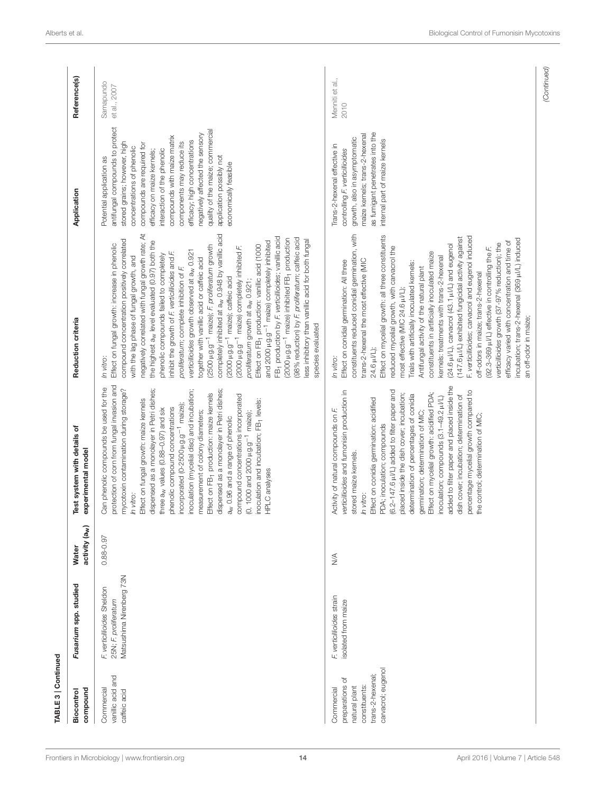| TABLE 3   Continued                                                                                       |                                                                                |                                            |                                                                                                                                                                                                                                                                                                                                                                                                                                                                                                                                                                                                                                                                                                                                                                                             |                                                                                                                                                                                                                                                                                                                                                                                                                                                                                                                                                                                                                                                                                                                                                                                                                                                                                                                                                                                                                                                                                                                                                                                                            |                                                                                                                                                                                                                                                                                                                                                                                                                                               |                           |
|-----------------------------------------------------------------------------------------------------------|--------------------------------------------------------------------------------|--------------------------------------------|---------------------------------------------------------------------------------------------------------------------------------------------------------------------------------------------------------------------------------------------------------------------------------------------------------------------------------------------------------------------------------------------------------------------------------------------------------------------------------------------------------------------------------------------------------------------------------------------------------------------------------------------------------------------------------------------------------------------------------------------------------------------------------------------|------------------------------------------------------------------------------------------------------------------------------------------------------------------------------------------------------------------------------------------------------------------------------------------------------------------------------------------------------------------------------------------------------------------------------------------------------------------------------------------------------------------------------------------------------------------------------------------------------------------------------------------------------------------------------------------------------------------------------------------------------------------------------------------------------------------------------------------------------------------------------------------------------------------------------------------------------------------------------------------------------------------------------------------------------------------------------------------------------------------------------------------------------------------------------------------------------------|-----------------------------------------------------------------------------------------------------------------------------------------------------------------------------------------------------------------------------------------------------------------------------------------------------------------------------------------------------------------------------------------------------------------------------------------------|---------------------------|
| compound<br>Biocontrol                                                                                    | Fusarium spp. studied                                                          | activity (a <sub>w</sub> )<br><b>Water</b> | Test system with details of<br>experimental model                                                                                                                                                                                                                                                                                                                                                                                                                                                                                                                                                                                                                                                                                                                                           | Reduction criteria                                                                                                                                                                                                                                                                                                                                                                                                                                                                                                                                                                                                                                                                                                                                                                                                                                                                                                                                                                                                                                                                                                                                                                                         | Application                                                                                                                                                                                                                                                                                                                                                                                                                                   | Reference(s)              |
| vanilic acid and<br>Commercial<br>caffeic acid                                                            | Matsushima Nirenberg 73N<br>F. verticillioides Sheldon<br>25N; F. proliferatum | $0.88 - 0.97$                              | protection of corn from fungal invasion and<br>Can phenolic compounds be used for the<br>mycotoxin contamination during storage?<br>dispensed as a monolayer in Petri dishes;<br>inoculation (mycelial disc) and incubation;<br>dispensed as a monolayer in Petri dishes;<br>Effect on FB <sub>1</sub> production: maize kernels<br>compound concentrations incorporated<br>Effect on fungal growth: maize kernels<br>inoculation and incubation; FB <sub>1</sub> levels:<br>incorporated (0-2500 µg.g <sup>-1</sup> maize);<br>phenolic compound concentrations<br>three a <sub>w</sub> values (0.88-0.97) and six<br>measurement of colony diameters;<br>$(0, 1000$ and $2000 \mu$ g.g <sup>-1</sup> maize);<br>a <sub>w</sub> 0.96 and a range of phenolic<br>HPLC analyses<br>In vitro: | completely inhibited at a <sub>w</sub> 0.948 by vanillic acid<br>negatively correlated with fungal growth rate; At<br>FB- production by F. verticillioides; vanillic acid<br>(2000 µg.g <sup>-1</sup> maize) inhibited FB <sub>1</sub> production<br>(98% reduction) by F. proliferatum; caffeic acid<br>compound concentration positively correlated<br>less inhibitory than vanillic acid for both fungal<br>the highest a <sub>w</sub> level evaluated (0.97) both the<br>and 2000 µg.g <sup>-1</sup> maize) completely inhibited<br>Effect on fungal growth: increase in phenolic<br>Effect on FB <sub>1</sub> production: vanillic acid (1000<br>(2500 µg.g <sup>-1</sup> maize); F. proliferatum growth<br>(2000 µg.g <sup>-1</sup> maize) completely inhibited F.<br>verticillioides growth observed at a <sub>w</sub> 0.921<br>inhibit the growth of F. verticillioides and F.<br>phenolic compounds failed to completely<br>with the lag phase of fungal growth, and<br>together with vanillic acid or caffeic acid<br>proliferatum; complete inhibition of F.<br>(2000 µg.g <sup>-1</sup> maize); caffeic acid<br>proliferatum growth at a <sub>w</sub> 0.921;<br>species evaluated<br>In vitro: | antifungal compounds to protect<br>quality of the maize; commercial<br>negatively affected the sensory<br>compounds with maize matrix<br>efficacy; high concentrations<br>stored grains; however, high<br>components may reduce its<br>compounds are required for<br>concentrations of phenolic<br>interaction of the phenolic<br>efficacy on maize kernels;<br>application possibly not<br>Potential application as<br>economically feasible | Samapundo<br>et al., 2007 |
| carvacrol; eugenol<br>trans-2-hexenal;<br>preparations of<br>constituents:<br>natural plant<br>Commercial | F. verticillioides strain<br>isolated from maize                               | $\lessgtr$                                 | added to filter paper and placed inside the<br>(6.2-147.6 µVL) added to filter paper and<br>verticillioides and fumonisin production in<br>percentage mycelial growth compared to<br>Effect on mycelial growth: acidified PDA;<br>placed inside the dish cover; incubation;<br>determination of percentages of conidia<br>dish cover; incubation; determination of<br>inoculation; compounds (3.1-49.2 µVL)<br>Effect on conidia germination: acidified<br>Activity of natural compounds on F.<br>germination; determination of MIC;<br>the control; determination of MIC;<br>PDA; inoculation; compounds<br>stored maize kernels.<br>In vitro:                                                                                                                                             | Effect on mycelial growth: all three constituents<br>constituents reduced conidial germination, with<br>F. verticillioides; carvacrol and eugenol induced<br>(147.6 µ/L) exhibited fungicidal activity against<br>incubation; trans-2-hexenal (369 µJ/L) induced<br>efficacy varied with concentration and time of<br>verticillioides growth (37-97% reduction); the<br>(24.6 µ/L), carvacrol (43.1 µ/L) and eugenol<br>reduced mycelial growth, with carvacrol the<br>(92.3-369 µ//L) effective in controlling the F.<br>constituents in artificially inoculated maize<br>kernels: treatments with trans-2-hexenal<br>trans-2-hexenal the most effective (MIC<br>Effect on conidial germination: All three<br>Trials with artificially inoculated kernels:<br>Antifungal activity of the natural plant<br>off-odors in maize; trans-2-hexenal<br>most effective (MIC 24.6 µJ/L);<br>an off-odor in maize;<br>24.6 µ//L);<br>In vitro:                                                                                                                                                                                                                                                                     | as fumigant penetrates into the<br>maize kernels; trans-2-hexenal<br>growth, also in asymptomatic<br>internal part of maize kernels<br>Trans-2-hexenal effective in<br>controlling F. verticillioides                                                                                                                                                                                                                                         | Menniti et al.,<br>2010   |

*(Continued)*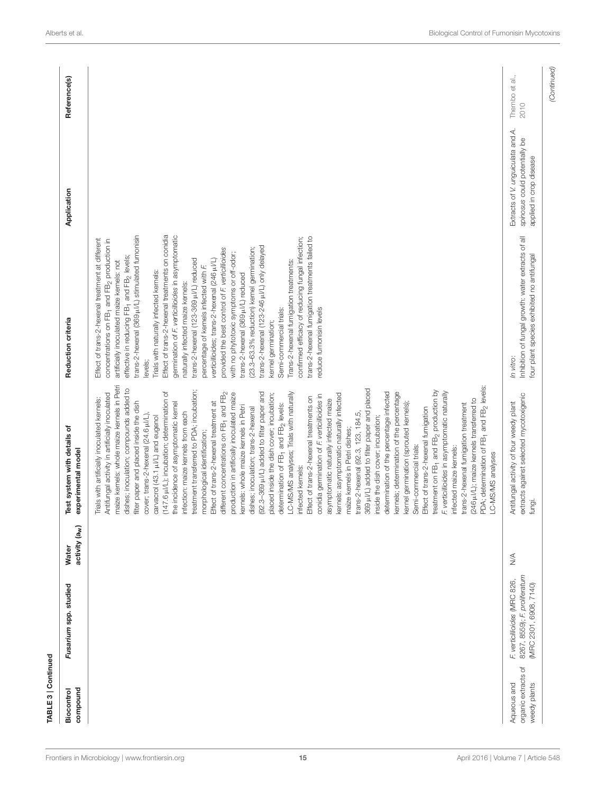|                                                    | Fusarium spp. studied                                                                  | activity (a <sub>w</sub> ) | Test system with details of<br>experimental model                                                                                                                                                                                                                                                                                                                                                                                                                                                                                                                                                                                                                                                                                                                                                                                                                                                                                                                                                                                                                                                                                                                                                                                                                                                                                                                                                                                                                                                                                                                                                                                                                                                                                                                                                                                                                         | Reduction criteria                                                                                                                                                                                                                                                                                                                                                                                                                                                                                                                                                                                                                                                                                                                                                                                                                                                                                                                                                                                                                                                                                | Application                                                                                   | Reference(s)           |
|----------------------------------------------------|----------------------------------------------------------------------------------------|----------------------------|---------------------------------------------------------------------------------------------------------------------------------------------------------------------------------------------------------------------------------------------------------------------------------------------------------------------------------------------------------------------------------------------------------------------------------------------------------------------------------------------------------------------------------------------------------------------------------------------------------------------------------------------------------------------------------------------------------------------------------------------------------------------------------------------------------------------------------------------------------------------------------------------------------------------------------------------------------------------------------------------------------------------------------------------------------------------------------------------------------------------------------------------------------------------------------------------------------------------------------------------------------------------------------------------------------------------------------------------------------------------------------------------------------------------------------------------------------------------------------------------------------------------------------------------------------------------------------------------------------------------------------------------------------------------------------------------------------------------------------------------------------------------------------------------------------------------------------------------------------------------------|---------------------------------------------------------------------------------------------------------------------------------------------------------------------------------------------------------------------------------------------------------------------------------------------------------------------------------------------------------------------------------------------------------------------------------------------------------------------------------------------------------------------------------------------------------------------------------------------------------------------------------------------------------------------------------------------------------------------------------------------------------------------------------------------------------------------------------------------------------------------------------------------------------------------------------------------------------------------------------------------------------------------------------------------------------------------------------------------------|-----------------------------------------------------------------------------------------------|------------------------|
|                                                    |                                                                                        |                            | maize kernels: whole maize kernels in Petri<br>(246 µ/L); maize kernels transferred to<br>PDA; determination of FB <sub>1</sub> and FB <sub>2</sub> levels:<br>dishes; inoculation; compounds added to<br>369 µI/L) added to filter paper and placed<br>treatment transferred to PDA; incubation;<br>treatment on FB <sub>1</sub> and FB <sub>2</sub> production by<br>F. verticillioides in asymptomatic naturally<br>(147.6 µ/L); incubation; determination of<br>LC-MS/MS analyses; Trials with naturally<br>different concentrations on FB <sub>1</sub> and FB <sub>2</sub><br>(92.3-369 µI/L) added to filter paper and<br>determination of the percentage infected<br>kernels; determination of the percentage<br>production in artificially inoculated maize<br>Antifungal activity in artificially inoculated<br>placed inside the dish cover; incubation;<br>kernels: asymptomatic naturally infected<br>conidia germination of F. verticillioides in<br>Effect of trans-2-hexenal treatments on<br>Trials with artificially inoculated kernels:<br>asymptomatic naturally infected maize<br>filter paper and placed inside the dish<br>Effect of trans-2-hexenal treatment at<br>the incidence of asymptomatic kernel<br>kernel germination (sprouted kernels);<br>determination of FB <sub>1</sub> and FB <sub>2</sub> levels:<br>trans-2-hexenal fumigation treatment<br>kernels: whole maize kernels in Petri<br>dishes; inoculation; trans-2-hexenal<br>Effect of trans-2-hexenal fumigation<br>infection: maize kernels from each<br>trans-2-hexenal (92.3, 123, 184.5)<br>cover; trans-2-hexenal (24.6 µl/L),<br>carvacrol (43.1 µVL) and eugenol<br>inside the dish cover; incubation;<br>maize kernels in Petri dishes<br>morphological identification;<br>Semi-commercial trials:<br>infected maize kernels:<br>LC-MS/MS analyses<br>infected kernels: | Effect of trans-2-hexenal treatments on conidia<br>germination of F. verticillioides in asymptomatic<br>trans-2-hexenal (369 µ/L) stimulated fumonisin<br>trans-2-hexenal fumigation treatments failed to<br>confirmed efficacy of reducing fungal infection;<br>Effect of trans-2-hexenal treatment at different<br>concentrations on FB <sub>1</sub> and FB <sub>2</sub> production in<br>trans-2-hexenal (123-246 µ/L) only delayed<br>(23.3-63.3% reduction) kernel germination;<br>provided the best control of F. verticillioides<br>with no phytotoxic symptoms or off-odor;<br>effective in reducing FB <sub>1</sub> and FB <sub>2</sub> levels;<br>verticillioides; trans-2-hexenal (246 µl/L)<br>trans-2-hexenal (123-369 µl/L) reduced<br>artificially inoculated maize kernels: not<br>Trans-2-hexenal fumigation treatments:<br>percentage of kernels infected with F.<br>Trials with naturally infected kernels:<br>trans-2-hexenal (369 µ//L) reduced<br>naturally infected maize kernels:<br>reduce fumonisin levels<br>Semi-commercial trials:<br>kernel germination;<br>levels; |                                                                                               |                        |
| organic extracts of<br>Aqueous and<br>weedy plants | 8267, 8559); F. proliferatum<br>F. verticillioides (MRC 826,<br>(MRC 2301, 6908, 7140) | $\frac{1}{2}$              | extracts against selected mycotoxigenic<br>Antifungal activity of four weedy plant<br>fungi.                                                                                                                                                                                                                                                                                                                                                                                                                                                                                                                                                                                                                                                                                                                                                                                                                                                                                                                                                                                                                                                                                                                                                                                                                                                                                                                                                                                                                                                                                                                                                                                                                                                                                                                                                                              | Inhibition of fungal growth: water extracts of all<br>four plant species exhibited no antifungal<br>In vitro:                                                                                                                                                                                                                                                                                                                                                                                                                                                                                                                                                                                                                                                                                                                                                                                                                                                                                                                                                                                     | Extracts of V. unguiculata and A.<br>spinosus could potentially be<br>applied in crop disease | Thembo et al.,<br>2010 |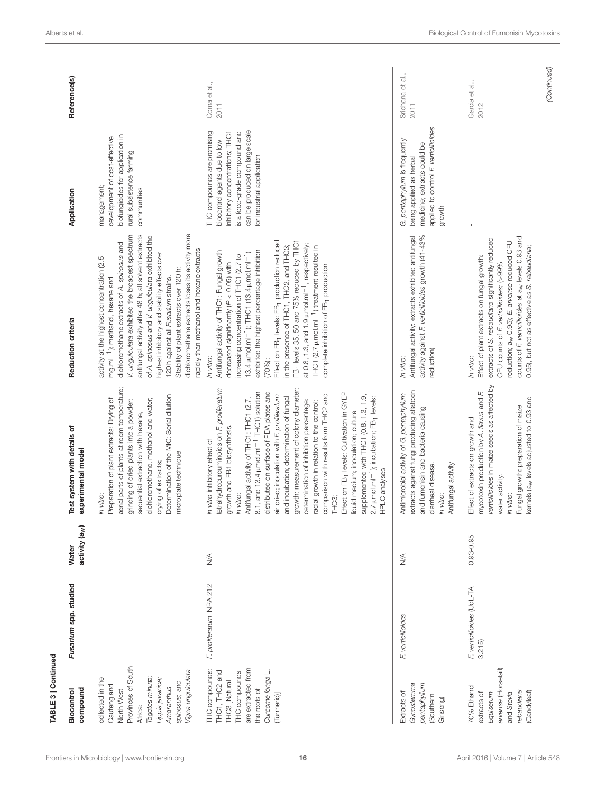| TABLE 3   Continued                                                                                                                                                       |                                      |                                            |                                                                                                                                                                                                                                                                                                                                                                                                                                                                                                                                                                                                                                                                                                                                                                                        |                                                                                                                                                                                                                                                                                                                                                                                                                                                                                                                                                                                                                                                |                                                                                                                                                                                                |                          |
|---------------------------------------------------------------------------------------------------------------------------------------------------------------------------|--------------------------------------|--------------------------------------------|----------------------------------------------------------------------------------------------------------------------------------------------------------------------------------------------------------------------------------------------------------------------------------------------------------------------------------------------------------------------------------------------------------------------------------------------------------------------------------------------------------------------------------------------------------------------------------------------------------------------------------------------------------------------------------------------------------------------------------------------------------------------------------------|------------------------------------------------------------------------------------------------------------------------------------------------------------------------------------------------------------------------------------------------------------------------------------------------------------------------------------------------------------------------------------------------------------------------------------------------------------------------------------------------------------------------------------------------------------------------------------------------------------------------------------------------|------------------------------------------------------------------------------------------------------------------------------------------------------------------------------------------------|--------------------------|
| compound<br>Biocontrol                                                                                                                                                    | Fusarium spp. studied                | activity (a <sub>w</sub> )<br><b>Water</b> | Test system with details of<br>experimental model                                                                                                                                                                                                                                                                                                                                                                                                                                                                                                                                                                                                                                                                                                                                      | Reduction criteria                                                                                                                                                                                                                                                                                                                                                                                                                                                                                                                                                                                                                             | Application                                                                                                                                                                                    | Reference(s)             |
| Provinces of South<br>Vigna unguiculata<br>Tagetes minuta;<br>collected in the<br>Lippia javanica,<br>spinosus; and<br>Gauteng and<br>Amaranthus<br>North West<br>Africa: |                                      |                                            | aerial parts of plants at room temperature;<br>Determination of the MIC: Serial dilution<br>Preparation of plant extracts: Drying of<br>dichloromethane, methanol and water;<br>grinding of dried plants into a powder;<br>sequential extraction with hexane,<br>microplate technique<br>drying of extracts;<br>In vitro:                                                                                                                                                                                                                                                                                                                                                                                                                                                              | dichloromethane extracts loses its activity more<br>V. unguiculata exhibited the broadest spectrum<br>antifungal activity after 48 h; all solvent extracts<br>of A. spinosus and V. unguiculata exhibited the<br>dichloromethane extracts of A. spinosus and<br>rapidly than methanol and hexane extracts<br>highest inhibitory and stability effects over<br>activity at the highest concentration (2.5<br>Stability of plant extracts over 120 h:<br>120h against all Fusarium strains.<br>mg.ml <sup>-1</sup> ); methanol, hexane and                                                                                                       | biofungicides for application in<br>development of cost-effective<br>rural subsistence farming<br>management;<br>communities                                                                   |                          |
| are extracted from<br>THC compounds:<br>Curcome longa L.<br>THC1, THC2 and<br>THC compounds<br><b>THC3</b> Natural<br>the roots of<br>(Turmeric)]                         | F. proliferatum INRA 212             | $\lessgtr$                                 | growth: measurement of colony diameter;<br>tetrahydrocurcuminoids on F. proliferatum<br>distributed on surface of PDA plates and<br>8.1, and 13.4 $\mu$ mol.ml <sup>-1</sup> THC1) solution<br>Effect on FB <sub>1</sub> levels: Cultivation in GYEP<br>comparison with results from THC2 and<br>air dried; inoculation with F. proliferatum<br>supplemented with THC1 (0.8, 1.3, 1.9,<br>and incubation; determination of fungal<br>2.7 µmol.ml <sup>-1</sup> ); incubation; FB <sub>1</sub> levels:<br>Antifungal activity of THC1: THC1 (2.7,<br>determination of inhibition percentage:<br>radial growth in relation to the control;<br>liquid medium; inoculation; culture<br>growth and FB1 biosynthesis<br>In vitro inhibitory effect of<br>HPLC analyses<br>In vitro:<br>THC3; | Effect on FB <sub>1</sub> levels: FB <sub>1</sub> production reduced<br>FB- levels 35, 50 and 75% reduced by THC1<br>at 0.8, 1.3, and 1.9 $\mu$ mol.ml <sup>-1</sup> , respectively;<br>in the presence of THC1, THC2, and THC3;<br>THC1 (2.7 µmol.ml <sup>-1</sup> ) treatment resulted in<br>exhibited the highest percentage inhibition<br>Antifungal activity of THC1: Fungal growth<br>13.4 $\mu$ mol.ml <sup>-1</sup> ); THC1 (13.4 $\mu$ mol.ml <sup>-1</sup> )<br>increasing concentration of THC1 (2.7 to<br>decreased significantly $(P < 0.05)$ with<br>complete inhibition of FB <sub>1</sub> production<br>In vitro:<br>$(70%)$ ; | can be produced on large scale<br>THC compounds are promising<br>is a food-grade compound and<br>inhibitory concentrations; THC1<br>biocontrol agents due to low<br>for industrial application | Coma et al.,<br>2011     |
| Gynostemma<br>pentaphyllum<br>Extracts of<br>(Southern<br>Ginseng)                                                                                                        | F. verticillioides                   | $\lessgtr$                                 | extracts against fungi producing aflatoxin<br>Antimicrobial activity of G. pentaphyllum<br>and fumonisin and bacteria causing<br>Antifungal activity<br>diarrheal disease.<br>In vitro:                                                                                                                                                                                                                                                                                                                                                                                                                                                                                                                                                                                                | activity against F. verticillioides growth (41-43%<br>Antifungal activity: extracts exhibited antifungal<br>reduction)<br>In vitro:                                                                                                                                                                                                                                                                                                                                                                                                                                                                                                            | applied to control F, verticillioides<br>G. pentaphyllum is frequently<br>medicine; extracts could be<br>being applied as herbal<br>growth                                                     | Srichana et al.,<br>2011 |
| arvense (Horsetail)<br>70% Ethanol<br>rebaudiana<br>(Candyleaf)<br>extracts of<br>and Stevia<br>Equisetum                                                                 | F. verticillioides (UdL-TA<br>3.215) | $0.93 - 0.95$                              | verticillioides in maize seeds as affected by<br>mycotoxin production by A. flavus and F.<br>kernels (a <sub>W</sub> levels adjusted to 0.93 and<br>Fungal growth: preparation of maize<br>Effect of extracts on growth and<br>water activity.<br>In vitro:                                                                                                                                                                                                                                                                                                                                                                                                                                                                                                                            | counts of F. verticillioides at a <sub>w</sub> levels 0.93 and<br>extracts of S. rebaudiana significantly reduced<br>reduction; a <sub>w</sub> 0.95); E. arvense reduced CFU<br>0.95), but not as effective as S. rebaudiana;<br>Effect of plant extracts on fungal growth:<br>CFU counts of F. verticillioides; (>99%<br>In vitro:                                                                                                                                                                                                                                                                                                            |                                                                                                                                                                                                | Garcia et al.,<br>2012   |
|                                                                                                                                                                           |                                      |                                            |                                                                                                                                                                                                                                                                                                                                                                                                                                                                                                                                                                                                                                                                                                                                                                                        |                                                                                                                                                                                                                                                                                                                                                                                                                                                                                                                                                                                                                                                |                                                                                                                                                                                                | (Continued)              |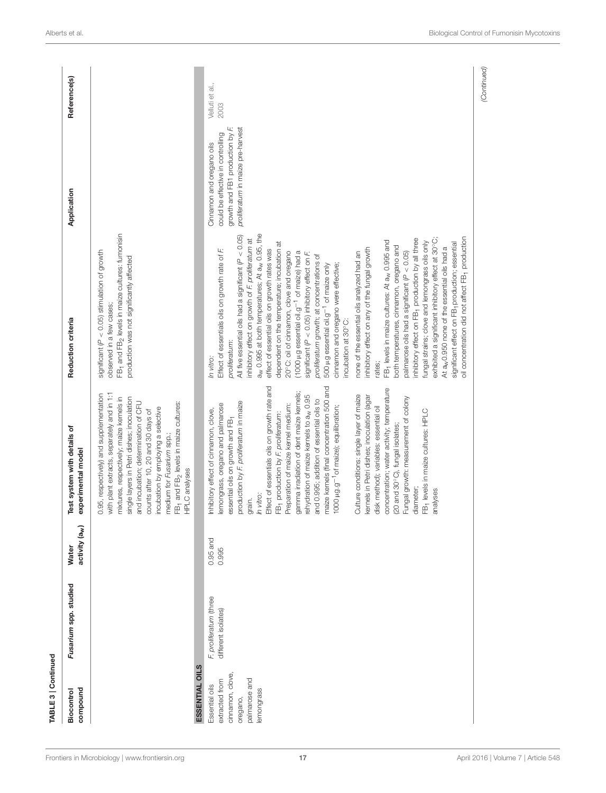| 2003<br>growth and FB1 production by F.<br>proliferatum in maize pre-harvest<br>could be effective in controlling<br>Cinnamon and oregano oils<br>FB <sub>1</sub> and FB <sub>2</sub> levels in maize cultures: fumonisin<br>a <sub>w</sub> 0.995 at both temperatures; At a <sub>w</sub> 0.95, the<br>All five essential oils had a significant $(P < 0.05)$<br>oil concentration did not affect FB <sub>1</sub> production<br>exhibited a significant inhibitory effect at 30°C;<br>inhibitory effect on FB <sub>1</sub> production by all three<br>inhibitory effect on growth of F. proliferatum at<br>FB <sub>1</sub> levels in maize cultures: At a <sub>w</sub> 0.995 and<br>fungal strains; clove and lemongrass oils only<br>dependent on the temperature; incubation at<br>significant effect on FB-production; essential<br>both temperatures, cinnamon, oregano and<br>At a <sub>w</sub> 0.950 none of the essential oils had a<br>inhibitory effect on any of the fungal growth<br>Effect of essentials oils on growth rate of F.<br>effect of essential oils on growth rates was<br>significant ( $P < 0.05$ ) stimulation of growth<br>20°C: oil of cinnamon, clove and oregano<br>(1000 µg essential oil.g <sup>-1</sup> of maize) had a<br>palmarose oils had a significant ( $P < 0.05$ )<br>significant ( $P < 0.05$ ) inhibitory effect on F.<br>none of the essential oils analyzed had an<br>proliferatum growth; at concentrations of<br>production was not significantly affected<br>500 µg essential oil.g <sup>-1</sup> of maize only<br>cinnamon and oregano were effective;<br>observed in a few cases;<br>incubation at 30°C:<br>proliferatum:<br>In vitro:<br>rates;<br>grain.<br><i>In vitro:</i><br>Effect of essentials oils on growth rate and<br>FB <sub>1</sub> production by <i>F. proliferatum:</i><br>Preparation of maize kernel medium:<br>maize kernels (final concentration 500 and<br>1000 µ.g.g <sup>-1</sup> of maize); equilibration;<br>concentration; water activity; temperature<br>gamma irradiation of dent maize kernels;<br>with plant extracts, separately and in 1:1<br>0.95, respectively) and supplementation<br>Culture conditions: single layer of maize<br>rehydration of maize kernels to a <sub>w</sub> 0.95<br>kernels in Petri dishes; inoculation (agar<br>mixtures, respectively; maize kernels in<br>single layers in Petri dishes; inoculation<br>(20 and 30°C), fungal isolates;<br>Fungal growth: measurement of colony<br>and 0.995; addition of essential oils to<br>production by F. proliferatum in maize<br>and incubation; determination of CFU<br>FB <sub>1</sub> and FB <sub>2</sub> levels in maize cultures:<br>HPLC analyses<br>lemongrass, oregano and palmarose<br>disk method); variables: essential oil<br>incubation by employing a selective<br>medium for Fusarium spp.;<br>counts after 10, 20 and 30 days of<br>Inhibitory effect of cinnamon, clove,<br>diameter;<br>FB <sub>1</sub> levels in maize cultures: HPLC<br>analyses<br>essential oils on growth and FB <sub>1</sub><br>$0.95$ and<br>0.995<br>F, proliferatum (three<br>different isolates)<br>ESSENTIAL OILS<br>cinnamon, clove,<br>palmarose and<br>extracted from<br>Essential oils<br>emongrass<br>oregano, | compound<br>Biocontrol | Fusarium spp. studied | activity (a <sub>w</sub> )<br>Water | Test system with details of<br>experimental model | Reduction criteria | Application | Reference(s)    |
|-------------------------------------------------------------------------------------------------------------------------------------------------------------------------------------------------------------------------------------------------------------------------------------------------------------------------------------------------------------------------------------------------------------------------------------------------------------------------------------------------------------------------------------------------------------------------------------------------------------------------------------------------------------------------------------------------------------------------------------------------------------------------------------------------------------------------------------------------------------------------------------------------------------------------------------------------------------------------------------------------------------------------------------------------------------------------------------------------------------------------------------------------------------------------------------------------------------------------------------------------------------------------------------------------------------------------------------------------------------------------------------------------------------------------------------------------------------------------------------------------------------------------------------------------------------------------------------------------------------------------------------------------------------------------------------------------------------------------------------------------------------------------------------------------------------------------------------------------------------------------------------------------------------------------------------------------------------------------------------------------------------------------------------------------------------------------------------------------------------------------------------------------------------------------------------------------------------------------------------------------------------------------------------------------------------------------------------------------------------------------------------------------------------------------------------------------------------------------------------------------------------------------------------------------------------------------------------------------------------------------------------------------------------------------------------------------------------------------------------------------------------------------------------------------------------------------------------------------------------------------------------------------------------------------------------------------------------------------------------------------------------------------------------------------------------------------------------------------------------------------------------------------------------------------------------------------------------------------------------------------------------------------|------------------------|-----------------------|-------------------------------------|---------------------------------------------------|--------------------|-------------|-----------------|
|                                                                                                                                                                                                                                                                                                                                                                                                                                                                                                                                                                                                                                                                                                                                                                                                                                                                                                                                                                                                                                                                                                                                                                                                                                                                                                                                                                                                                                                                                                                                                                                                                                                                                                                                                                                                                                                                                                                                                                                                                                                                                                                                                                                                                                                                                                                                                                                                                                                                                                                                                                                                                                                                                                                                                                                                                                                                                                                                                                                                                                                                                                                                                                                                                                                                         |                        |                       |                                     |                                                   |                    |             |                 |
|                                                                                                                                                                                                                                                                                                                                                                                                                                                                                                                                                                                                                                                                                                                                                                                                                                                                                                                                                                                                                                                                                                                                                                                                                                                                                                                                                                                                                                                                                                                                                                                                                                                                                                                                                                                                                                                                                                                                                                                                                                                                                                                                                                                                                                                                                                                                                                                                                                                                                                                                                                                                                                                                                                                                                                                                                                                                                                                                                                                                                                                                                                                                                                                                                                                                         |                        |                       |                                     |                                                   |                    |             |                 |
|                                                                                                                                                                                                                                                                                                                                                                                                                                                                                                                                                                                                                                                                                                                                                                                                                                                                                                                                                                                                                                                                                                                                                                                                                                                                                                                                                                                                                                                                                                                                                                                                                                                                                                                                                                                                                                                                                                                                                                                                                                                                                                                                                                                                                                                                                                                                                                                                                                                                                                                                                                                                                                                                                                                                                                                                                                                                                                                                                                                                                                                                                                                                                                                                                                                                         |                        |                       |                                     |                                                   |                    |             | Velluti et al., |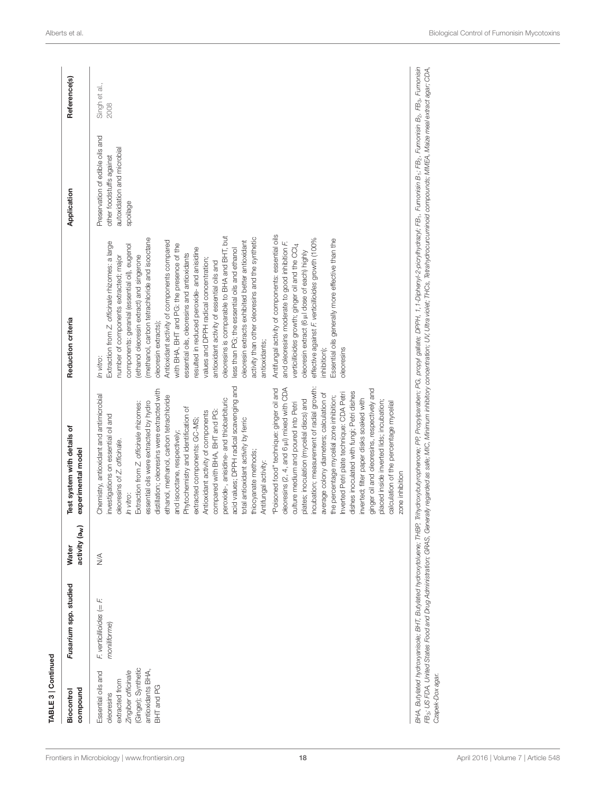| compound<br>Biocontrol                                                                                                              | Fusarium spp. studied                      | activity (a <sub>w</sub> )<br>Water | fest system with details of<br>experimental model                                                                                                                                                                                                                                                                                                                                                                                                                                                                                                                                                                                                                                                                                                                                                                                                                                                                                                                                                                                                                                                                                                                                                                                                                                          | Reduction criteria                                                                                                                                                                                                                                                                                                                                                                                                                                                                                                                                                                                                                                                                                                                                                                                                                                                                                                                                                                                                                                                                                                                     | Application                                                                                           | Reference(s)          |
|-------------------------------------------------------------------------------------------------------------------------------------|--------------------------------------------|-------------------------------------|--------------------------------------------------------------------------------------------------------------------------------------------------------------------------------------------------------------------------------------------------------------------------------------------------------------------------------------------------------------------------------------------------------------------------------------------------------------------------------------------------------------------------------------------------------------------------------------------------------------------------------------------------------------------------------------------------------------------------------------------------------------------------------------------------------------------------------------------------------------------------------------------------------------------------------------------------------------------------------------------------------------------------------------------------------------------------------------------------------------------------------------------------------------------------------------------------------------------------------------------------------------------------------------------|----------------------------------------------------------------------------------------------------------------------------------------------------------------------------------------------------------------------------------------------------------------------------------------------------------------------------------------------------------------------------------------------------------------------------------------------------------------------------------------------------------------------------------------------------------------------------------------------------------------------------------------------------------------------------------------------------------------------------------------------------------------------------------------------------------------------------------------------------------------------------------------------------------------------------------------------------------------------------------------------------------------------------------------------------------------------------------------------------------------------------------------|-------------------------------------------------------------------------------------------------------|-----------------------|
| (Ginger); Synthetic<br>antioxidants BHA,<br>Zingiber officinale<br>Essential oils and<br>extracted from<br>BHT and PG<br>oleoresins | $F$ verticillioides (= $F$<br>moniliforme) | $\frac{4}{2}$                       | acid values; DPPH radical scavenging and<br>bleoresins (2, 4, and 6 pl) mixed with CDA<br>ncubation; measurement of radial growth:<br>ginger oil and oleoresins, respectively and<br>'Poisoned food" technique: ginger oil and<br>distillation; oleoresins were extracted with<br>dishes inoculated with fungi; Petri dishes<br>average colony diameters; calculation of<br>nverted Petri plate technique: CDA Petri<br>Chemistry, antioxidant and antimicrobial<br>ethanol, methanol, carbon tetrachloride<br>the percentage mycelial zone inhibition;<br>peroxide-, anisidine- and thiobarbituric<br>nverted; filter paper disks soaked with<br>plates; inoculation (mycelial discs) and<br>placed inside inverted lids; incubation;<br>essential oils were extracted by hydro<br>calculation of the percentage mycelial<br>culture medium and poured into Petri<br>Extraction from Z. officinale rhizomes:<br>Phytochemistry and identification of<br>compared with BHA, BHT and PG:<br>Antioxidant activity of components<br>nvestigations on essential oil and<br>cotal antioxidant activity by ferric<br>extracted components: GC-MS;<br>and isooctane, respectively;<br>pleoresins of Z. officinale.<br>thiocyanate methods;<br>Antifungal activity:<br>zone inhibition<br>n vitro: | Antifungal activity of components: essential oils<br>oleoresins is comparable to BHA and BHT, but<br>(methanol, carbon tetrachloride and isooctane<br>activity than other oleoresins and the synthetic<br>effective against F. verticillioides growth (100%<br>Essential oils generally more effective than the<br>Antioxidant activity of components compared<br>oleoresin extracts exhibited better antioxidant<br>Extraction from Z. officinale rhizomes: a large<br>and oleoresins moderate to good inhibition F.<br>with BHA, BHT and PG: the presence of the<br>verticillioides growth; ginger oil and the CCI4<br>components: geranial (essential oil), eugenol<br>resulted in reduced peroxide- and anisidine<br>less than PG; the essential oils and ethanol<br>oleoresin extract (6 µl dose of each) highly<br>essential oils, oleoresins and antioxidants<br>(ethanol oleoresin extract) and singerone<br>number of components extracted; major<br>values and DPPH radical concentration;<br>antioxidant activity of essential oils and<br>oleoresin extracts);<br>antioxidants;<br>oleoresins<br>inhibition);<br>In vitro: | Preservation of edible oils and<br>autoxidation and microbial<br>other foodstuffs against<br>spoilage | Singh et al.,<br>2008 |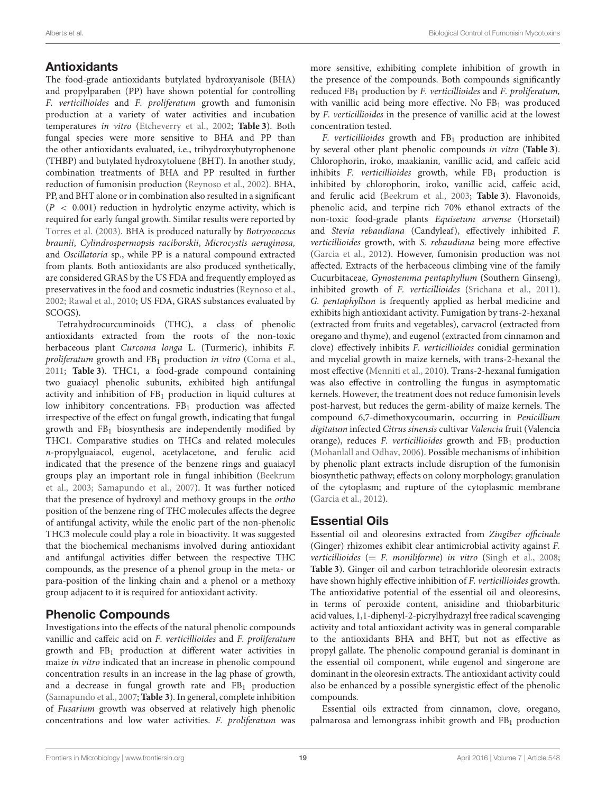# **Antioxidants**

The food-grade antioxidants butylated hydroxyanisole (BHA) and propylparaben (PP) have shown potential for controlling F. verticillioides and F. proliferatum growth and fumonisin production at a variety of water activities and incubation temperatures in vitro [\(Etcheverry et al., 2002;](#page-30-18) **[Table 3](#page-11-0)**). Both fungal species were more sensitive to BHA and PP than the other antioxidants evaluated, i.e., trihydroxybutyrophenone (THBP) and butylated hydroxytoluene (BHT). In another study, combination treatments of BHA and PP resulted in further reduction of fumonisin production [\(Reynoso et al., 2002\)](#page-32-10). BHA, PP, and BHT alone or in combination also resulted in a significant  $(P < 0.001)$  reduction in hydrolytic enzyme activity, which is required for early fungal growth. Similar results were reported by [Torres et al. \(2003\)](#page-32-11). BHA is produced naturally by Botryococcus braunii, Cylindrospermopsis raciborskii, Microcystis aeruginosa, and Oscillatoria sp., while PP is a natural compound extracted from plants. Both antioxidants are also produced synthetically, are considered GRAS by the US FDA and frequently employed as preservatives in the food and cosmetic industries [\(Reynoso et al.,](#page-32-10) [2002;](#page-32-10) [Rawal et al., 2010;](#page-32-17) US FDA, GRAS substances evaluated by SCOGS).

Tetrahydrocurcuminoids (THC), a class of phenolic antioxidants extracted from the roots of the non-toxic herbaceous plant Curcoma longa L. (Turmeric), inhibits F. proliferatum growth and  $FB<sub>1</sub>$  production in vitro [\(Coma et al.,](#page-30-19) [2011;](#page-30-19) **[Table 3](#page-11-0)**). THC1, a food-grade compound containing two guaiacyl phenolic subunits, exhibited high antifungal activity and inhibition of  $FB<sub>1</sub>$  production in liquid cultures at low inhibitory concentrations. FB<sub>1</sub> production was affected irrespective of the effect on fungal growth, indicating that fungal growth and  $FB<sub>1</sub>$  biosynthesis are independently modified by THC1. Comparative studies on THCs and related molecules n-propylguaiacol, eugenol, acetylacetone, and ferulic acid indicated that the presence of the benzene rings and guaiacyl groups play an important role in fungal inhibition (Beekrum et al., [2003;](#page-29-3) [Samapundo et al., 2007\)](#page-32-12). It was further noticed that the presence of hydroxyl and methoxy groups in the ortho position of the benzene ring of THC molecules affects the degree of antifungal activity, while the enolic part of the non-phenolic THC3 molecule could play a role in bioactivity. It was suggested that the biochemical mechanisms involved during antioxidant and antifungal activities differ between the respective THC compounds, as the presence of a phenol group in the meta- or para-position of the linking chain and a phenol or a methoxy group adjacent to it is required for antioxidant activity.

# Phenolic Compounds

Investigations into the effects of the natural phenolic compounds vanillic and caffeic acid on F. verticillioides and F. proliferatum growth and FB<sup>1</sup> production at different water activities in maize in vitro indicated that an increase in phenolic compound concentration results in an increase in the lag phase of growth, and a decrease in fungal growth rate and  $FB<sub>1</sub>$  production [\(Samapundo et al., 2007;](#page-32-12) **[Table 3](#page-11-0)**). In general, complete inhibition of Fusarium growth was observed at relatively high phenolic concentrations and low water activities. F. proliferatum was more sensitive, exhibiting complete inhibition of growth in the presence of the compounds. Both compounds significantly reduced  $FB<sub>1</sub>$  production by F. verticillioides and F. proliferatum, with vanillic acid being more effective. No FB<sub>1</sub> was produced by F. verticillioides in the presence of vanillic acid at the lowest concentration tested.

F. verticillioides growth and  $FB<sub>1</sub>$  production are inhibited by several other plant phenolic compounds in vitro (**[Table 3](#page-11-0)**). Chlorophorin, iroko, maakianin, vanillic acid, and caffeic acid inhibits F. verticillioides growth, while  $FB<sub>1</sub>$  production is inhibited by chlorophorin, iroko, vanillic acid, caffeic acid, and ferulic acid [\(Beekrum et al., 2003;](#page-29-3) **[Table 3](#page-11-0)**). Flavonoids, phenolic acid, and terpine rich 70% ethanol extracts of the non-toxic food-grade plants Equisetum arvense (Horsetail) and Stevia rebaudiana (Candyleaf), effectively inhibited F. verticillioides growth, with S. rebaudiana being more effective [\(Garcia et al., 2012\)](#page-30-20). However, fumonisin production was not affected. Extracts of the herbaceous climbing vine of the family Cucurbitaceae, Gynostemma pentaphyllum (Southern Ginseng), inhibited growth of F. verticillioides [\(Srichana et al., 2011\)](#page-32-14). G. pentaphyllum is frequently applied as herbal medicine and exhibits high antioxidant activity. Fumigation by trans-2-hexanal (extracted from fruits and vegetables), carvacrol (extracted from oregano and thyme), and eugenol (extracted from cinnamon and clove) effectively inhibits F. verticillioides conidial germination and mycelial growth in maize kernels, with trans-2-hexanal the most effective [\(Menniti et al., 2010\)](#page-31-18). Trans-2-hexanal fumigation was also effective in controlling the fungus in asymptomatic kernels. However, the treatment does not reduce fumonisin levels post-harvest, but reduces the germ-ability of maize kernels. The compound 6,7-dimethoxycoumarin, occurring in Penicillium digitatum infected Citrus sinensis cultivar Valencia fruit (Valencia orange), reduces  $F$ . verticillioides growth and  $FB<sub>1</sub>$  production [\(Mohanlall and Odhav, 2006\)](#page-31-17). Possible mechanisms of inhibition by phenolic plant extracts include disruption of the fumonisin biosynthetic pathway; effects on colony morphology; granulation of the cytoplasm; and rupture of the cytoplasmic membrane [\(Garcia et al., 2012\)](#page-30-20).

# Essential Oils

Essential oil and oleoresins extracted from Zingiber officinale (Ginger) rhizomes exhibit clear antimicrobial activity against F. verticillioides  $(= F.$  moniliforme) in vitro [\(Singh et al., 2008;](#page-32-16) **[Table 3](#page-11-0)**). Ginger oil and carbon tetrachloride oleoresin extracts have shown highly effective inhibition of F. verticillioides growth. The antioxidative potential of the essential oil and oleoresins, in terms of peroxide content, anisidine and thiobarbituric acid values, 1,1-diphenyl-2-picrylhydrazyl free radical scavenging activity and total antioxidant activity was in general comparable to the antioxidants BHA and BHT, but not as effective as propyl gallate. The phenolic compound geranial is dominant in the essential oil component, while eugenol and singerone are dominant in the oleoresin extracts. The antioxidant activity could also be enhanced by a possible synergistic effect of the phenolic compounds.

Essential oils extracted from cinnamon, clove, oregano, palmarosa and lemongrass inhibit growth and  $FB<sub>1</sub>$  production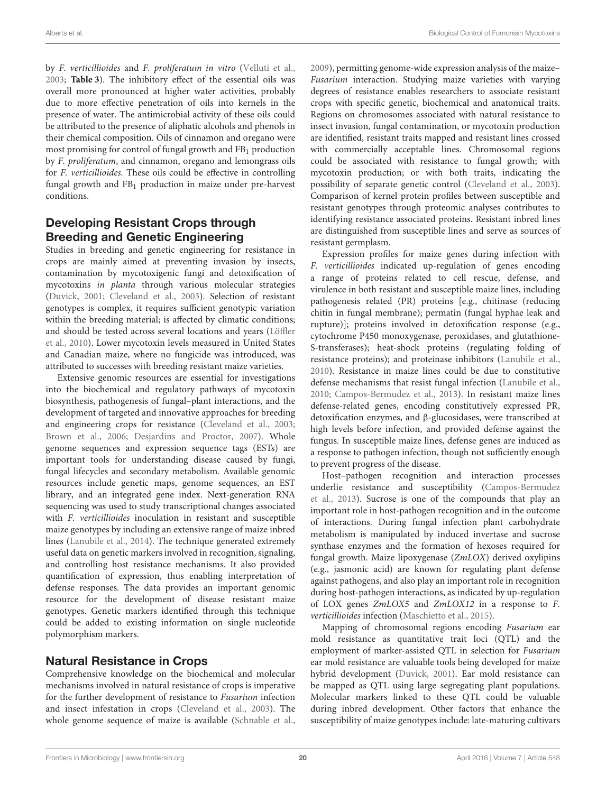by F. verticillioides and F. proliferatum in vitro [\(Velluti et al.,](#page-32-15) [2003;](#page-32-15) **[Table 3](#page-11-0)**). The inhibitory effect of the essential oils was overall more pronounced at higher water activities, probably due to more effective penetration of oils into kernels in the presence of water. The antimicrobial activity of these oils could be attributed to the presence of aliphatic alcohols and phenols in their chemical composition. Oils of cinnamon and oregano were most promising for control of fungal growth and  $FB<sub>1</sub>$  production by F. proliferatum, and cinnamon, oregano and lemongrass oils for F. verticillioides. These oils could be effective in controlling fungal growth and FB<sup>1</sup> production in maize under pre-harvest conditions.

### Developing Resistant Crops through Breeding and Genetic Engineering

Studies in breeding and genetic engineering for resistance in crops are mainly aimed at preventing invasion by insects, contamination by mycotoxigenic fungi and detoxification of mycotoxins in planta through various molecular strategies [\(Duvick, 2001;](#page-30-21) [Cleveland et al., 2003\)](#page-30-7). Selection of resistant genotypes is complex, it requires sufficient genotypic variation within the breeding material; is affected by climatic conditions; and should be tested across several locations and years (Löffler et al., [2010\)](#page-31-19). Lower mycotoxin levels measured in United States and Canadian maize, where no fungicide was introduced, was attributed to successes with breeding resistant maize varieties.

Extensive genomic resources are essential for investigations into the biochemical and regulatory pathways of mycotoxin biosynthesis, pathogenesis of fungal–plant interactions, and the development of targeted and innovative approaches for breeding and engineering crops for resistance [\(Cleveland et al., 2003;](#page-30-7) [Brown et al., 2006;](#page-30-22) [Desjardins and Proctor, 2007\)](#page-30-23). Whole genome sequences and expression sequence tags (ESTs) are important tools for understanding disease caused by fungi, fungal lifecycles and secondary metabolism. Available genomic resources include genetic maps, genome sequences, an EST library, and an integrated gene index. Next-generation RNA sequencing was used to study transcriptional changes associated with F. verticillioides inoculation in resistant and susceptible maize genotypes by including an extensive range of maize inbred lines [\(Lanubile et al., 2014\)](#page-31-20). The technique generated extremely useful data on genetic markers involved in recognition, signaling, and controlling host resistance mechanisms. It also provided quantification of expression, thus enabling interpretation of defense responses. The data provides an important genomic resource for the development of disease resistant maize genotypes. Genetic markers identified through this technique could be added to existing information on single nucleotide polymorphism markers.

# Natural Resistance in Crops

Comprehensive knowledge on the biochemical and molecular mechanisms involved in natural resistance of crops is imperative for the further development of resistance to Fusarium infection and insect infestation in crops [\(Cleveland et al., 2003\)](#page-30-7). The whole genome sequence of maize is available [\(Schnable et al.,](#page-32-18) [2009\)](#page-32-18), permitting genome-wide expression analysis of the maize– Fusarium interaction. Studying maize varieties with varying degrees of resistance enables researchers to associate resistant crops with specific genetic, biochemical and anatomical traits. Regions on chromosomes associated with natural resistance to insect invasion, fungal contamination, or mycotoxin production are identified, resistant traits mapped and resistant lines crossed with commercially acceptable lines. Chromosomal regions could be associated with resistance to fungal growth; with mycotoxin production; or with both traits, indicating the possibility of separate genetic control [\(Cleveland et al., 2003\)](#page-30-7). Comparison of kernel protein profiles between susceptible and resistant genotypes through proteomic analyses contributes to identifying resistance associated proteins. Resistant inbred lines are distinguished from susceptible lines and serve as sources of resistant germplasm.

Expression profiles for maize genes during infection with F. verticillioides indicated up-regulation of genes encoding a range of proteins related to cell rescue, defense, and virulence in both resistant and susceptible maize lines, including pathogenesis related (PR) proteins [e.g., chitinase (reducing chitin in fungal membrane); permatin (fungal hyphae leak and rupture)]; proteins involved in detoxification response (e.g., cytochrome P450 monoxygenase, peroxidases, and glutathione-S-transferases); heat-shock proteins (regulating folding of resistance proteins); and proteinase inhibitors [\(Lanubile et al.,](#page-31-21) [2010\)](#page-31-21). Resistance in maize lines could be due to constitutive defense mechanisms that resist fungal infection [\(Lanubile et al.,](#page-31-21) [2010;](#page-31-21) [Campos-Bermudez et al., 2013\)](#page-30-24). In resistant maize lines defense-related genes, encoding constitutively expressed PR, detoxification enzymes, and β-glucosidases, were transcribed at high levels before infection, and provided defense against the fungus. In susceptible maize lines, defense genes are induced as a response to pathogen infection, though not sufficiently enough to prevent progress of the disease.

Host–pathogen recognition and interaction processes underlie resistance and susceptibility (Campos-Bermudez et al., [2013\)](#page-30-24). Sucrose is one of the compounds that play an important role in host-pathogen recognition and in the outcome of interactions. During fungal infection plant carbohydrate metabolism is manipulated by induced invertase and sucrose synthase enzymes and the formation of hexoses required for fungal growth. Maize lipoxygenase (ZmLOX) derived oxylipins (e.g., jasmonic acid) are known for regulating plant defense against pathogens, and also play an important role in recognition during host-pathogen interactions, as indicated by up-regulation of LOX genes ZmLOX5 and ZmLOX12 in a response to F. verticillioides infection [\(Maschietto et al., 2015\)](#page-31-22).

Mapping of chromosomal regions encoding Fusarium ear mold resistance as quantitative trait loci (QTL) and the employment of marker-assisted QTL in selection for Fusarium ear mold resistance are valuable tools being developed for maize hybrid development [\(Duvick, 2001\)](#page-30-21). Ear mold resistance can be mapped as QTL using large segregating plant populations. Molecular markers linked to these QTL could be valuable during inbred development. Other factors that enhance the susceptibility of maize genotypes include: late-maturing cultivars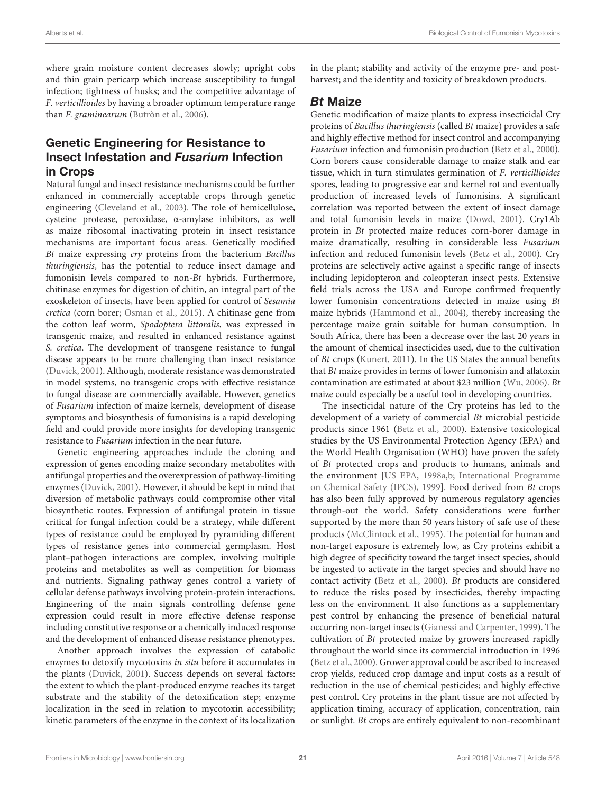where grain moisture content decreases slowly; upright cobs and thin grain pericarp which increase susceptibility to fungal infection; tightness of husks; and the competitive advantage of F. verticillioides by having a broader optimum temperature range than F. graminearum [\(Butròn et al., 2006\)](#page-30-25).

# Genetic Engineering for Resistance to Insect Infestation and Fusarium Infection in Crops

Natural fungal and insect resistance mechanisms could be further enhanced in commercially acceptable crops through genetic engineering [\(Cleveland et al., 2003\)](#page-30-7). The role of hemicellulose, cysteine protease, peroxidase, α-amylase inhibitors, as well as maize ribosomal inactivating protein in insect resistance mechanisms are important focus areas. Genetically modified Bt maize expressing cry proteins from the bacterium Bacillus thuringiensis, has the potential to reduce insect damage and fumonisin levels compared to non-Bt hybrids. Furthermore, chitinase enzymes for digestion of chitin, an integral part of the exoskeleton of insects, have been applied for control of Sesamia cretica (corn borer; [Osman et al., 2015\)](#page-31-23). A chitinase gene from the cotton leaf worm, Spodoptera littoralis, was expressed in transgenic maize, and resulted in enhanced resistance against S. cretica. The development of transgene resistance to fungal disease appears to be more challenging than insect resistance [\(Duvick, 2001\)](#page-30-21). Although, moderate resistance was demonstrated in model systems, no transgenic crops with effective resistance to fungal disease are commercially available. However, genetics of Fusarium infection of maize kernels, development of disease symptoms and biosynthesis of fumonisins is a rapid developing field and could provide more insights for developing transgenic resistance to Fusarium infection in the near future.

Genetic engineering approaches include the cloning and expression of genes encoding maize secondary metabolites with antifungal properties and the overexpression of pathway-limiting enzymes [\(Duvick, 2001\)](#page-30-21). However, it should be kept in mind that diversion of metabolic pathways could compromise other vital biosynthetic routes. Expression of antifungal protein in tissue critical for fungal infection could be a strategy, while different types of resistance could be employed by pyramiding different types of resistance genes into commercial germplasm. Host plant–pathogen interactions are complex, involving multiple proteins and metabolites as well as competition for biomass and nutrients. Signaling pathway genes control a variety of cellular defense pathways involving protein-protein interactions. Engineering of the main signals controlling defense gene expression could result in more effective defense response including constitutive response or a chemically induced response and the development of enhanced disease resistance phenotypes.

Another approach involves the expression of catabolic enzymes to detoxify mycotoxins in situ before it accumulates in the plants [\(Duvick, 2001\)](#page-30-21). Success depends on several factors: the extent to which the plant-produced enzyme reaches its target substrate and the stability of the detoxification step; enzyme localization in the seed in relation to mycotoxin accessibility; kinetic parameters of the enzyme in the context of its localization in the plant; stability and activity of the enzyme pre- and postharvest; and the identity and toxicity of breakdown products.

### Bt Maize

Genetic modification of maize plants to express insecticidal Cry proteins of Bacillus thuringiensis (called Bt maize) provides a safe and highly effective method for insect control and accompanying Fusarium infection and fumonisin production [\(Betz et al., 2000\)](#page-30-6). Corn borers cause considerable damage to maize stalk and ear tissue, which in turn stimulates germination of F. verticillioides spores, leading to progressive ear and kernel rot and eventually production of increased levels of fumonisins. A significant correlation was reported between the extent of insect damage and total fumonisin levels in maize [\(Dowd, 2001\)](#page-30-26). Cry1Ab protein in Bt protected maize reduces corn-borer damage in maize dramatically, resulting in considerable less Fusarium infection and reduced fumonisin levels [\(Betz et al., 2000\)](#page-30-6). Cry proteins are selectively active against a specific range of insects including lepidopteron and coleopteran insect pests. Extensive field trials across the USA and Europe confirmed frequently lower fumonisin concentrations detected in maize using Bt maize hybrids [\(Hammond et al., 2004\)](#page-31-24), thereby increasing the percentage maize grain suitable for human consumption. In South Africa, there has been a decrease over the last 20 years in the amount of chemical insecticides used, due to the cultivation of Bt crops [\(Kunert, 2011\)](#page-31-25). In the US States the annual benefits that Bt maize provides in terms of lower fumonisin and aflatoxin contamination are estimated at about \$23 million [\(Wu, 2006\)](#page-32-19). Bt maize could especially be a useful tool in developing countries.

The insecticidal nature of the Cry proteins has led to the development of a variety of commercial Bt microbial pesticide products since 1961 [\(Betz et al., 2000\)](#page-30-6). Extensive toxicological studies by the US Environmental Protection Agency (EPA) and the World Health Organisation (WHO) have proven the safety of Bt protected crops and products to humans, animals and the environment [\[US EPA, 1998a](#page-32-20)[,b;](#page-32-21) International Programme on Chemical Safety (IPCS), [1999\]](#page-31-26). Food derived from Bt crops has also been fully approved by numerous regulatory agencies through-out the world. Safety considerations were further supported by the more than 50 years history of safe use of these products [\(McClintock et al., 1995\)](#page-31-27). The potential for human and non-target exposure is extremely low, as Cry proteins exhibit a high degree of specificity toward the target insect species, should be ingested to activate in the target species and should have no contact activity [\(Betz et al., 2000\)](#page-30-6). Bt products are considered to reduce the risks posed by insecticides, thereby impacting less on the environment. It also functions as a supplementary pest control by enhancing the presence of beneficial natural occurring non-target insects [\(Gianessi and Carpenter, 1999\)](#page-31-28). The cultivation of Bt protected maize by growers increased rapidly throughout the world since its commercial introduction in 1996 [\(Betz et al., 2000\)](#page-30-6). Grower approval could be ascribed to increased crop yields, reduced crop damage and input costs as a result of reduction in the use of chemical pesticides; and highly effective pest control. Cry proteins in the plant tissue are not affected by application timing, accuracy of application, concentration, rain or sunlight. Bt crops are entirely equivalent to non-recombinant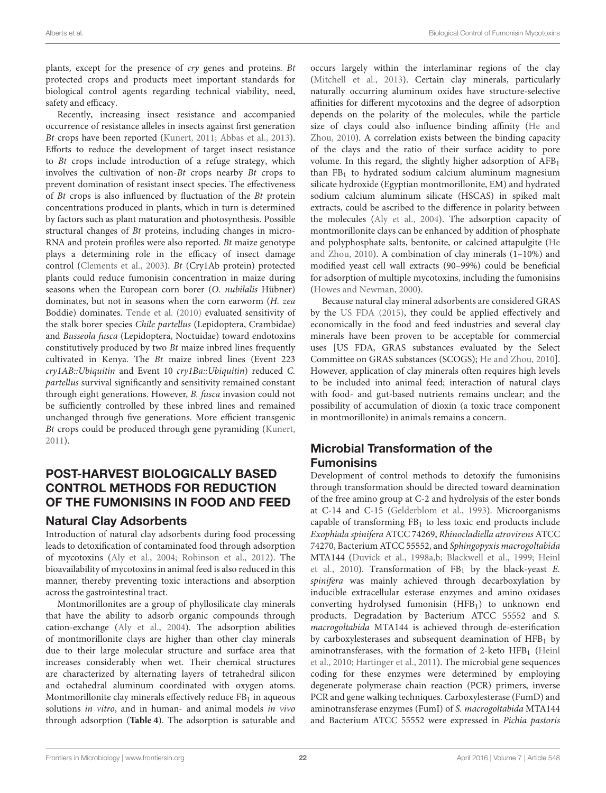plants, except for the presence of cry genes and proteins. Bt protected crops and products meet important standards for biological control agents regarding technical viability, need, safety and efficacy.

Recently, increasing insect resistance and accompanied occurrence of resistance alleles in insects against first generation Bt crops have been reported [\(Kunert, 2011;](#page-31-25) [Abbas et al., 2013\)](#page-29-4). Efforts to reduce the development of target insect resistance to Bt crops include introduction of a refuge strategy, which involves the cultivation of non-Bt crops nearby Bt crops to prevent domination of resistant insect species. The effectiveness of Bt crops is also influenced by fluctuation of the Bt protein concentrations produced in plants, which in turn is determined by factors such as plant maturation and photosynthesis. Possible structural changes of Bt proteins, including changes in micro-RNA and protein profiles were also reported. Bt maize genotype plays a determining role in the efficacy of insect damage control [\(Clements et al., 2003\)](#page-30-27). Bt (Cry1Ab protein) protected plants could reduce fumonisin concentration in maize during seasons when the European corn borer (O. nubilalis Hübner) dominates, but not in seasons when the corn earworm (H. zea Boddie) dominates. [Tende et al. \(2010\)](#page-32-22) evaluated sensitivity of the stalk borer species Chile partellus (Lepidoptera, Crambidae) and Busseola fusca (Lepidoptera, Noctuidae) toward endotoxins constitutively produced by two Bt maize inbred lines frequently cultivated in Kenya. The Bt maize inbred lines (Event 223 cry1AB::Ubiquitin and Event 10 cry1Ba::Ubiquitin) reduced C. partellus survival significantly and sensitivity remained constant through eight generations. However, B. fusca invasion could not be sufficiently controlled by these inbred lines and remained unchanged through five generations. More efficient transgenic Bt crops could be produced through gene pyramiding [\(Kunert,](#page-31-25) [2011\)](#page-31-25).

# POST-HARVEST BIOLOGICALLY BASED CONTROL METHODS FOR REDUCTION OF THE FUMONISINS IN FOOD AND FEED

# Natural Clay Adsorbents

Introduction of natural clay adsorbents during food processing leads to detoxification of contaminated food through adsorption of mycotoxins [\(Aly et al., 2004;](#page-29-5) [Robinson et al., 2012\)](#page-32-23). The bioavailability of mycotoxins in animal feed is also reduced in this manner, thereby preventing toxic interactions and absorption across the gastrointestinal tract.

Montmorillonites are a group of phyllosilicate clay minerals that have the ability to adsorb organic compounds through cation-exchange [\(Aly et al., 2004\)](#page-29-5). The adsorption abilities of montmorillonite clays are higher than other clay minerals due to their large molecular structure and surface area that increases considerably when wet. Their chemical structures are characterized by alternating layers of tetrahedral silicon and octahedral aluminum coordinated with oxygen atoms. Montmorillonite clay minerals effectively reduce  $FB<sub>1</sub>$  in aqueous solutions in vitro, and in human- and animal models in vivo through adsorption (**[Table 4](#page-22-0)**). The adsorption is saturable and

occurs largely within the interlaminar regions of the clay [\(Mitchell et al., 2013\)](#page-31-29). Certain clay minerals, particularly naturally occurring aluminum oxides have structure-selective affinities for different mycotoxins and the degree of adsorption depends on the polarity of the molecules, while the particle size of clays could also influence binding affinity (He and Zhou, [2010\)](#page-31-7). A correlation exists between the binding capacity of the clays and the ratio of their surface acidity to pore volume. In this regard, the slightly higher adsorption of  $AFB<sub>1</sub>$ than  $FB<sub>1</sub>$  to hydrated sodium calcium aluminum magnesium silicate hydroxide (Egyptian montmorillonite, EM) and hydrated sodium calcium aluminum silicate (HSCAS) in spiked malt extracts, could be ascribed to the difference in polarity between the molecules [\(Aly et al., 2004\)](#page-29-5). The adsorption capacity of montmorillonite clays can be enhanced by addition of phosphate and polyphosphate salts, bentonite, or calcined attapulgite (He and Zhou, [2010\)](#page-31-7). A combination of clay minerals (1–10%) and modified yeast cell wall extracts (90–99%) could be beneficial for adsorption of multiple mycotoxins, including the fumonisins [\(Howes and Newman, 2000\)](#page-31-30).

Because natural clay mineral adsorbents are considered GRAS by the [US FDA \(2015\)](#page-32-24), they could be applied effectively and economically in the food and feed industries and several clay minerals have been proven to be acceptable for commercial uses [US FDA, GRAS substances evaluated by the Select Committee on GRAS substances (SCOGS); [He and Zhou, 2010\]](#page-31-7). However, application of clay minerals often requires high levels to be included into animal feed; interaction of natural clays with food- and gut-based nutrients remains unclear; and the possibility of accumulation of dioxin (a toxic trace component in montmorillonite) in animals remains a concern.

# Microbial Transformation of the Fumonisins

Development of control methods to detoxify the fumonisins through transformation should be directed toward deamination of the free amino group at C-2 and hydrolysis of the ester bonds at C-14 and C-15 [\(Gelderblom et al., 1993\)](#page-30-2). Microorganisms capable of transforming  $FB<sub>1</sub>$  to less toxic end products include Exophiala spinifera ATCC 74269, Rhinocladiella atrovirens ATCC 74270, Bacterium ATCC 55552, and Sphingopyxis macrogoltabida MTA144 [\(Duvick et al., 1998a,](#page-30-28)[b;](#page-30-29) [Blackwell et al., 1999;](#page-30-30) Heinl et al., [2010\)](#page-31-31). Transformation of  $FB<sub>1</sub>$  by the black-yeast E. spinifera was mainly achieved through decarboxylation by inducible extracellular esterase enzymes and amino oxidases converting hydrolysed fumonisin (HFB1) to unknown end products. Degradation by Bacterium ATCC 55552 and S. macrogoltabida MTA144 is achieved through de-esterification by carboxylesterases and subsequent deamination of  $HFB<sub>1</sub>$  by aminotransferases, with the formation of 2-keto  $HFB<sub>1</sub>$  (Heinl et al., [2010;](#page-31-31) [Hartinger et al., 2011\)](#page-31-32). The microbial gene sequences coding for these enzymes were determined by employing degenerate polymerase chain reaction (PCR) primers, inverse PCR and gene walking techniques. Carboxylesterase (FumD) and aminotransferase enzymes (FumI) of S. macrogoltabida MTA144 and Bacterium ATCC 55552 were expressed in Pichia pastoris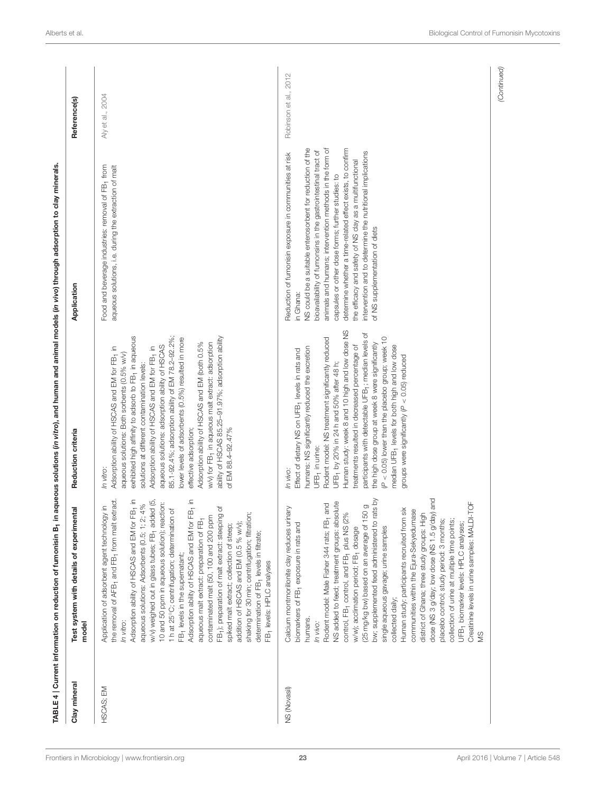<span id="page-22-0"></span>

| Clay mineral | Test system with details of experimental<br>model                                                                                                                                                                                                                                                                                                                                                                                                                                                                                                                                                                                                                                                                                                                                                                                                                                                                                                                                      | Reduction criteria                                                                                                                                                                                                                                                                                                                                                                                                                                                                                                                                                                                                                                                                    | Application                                                                                                                                                                                                                                                                                                                                                                                                                                                                                                                                | Reference(s)          |
|--------------|----------------------------------------------------------------------------------------------------------------------------------------------------------------------------------------------------------------------------------------------------------------------------------------------------------------------------------------------------------------------------------------------------------------------------------------------------------------------------------------------------------------------------------------------------------------------------------------------------------------------------------------------------------------------------------------------------------------------------------------------------------------------------------------------------------------------------------------------------------------------------------------------------------------------------------------------------------------------------------------|---------------------------------------------------------------------------------------------------------------------------------------------------------------------------------------------------------------------------------------------------------------------------------------------------------------------------------------------------------------------------------------------------------------------------------------------------------------------------------------------------------------------------------------------------------------------------------------------------------------------------------------------------------------------------------------|--------------------------------------------------------------------------------------------------------------------------------------------------------------------------------------------------------------------------------------------------------------------------------------------------------------------------------------------------------------------------------------------------------------------------------------------------------------------------------------------------------------------------------------------|-----------------------|
| HSCAS; EM    | $\begin{array}{c} \bar{E} \\ \bar{E} \\ \end{array}$<br>the removal of AFB <sub>1</sub> and FB <sub>1</sub> from malt extract.<br>$\begin{array}{c} \bar{E} \\ \bar{E} \\ \end{array}$<br>w/v) weighed out in glass tubes; FB <sub>1</sub> added (5,<br>10 and 50 ppm in aqueous solution); reaction:<br>aqueous solutions: Adsorbents (0.5; 1; 2; 4%<br>Application of adsorbent agent technology in<br>FB1); preparation of malt extract: steeping of<br>1h at 25°C; centrifugation; determination of<br>shaking for 30 min; centrifugation; filtration;<br>contaminated malt (50, 100 and 200 ppm<br>aqueous malt extract: preparation of FB1<br>addition of HSCAS and EM (0.5 % w/v);<br>Adsorption ability of HSCAS and EM for<br>Adsorption ability of HSCAS and EM for<br>spiked malt extract; collection of steep;<br>determination of FB <sub>1</sub> levels in filtrate;<br>FB <sub>1</sub> levels in the supernatant;<br>FB <sub>1</sub> levels: HPLC analyses<br>In vitro: | exhibited high affinity to adsorb to FB <sub>1</sub> in aqueous<br>85.1-92.4%; adsorption ability of EM 78.2-92.2%;<br>ability of HSCAS 85.25-91.97%; adsorption ability<br>lower levels of adsorbents (0.5%) resulted in more<br>Adsorption ability of HSCAS and EM (both 0.5%<br>w/v) for FB <sub>1</sub> in aqueous malt extract: adsorption<br>aqueous solutions: adsorption ability of HSCAS<br>Adsorption ability of HSCAS and EM for FB <sub>1</sub> in<br>Adsorption ability of HSCAS and EM for FB <sub>1</sub> in<br>aqueous solutions: Both sorbents (0.5% w/v)<br>solutions at different contamination levels:<br>effective adsorption;<br>of EM 88.4-92.47%<br>In vitro: | Food and beverage industries: removal of FB <sub>1</sub> from<br>aqueous solutions, i.e. during the extraction of malt                                                                                                                                                                                                                                                                                                                                                                                                                     | Aly et al., 2004      |
| NS (Novasil) | dose (NS 3 g/day; low dose (NS 1.5 g/day) and<br>rats by<br>Creatinine levels in urine samples: MALDI-TOF<br>NS added to feed; treatment groups: absolute<br>and<br>(25 mg/kg bw) based on an average of 150 g<br>Calcium montmorillonite clay reduces urinary<br>$\ddot{\text{S}}$<br>communities within the Ejura-Sekyedumase<br>control, FB <sub>1</sub> control, and FB <sub>1</sub> plus NS (2%<br>district of Ghana; three study groups: High<br>Rodent model: Male Fisher 344 rats; FB-<br>Human study: participants recruited from<br>placebo control; study period: 3 months;<br>collection of urine at multiple time points;<br>bw; supplemented feed administered to<br>biomarkers of FB <sub>1</sub> exposure in rats and<br>UFB <sub>1</sub> biomarker levels: HPLC analyses;<br>w/w); acclimation period; FB1 dosage<br>single aqueous gavage; urine samples<br>collected daily;<br>humans.<br>In vivo:<br>SM                                                            | Human study: week 8 and 10 high and low dose NS<br>participants with detectable UFB <sub>1</sub> ; median levels of<br>Rodent model: NS treatment significantly reduced<br>(P < 0.05) lower than the placebo group; week 10<br>the high dose group at week 8 were significantly<br>median UFB <sub>1</sub> levels for both high and low dose<br>treatments resulted in decreased percentage of<br>humans: NS significantly reduced the excretion<br>Effect of dietary NS on UFB- levels in rats and<br>groups were significantly (P < 0.05) reduced<br>UFB <sub>1</sub> by 20% in 24 h and 50% after 48 h;<br>UFB <sub>1</sub> in urine:<br>In vivo:                                  | NS could be a suitable enterosorbent for reduction of the<br>animals and humans; intervention methods in the form of<br>determine whether a time-related effect exists, to confirm<br>bioavailability of fumonsins in the gastrointestinal tract of<br>intervention and to determine the nutritional implications<br>Reduction of fumonisin exposure in communities at risk<br>the efficacy and safety of NS clay as a multifunctional<br>capsules or other dose forms; further studies: to<br>of NS supplementation of diets<br>in Ghana: | Robinson et al., 2012 |
|              |                                                                                                                                                                                                                                                                                                                                                                                                                                                                                                                                                                                                                                                                                                                                                                                                                                                                                                                                                                                        |                                                                                                                                                                                                                                                                                                                                                                                                                                                                                                                                                                                                                                                                                       |                                                                                                                                                                                                                                                                                                                                                                                                                                                                                                                                            | (Continued)           |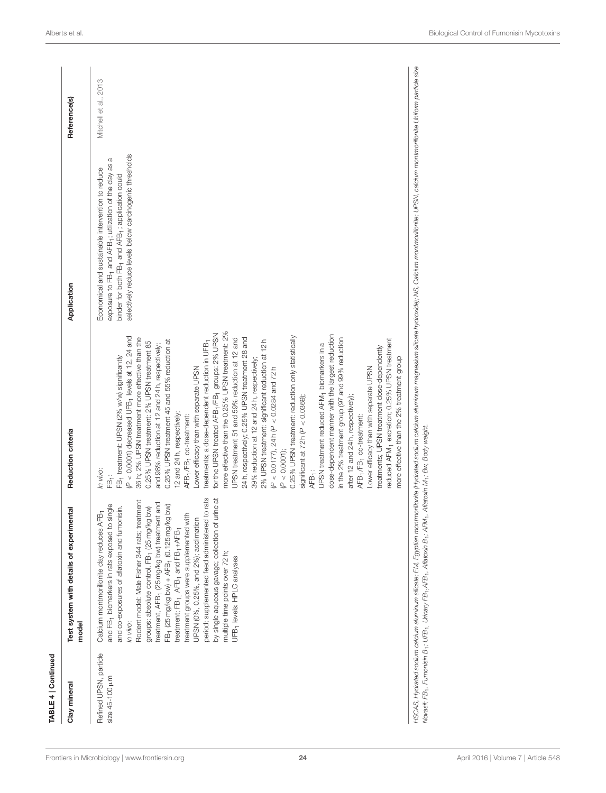| Clay mineral                                  | Test system with details of experimental<br>model                                                                                                                                                                                                                                                                                                                                                                                                                                                                                                                                                                                                                                                                                                                                                      | Reduction criteria                                                                                                                                                                                                                                                                                                                                                                                                                                                                                                                                                                                                                                                                                                                                                                                                                                                                                                                                                                                                                                                                                                                                                                                                                                                                                                                                                                                                                                                                                                                       | Application                                                                                                                                                                                                                                           | Reference(s)          |
|-----------------------------------------------|--------------------------------------------------------------------------------------------------------------------------------------------------------------------------------------------------------------------------------------------------------------------------------------------------------------------------------------------------------------------------------------------------------------------------------------------------------------------------------------------------------------------------------------------------------------------------------------------------------------------------------------------------------------------------------------------------------------------------------------------------------------------------------------------------------|------------------------------------------------------------------------------------------------------------------------------------------------------------------------------------------------------------------------------------------------------------------------------------------------------------------------------------------------------------------------------------------------------------------------------------------------------------------------------------------------------------------------------------------------------------------------------------------------------------------------------------------------------------------------------------------------------------------------------------------------------------------------------------------------------------------------------------------------------------------------------------------------------------------------------------------------------------------------------------------------------------------------------------------------------------------------------------------------------------------------------------------------------------------------------------------------------------------------------------------------------------------------------------------------------------------------------------------------------------------------------------------------------------------------------------------------------------------------------------------------------------------------------------------|-------------------------------------------------------------------------------------------------------------------------------------------------------------------------------------------------------------------------------------------------------|-----------------------|
| Refined UPSN, particle<br>size $45-100 \mu m$ | period; supplemented feed administered to rats<br>by single aqueous gavage; collection of urine at<br>Rodent model: Male Fisher 344 rats; treatment<br>t and<br>and FB <sub>1</sub> biomarkers in rats exposed to single<br>(MQ<br>bw)<br>and co-exposures of aflatoxin and fumonisin.<br>Calcium montmorillonite clay reduces AFB <sub>1</sub><br>후<br>treatment, AFB <sub>1</sub> (25 mg/kg bw) treatment<br>FB <sub>1</sub> (25 mg/kg bw) + AFB <sub>1</sub> (0.125 mg/kg<br>treatment groups were supplemented wit<br>UPSN (0%, 0.25%, and 2%); acclimation<br>groups: absolute control, FB <sub>1</sub> (25 mg/kg<br>treatment; FB <sub>1</sub> , AFB <sub>1</sub> and FB <sub>1</sub> +AFB <sub>1</sub><br>multiple time points over 72 h;<br>UFB <sub>1</sub> levels: HPLC analyses<br>In vivo: | more effective than the 0.25% UPSN treatment: 2%<br>for the UPSN treated AFB <sub>1</sub> /FB <sub>1</sub> groups: 2% UPSN<br>dose-dependent manner with the largest reduction<br>$P < 0.0001$ ) decreased UFB <sub>1</sub> levels at 12, 24 and<br>0.25% UPSN treatment: reduction only statistically<br>36 h; 2% UPSN treatment more effective than the<br>24 h, respectively; 0.25% UPSN treatment 28 and<br>JPSN treatment 51 and 59% reduction at 12 and<br>in the 2% treatment group (97 and 99% reduction<br>reduced AFM <sub>1</sub> excretion; 0.25% UPSN treatment<br>2% UPSN treatment: significant reduction at 12h<br>0.25% UPSN treatment 45 and 55% reduction at<br>0.25% UPSN treatment: 2% UPSN treatment 85<br>treatments; a dose-dependent reduction in UFB-<br>UPSN treatment reduced AFM <sub>1</sub> biomarkers in a<br>and 98% reduction at 12 and 24h, respectively;<br>treatments; UPSN treatment dose-dependently<br>FB <sub>1</sub> treatment: UPSN (2% w/w) significantly<br>more effective than the 2% treatment group<br>39% reduction at 12 and 24 h, respectively;<br>Lower efficacy than with separate UPSN<br>Lower efficacy than with separate UPSN<br>$(P < 0.0177)$ , 24h $(P < 0.0284$ and 72h<br>significant at $72h$ ( $P < 0.0369$ );<br>after 12 and 24 h, respectively);<br>2 and 24h, respectively;<br>AFB <sub>1</sub> /FB <sub>1</sub> co-treatment:<br>AFB <sub>1</sub> /FB <sub>1</sub> co-treatment:<br>$(P < 0.0001)$ ;<br>In vivo:<br>AFB <sub>1</sub> :<br>$\ddot{\hat{\mathbb{P}}}$ | selectively reduce levels below carcinogenic thresholds<br>a<br>exposure to FB- and AFB-; utilization of the clay as<br>Economical and sustainable intervention to reduce<br>binder for both FB <sub>1</sub> and AFB <sub>1</sub> ; application could | Mitchell et al., 2013 |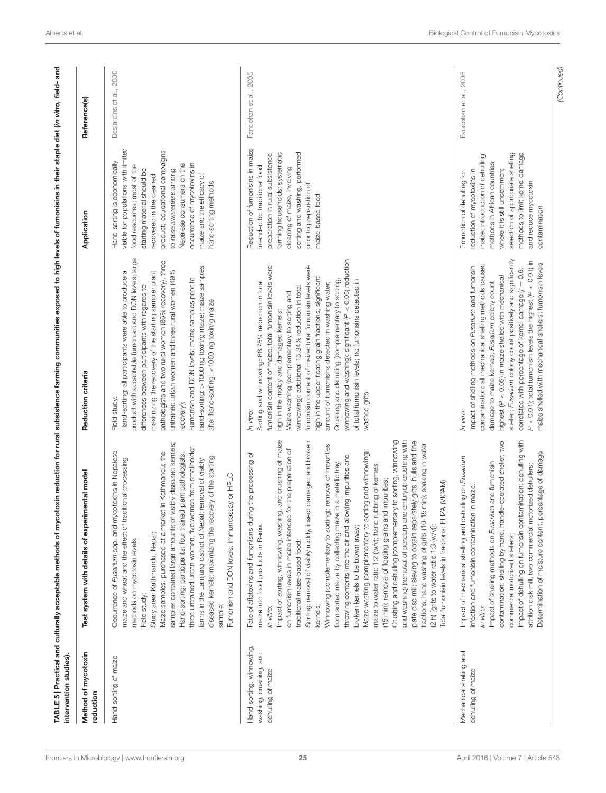| Method of mycotoxin<br>reduction                                         | Test system with details of experimental model                                                                                                                                                                                                                                                                                                                                                                                                                                                                                                                                                                                                                                                                                                                                                                                                                                                                                                                                                                                                                                                                                                  | Reduction criteria                                                                                                                                                                                                                                                                                                                                                                                                                                                                                                                                                                                                                        | Application                                                                                                                                                                                                                                                                                                                                  | Reference(s)            |
|--------------------------------------------------------------------------|-------------------------------------------------------------------------------------------------------------------------------------------------------------------------------------------------------------------------------------------------------------------------------------------------------------------------------------------------------------------------------------------------------------------------------------------------------------------------------------------------------------------------------------------------------------------------------------------------------------------------------------------------------------------------------------------------------------------------------------------------------------------------------------------------------------------------------------------------------------------------------------------------------------------------------------------------------------------------------------------------------------------------------------------------------------------------------------------------------------------------------------------------|-------------------------------------------------------------------------------------------------------------------------------------------------------------------------------------------------------------------------------------------------------------------------------------------------------------------------------------------------------------------------------------------------------------------------------------------------------------------------------------------------------------------------------------------------------------------------------------------------------------------------------------------|----------------------------------------------------------------------------------------------------------------------------------------------------------------------------------------------------------------------------------------------------------------------------------------------------------------------------------------------|-------------------------|
| Hand-sorting of maize                                                    | samples contained large amounts of visibly diseased kernels;<br>three untrained urban women, five women from smallholder<br>Occurrence of Fusarium spp. and mycotoxins in Nepalese<br>in Kathmandu; the<br>plant pathologists,<br>diseased kernels; maximizing the recovery of the starting<br>maize and wheat and the effect of traditional processing<br>farms in the Lamjung district of Nepal; removal of visibly<br>Fumonisin and DON levels: immunoassay or HPLC<br>Maize samples: purchased at a market<br>Hand-sorting: participants: four trained<br>Study area: Kathmandu, Nepal;<br>methods on mycotoxin levels.<br>Field study:<br>sample;                                                                                                                                                                                                                                                                                                                                                                                                                                                                                          | product with acceptable fumonisin and DON levels; large<br>pathologists and two rural women (86% recovery), three<br>hand-sorting: >1000 ng toxin/g maize; maize samples<br>untrained urban women and three rural women (49%<br>Hand-sorting: all participants were able to produce a<br>maximizing the recovery of the starting sample: plant<br>Fumonisin and DON levels: maize samples prior to<br>differences between participants with regards to<br>after hand-sorting: <1000 ng toxin/g maize<br>Field study:<br>recovery);                                                                                                        | viable for populations with limited<br>product; educational campaigns<br>Hand-sorting is economically<br>occurrence of mycotoxins in<br>Nepalese consumers on the<br>food resources; most of the<br>to raise awareness among<br>starting material should be<br>maize and the efficacy of<br>recovered in the cleaned<br>hand-sorting methods | Desjardins et al., 2000 |
| Hand-sorting, winnowing,<br>washing, crushing, and<br>dehulling of maize | Impact of sorting, winnowing, washing, and crushing of maize<br>Sorting: removal of visibly moldy, insect damaged and broken<br>Crushing and dehulling (complementary to sorting, winnowing<br>and washing) (removal of pericarp and embryo): crushing with<br>plate disc mill; sieving to obtain separately grits, hulls and fine<br>fractions; hand washing of grits (10-15 min); soaking in water<br>Winnowing (complementary to sorting): removal of impurities<br>on fumonisin levels in maize intended for the preparation of<br>Maize washing (complementary to sorting and winnowing):<br>Fate of aflatoxins and fumonisins during the processing of<br>throwing contents into the air and allowing impurities and<br>from sorted maize by collecting maize in a metallic tray,<br>maize to water ratio 1:2 (w/v); hand rubbing of kernels<br>(15 min); removal of floating grains and impurities;<br>Total fumonisin levels in fractions: ELIZA (VICAM)<br>maize into food products in Benin.<br>(2 h) [grits to water ratio 1:3 (w/v)];<br>broken kernels to be blown away;<br>traditional maize-based food:<br>kernels;<br>In vitro: | winnowing and washing): significant ( $P < 0.05$ ) reduction<br>fumonisin content of maize; total fumonisin levels were<br>fumonisin content of maize; total fumonisin levels were<br>high in the upper floating grain fractions; significant<br>Crushing and dehulling (complementary to sorting<br>of total fumonisin levels; no fumonsins detected in<br>Sorting and winnowing: 68.75% reduction in total<br>amount of fumonisins detected in washing water;<br>winnowing): additional 15.34% reduction in total<br>Maize washing (complementary to sorting and<br>high in the moldy and damaged kernels;<br>washed grits<br>In vitro: | Reduction of fumonisins in maize<br>sorting and washing, performed<br>farming households: systematic<br>preparation in rural subsistence<br>intended for traditional food<br>cleaning of maize, involving<br>prior to preparation of<br>maize-based food                                                                                     | Fandohan et al., 2005   |
| Mechanical shelling and<br>dehulling of maize                            | contamination: shelling by hand, handle-operated sheller, two<br>Impact of dehulling on fumonsin contamination: dehulling with<br>Determination of moisture content, percentage of damage<br>Impact of mechanical shelling and dehulling on Fusarium<br>Impact of shelling methods on Fusarium and fumonisin<br>attrition disk mill, two commercial motorized dehullers;<br>infection and fumonisin contamination in maize.<br>commercial motorized shellers;<br>In vitro:                                                                                                                                                                                                                                                                                                                                                                                                                                                                                                                                                                                                                                                                      | sheller; Fusarium colony count positively and significantly<br>$P < 0.01$ ); total fumonisin levels the highest ( $P < 0.01$ ) in<br>maize shelled with mechanical shellers; fumonisin levels<br>contamination: all mechanical shelling methods caused<br>Impact of shelling methods on Fusarium and fumonsin<br>correlated with percentage of kernel damage $(r = 0.6;$<br>highest (P < 0.05) in maize shelled with mechanical<br>damage to maize kernels; Fusarium colony count<br>In vitro:                                                                                                                                            | selection of appropriate shelling<br>methods to limit kernel damage<br>maize; introduction of dehulling<br>methods in African countries<br>where it is still uncommon;<br>reduction of mycotoxins in<br>Promotion of dehulling for<br>and reduce mycotoxin<br>contamination                                                                  | Fandohan et al., 2006   |

<span id="page-24-0"></span>[Frontiers in Microbiology](http://www.frontiersin.org/Microbiology)| [www.frontiersin.org](http://www.frontiersin.org) **25** 25 [April 2016 | Volume 7 | Article 548](http://www.frontiersin.org/Microbiology/archive)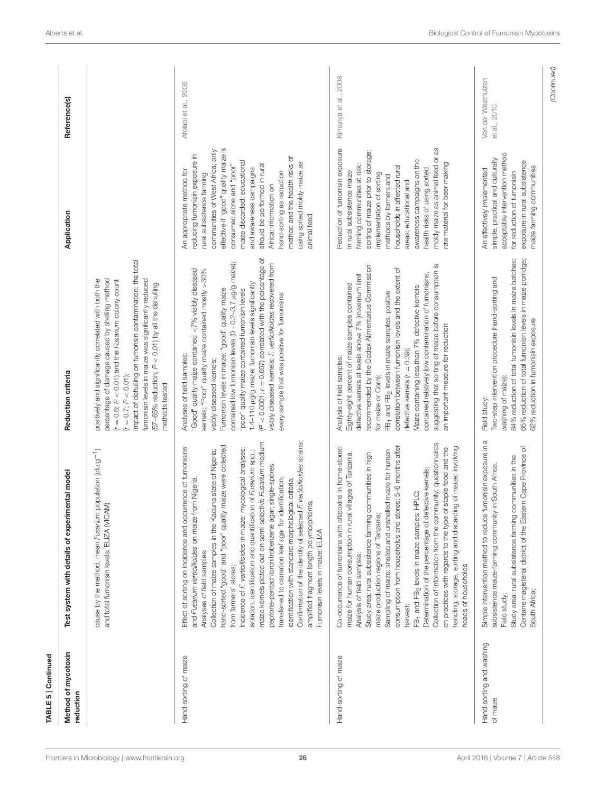| Method of mycotoxin<br>reduction     | Test system with details of experimental model                                                                                                                                                                                                                                                                                                                                                                                                                                                                                                                                                                                                                                                                                                                                                                                                   | Reduction criteria                                                                                                                                                                                                                                                                                                                                                                                                                                                                                                                                                                                 | Application                                                                                                                                                                                                                                                                                                                                                                                                                         | Reference(s)                       |
|--------------------------------------|--------------------------------------------------------------------------------------------------------------------------------------------------------------------------------------------------------------------------------------------------------------------------------------------------------------------------------------------------------------------------------------------------------------------------------------------------------------------------------------------------------------------------------------------------------------------------------------------------------------------------------------------------------------------------------------------------------------------------------------------------------------------------------------------------------------------------------------------------|----------------------------------------------------------------------------------------------------------------------------------------------------------------------------------------------------------------------------------------------------------------------------------------------------------------------------------------------------------------------------------------------------------------------------------------------------------------------------------------------------------------------------------------------------------------------------------------------------|-------------------------------------------------------------------------------------------------------------------------------------------------------------------------------------------------------------------------------------------------------------------------------------------------------------------------------------------------------------------------------------------------------------------------------------|------------------------------------|
|                                      | population (cfu.g <sup>-1</sup> )<br>and total fumonisin levels: ELIZA (VICAM)<br>cause by the method, mean Fusarium                                                                                                                                                                                                                                                                                                                                                                                                                                                                                                                                                                                                                                                                                                                             | Impact of dehulling on fumonsin contamination: the total<br>fumonisin levels in maize was significantly reduced<br>positively and significantly correlated with both the<br>percentage of damage caused by shelling method<br>$(r = 0.6; P < 0.01)$ and the Fusarium colony count<br>$(57-65%$ reduction; $P < 0.01$ ) by all the dehulling<br>$(r = 0.7; P < 0.01)$ ;<br>methods tested                                                                                                                                                                                                           |                                                                                                                                                                                                                                                                                                                                                                                                                                     |                                    |
| Hand-sorting of maize                | F. verticillioides strains:<br>maize kernels plated out on semi-selective Fusarium medium<br>maize were collected<br>Effect of sorting on incidence and occurrence of fumonisins<br>Incidence of F. verticillioides in maize: mycological analyses:<br>Collection of maize samples in the Kaduna state of Nigeria;<br>isolation, identification and quantification of Fusarium spp.;<br>peptone-pentachloronitrobenzene agar; single-spores<br>transferred to carnation leaf agar for identification;<br>and Fusarium verticillioides on maize from Nigeria.<br>identification with standard morphological criteria;<br>amplified fragment length polymorphisms;<br>hand-sorted "good" and "poor" quality<br>Confirmation of the identity of selected<br>Fumonisin levels in maize: ELIZA<br>Analyses of field samples:<br>from farmers' stores; | $(P < 0.0001; r = 0.697)$ correlated with the percentage of<br>contained low fumonisin levels (0 - 0.2-3.7 µg/g maize);<br>visibly diseased kernels; F. verticillioides recovered from<br>"Good" quality maize contained <7% visibly diseased<br>kernels; "Poor" quality maize contained mostly >30%<br>1.4-110 µg/g maize; fumonisin levels significantly<br>Fumonisin levels in maize: "good" quality maize<br>"poor" quality maize contained fumonisin levels<br>every sample that was positive for fumonisins<br>Analyses of field samples:<br>visibly diseased kernels;                       | effective if "good" quality maize is<br>communities of West Africa; only<br>reducing fumonisin exposure in<br>method and the health risks of<br>maize discarded; educational<br>using sorted moldy maize as<br>should be performed in rural<br>consumed alone and "poor"<br>and awareness campaigns<br>An appropriate method for<br>hand-sorting as reduction<br>rural subsistence farming<br>Africa: information on<br>animal feed | Afolabi et al., 2006               |
| Hand-sorting of maize                | Collection of information from the community: questionnaires<br>consumption from households and stores; 5-6 months after<br>Co-occurrence of fumonisins with aflatoxins in home-stored<br>handling, storage, sorting and discarding of maize; involving<br>on practices with regards to the type of staple food and the<br>Sampling of maize: shelled and unshelled maize for human<br>maize for human consumption in rural villages of Tanzania.<br>Study area: rural subsistence farming communities in high<br>Determination of the percentage of defective kernels;<br>HPLC;<br>maize production regions of Tanzania;<br>FB <sub>1</sub> and FB <sub>2</sub> levels in maize samples:<br>Analysis of field samples:<br>heads of households<br>harvest;                                                                                       | suggesting that sorting of maize before consumption is<br>recommended by the Codex Alimentarius Commission<br>correlation between fumonisin levels and the extent of<br>contained relatively low contamination of fumonisins,<br>defective kernels at levels above 7% (maximum limit<br>Eighty-eight percent of maize samples contained<br>Maize containing less than 7% defective kernels<br>FB <sub>1</sub> and FB <sub>2</sub> levels in maize samples: positive<br>an important measure for reduction<br>defective kernels $(r = 0.39)$ ;<br>Analysis of field samples:<br>for maize or Corn); | moldy maize as animal feed or as<br>Reduction of fumonisin exposure<br>sorting of maize prior to storage;<br>awareness campaigns on the<br>raw material for beer making<br>farming communities at risk:<br>households in affected rural<br>health risks of using sorted<br>in rural subsistence maize<br>implementation of sorting<br>methods by farmers and<br>areas; educational and                                              | Kimanya et al., 2008               |
| Hand-sorting and washing<br>of maize | fumonisin exposure in a<br>Centane magisterial district of the Eastern Cape Province of<br>Study area: rural subsistence farming communities in the<br>in South Africa.<br>subsistence maize-faming community<br>Simple intervention method to reduce<br>South Africa;<br>Field study:                                                                                                                                                                                                                                                                                                                                                                                                                                                                                                                                                           | 84% reduction of total fumonisin levels in maize batches;<br>65% reduction of total fumonisin levels in maize porridge;<br>Two-step intervention procedure (hand-sorting and<br>62% reduction in fumonisin exposure<br>washing of maize):<br>Field study:                                                                                                                                                                                                                                                                                                                                          | acceptable intervention method<br>simple, practical and culturally<br>exposure in rural subsistence<br>maize farming communities<br>An effectively implemented<br>for reduction of fumonisin                                                                                                                                                                                                                                        | Van der Westhuizen<br>et al., 2010 |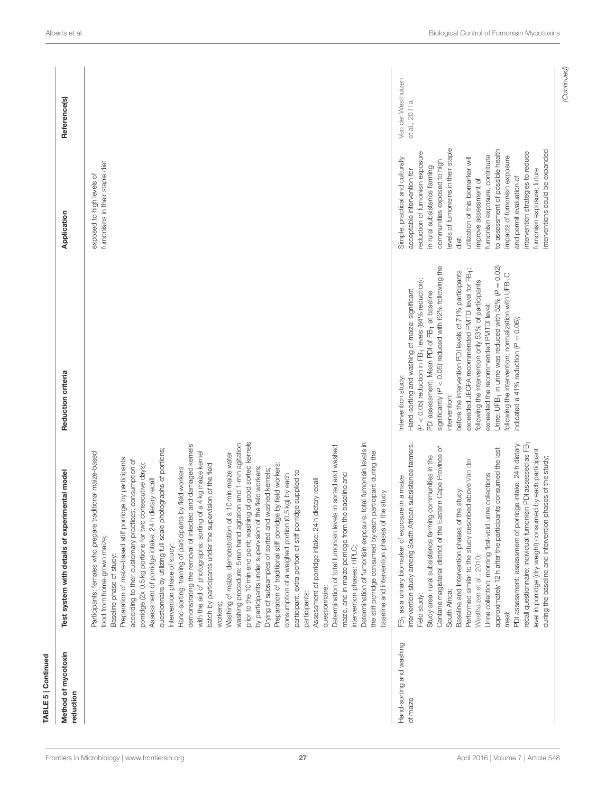| TABLE 5   Continued                  |                                                                                                                                                                                                                                                                                                                                                                                                                                                                                                                                                                                                                                                                                                                                                                                                                                                                                                                                                                                                                                                                                                                                                                                                                                                                                                                                                                                                                                                                                                                                                                                                                                                                  |                                                                                                                                                                                                                                                                                                                                                                                                                                                                                                                                                                                                                                                                              |                                                                                                                                                                                                                                                                                                                                                                                                                                                                                                                           |                                     |
|--------------------------------------|------------------------------------------------------------------------------------------------------------------------------------------------------------------------------------------------------------------------------------------------------------------------------------------------------------------------------------------------------------------------------------------------------------------------------------------------------------------------------------------------------------------------------------------------------------------------------------------------------------------------------------------------------------------------------------------------------------------------------------------------------------------------------------------------------------------------------------------------------------------------------------------------------------------------------------------------------------------------------------------------------------------------------------------------------------------------------------------------------------------------------------------------------------------------------------------------------------------------------------------------------------------------------------------------------------------------------------------------------------------------------------------------------------------------------------------------------------------------------------------------------------------------------------------------------------------------------------------------------------------------------------------------------------------|------------------------------------------------------------------------------------------------------------------------------------------------------------------------------------------------------------------------------------------------------------------------------------------------------------------------------------------------------------------------------------------------------------------------------------------------------------------------------------------------------------------------------------------------------------------------------------------------------------------------------------------------------------------------------|---------------------------------------------------------------------------------------------------------------------------------------------------------------------------------------------------------------------------------------------------------------------------------------------------------------------------------------------------------------------------------------------------------------------------------------------------------------------------------------------------------------------------|-------------------------------------|
| Method of mycotoxin<br>reduction     | Test system with details of experimental model                                                                                                                                                                                                                                                                                                                                                                                                                                                                                                                                                                                                                                                                                                                                                                                                                                                                                                                                                                                                                                                                                                                                                                                                                                                                                                                                                                                                                                                                                                                                                                                                                   | Reduction criteria                                                                                                                                                                                                                                                                                                                                                                                                                                                                                                                                                                                                                                                           | Application                                                                                                                                                                                                                                                                                                                                                                                                                                                                                                               | Reference(s)                        |
|                                      | prior to the 10 min end point; washing of good sorted kernels<br>Determination of fumonisin exposure: total fumonisin levels in<br>washing procedure: 5 min hand agitation and 1-min agitation<br>demonstrating the removal of infected and damaged kernels<br>Determination of total fumonisin levels in sorted and washed<br>questionnaire by utilizing full-scale photographs of portions;<br>with the aid of photographs; sorting of a 4 kg maize kernel<br>the stiff porridge consumed by each participant during the<br>traditional maize-based<br>Washing of maize: demonstration of a 10 min maize water<br>Preparation of maize-based stiff porridge by participants<br>according to their customary practices; consumption of<br>porridge (2x 0.5 kg portions for two consecutive days);<br>batch by participants under the supervision of the field<br>Preparation of traditional stiff porridge by field workers;<br>by participants under supervision of the field workers;<br>Hand-sorting: training of participants by field workers<br>Drying of subsamples of sorted and washed kernels;<br>participant; extra portion of stiff porridge supplied to<br>maize, and in maize porridge from the baseline and<br>consumption of a weighed portion (0.5 kg) by each<br>h dietary recall<br>h dietary recall<br>baseline and intervention phases of the study<br>Assessment of porridge intake: 24<br>Assessment of porridge intake: 24<br>Participants: females who prepare<br>food from home-grown maize;<br>Intervention phase of study:<br>intervention phases: HPLC;<br>Baseline phase of study:<br>questionnaire;<br>participants;<br>workers; |                                                                                                                                                                                                                                                                                                                                                                                                                                                                                                                                                                                                                                                                              | fumonisins in their staple diet<br>exposed to high levels of                                                                                                                                                                                                                                                                                                                                                                                                                                                              |                                     |
| Hand-sorting and washing<br>of maize | recall questionnaire; individual fumonisin PDI assessed as FB1<br>intervention study among South African subsistence farmers.<br>PDI assessment: assessment of porridge intake: 24 h dietary<br>Centane magisterial district of the Eastern Cape Province of<br>approximately 12h after the participants consumed the last<br>level in porridge (dry weight) consumed by each participant<br>Study area: rural subsistence farming communities in the<br>during the baseline and intervention phases of the study;<br>Performed similar to the study described above Van der<br>urine collections<br>FB- as a urinary biomarker of exposure in a maize<br>Baseline and Intervention phases of the study:<br>Urine collection: morning first-void<br>Westhuizen et al., 2010;<br>South Africa;<br>Field study:<br>meal;                                                                                                                                                                                                                                                                                                                                                                                                                                                                                                                                                                                                                                                                                                                                                                                                                                           | significantly ( $P < 0.05$ ) reduced with 62% following the<br>Urine: UFB-, in urine was reduced with 52% (P = 0.02)<br>exceeded JECFA recommended PMTDI level for FB <sub>1</sub> ;<br>before the intervention PDI levels of 71% participants<br>following the intervention; normalization with UFB <sub>1</sub> C<br>(P < 0.05) reduction in FB- levels (84% reduction);<br>following the intervention only 53% of participants<br>Hand-sorting and washing of maize: significant<br>PDI assessment: Mean PDI of FB <sub>1</sub> at baseline<br>exceeded the recommended PMTDI level;<br>indicated a 41% reduction ( $P = 0.06$ );<br>Intervention study:<br>intervention: | levels of fumonisins in their staple<br>to assessment of possible health<br>interventions could be expanded<br>reduction of fumonisin exposure<br>intervention strategies to reduce<br>fumonisin exposure, contribute<br>impacts of fumonisin exposure<br>Simple, practical and culturally<br>utilization of this biomarker will<br>communities exposed to high<br>in rural subsistence faming<br>acceptable intervention for<br>fumonisin exposure; future<br>and permit evaluation of<br>improve assessment of<br>diet; | Van der Westhuizen<br>et al., 2011a |
|                                      |                                                                                                                                                                                                                                                                                                                                                                                                                                                                                                                                                                                                                                                                                                                                                                                                                                                                                                                                                                                                                                                                                                                                                                                                                                                                                                                                                                                                                                                                                                                                                                                                                                                                  |                                                                                                                                                                                                                                                                                                                                                                                                                                                                                                                                                                                                                                                                              |                                                                                                                                                                                                                                                                                                                                                                                                                                                                                                                           | (Continued)                         |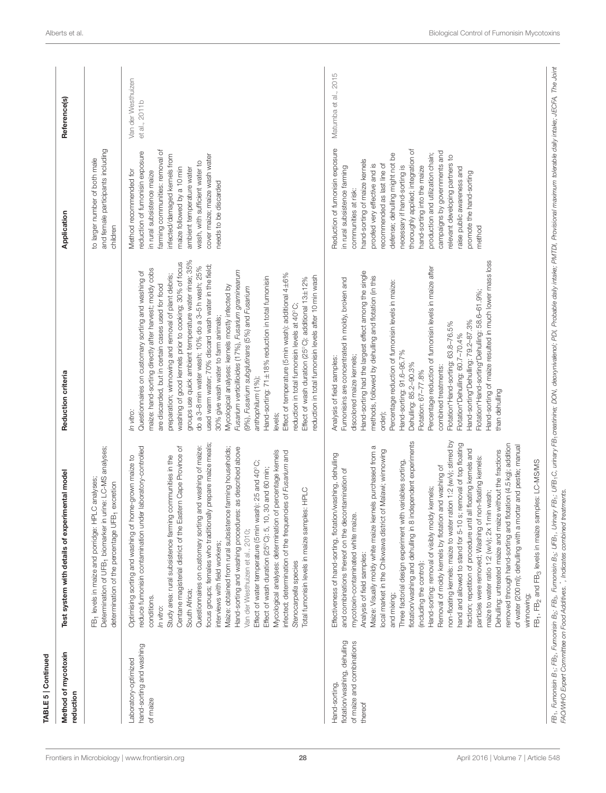| Method of mycotoxin<br>reduction                                                      | Test system with details of experimental model                                                                                                                                                                                                                                                                                                                                                                                                                                                                                                                                                                                                                                                                                                                                                                                                                                                                                                                                                                                                                                                                                                                                                                                        | Reduction criteria                                                                                                                                                                                                                                                                                                                                                                                                                                                                                                                                                                                                                                                                                                                                                                                                                                                                                                                                                                    | Application                                                                                                                                                                                                                                                                                                                                                                                                                                                                                                 | Reference(s)                        |
|---------------------------------------------------------------------------------------|---------------------------------------------------------------------------------------------------------------------------------------------------------------------------------------------------------------------------------------------------------------------------------------------------------------------------------------------------------------------------------------------------------------------------------------------------------------------------------------------------------------------------------------------------------------------------------------------------------------------------------------------------------------------------------------------------------------------------------------------------------------------------------------------------------------------------------------------------------------------------------------------------------------------------------------------------------------------------------------------------------------------------------------------------------------------------------------------------------------------------------------------------------------------------------------------------------------------------------------|---------------------------------------------------------------------------------------------------------------------------------------------------------------------------------------------------------------------------------------------------------------------------------------------------------------------------------------------------------------------------------------------------------------------------------------------------------------------------------------------------------------------------------------------------------------------------------------------------------------------------------------------------------------------------------------------------------------------------------------------------------------------------------------------------------------------------------------------------------------------------------------------------------------------------------------------------------------------------------------|-------------------------------------------------------------------------------------------------------------------------------------------------------------------------------------------------------------------------------------------------------------------------------------------------------------------------------------------------------------------------------------------------------------------------------------------------------------------------------------------------------------|-------------------------------------|
|                                                                                       | Determination of UFB <sub>1</sub> biomarker in urine: LC-MS analyses;<br>FB <sub>1</sub> levels in maize and porridge: HPLC analyses;<br>determination of the percentage UFB <sub>1</sub> excretion                                                                                                                                                                                                                                                                                                                                                                                                                                                                                                                                                                                                                                                                                                                                                                                                                                                                                                                                                                                                                                   |                                                                                                                                                                                                                                                                                                                                                                                                                                                                                                                                                                                                                                                                                                                                                                                                                                                                                                                                                                                       | and female participants including<br>to larger number of both male<br>children                                                                                                                                                                                                                                                                                                                                                                                                                              |                                     |
| hand-sorting and washing<br>Laboratory-optimized<br>of maize                          | focus groups; females who traditionally prepare maize meals;<br>Questionnaires on customary sorting and washing of maize:<br>reduce fumonisin contamination under laboratory-controlled<br>Centane magisterial district of the Eastern Cape Province of<br>Hand-sorting and washing procedures: as described above<br>Maize: obtained from rural subsistence farming households;<br>Mycological analyses: determination of percentage kernels<br>infected; determination of the frequencies of Fusarium and<br>communities in the<br>Optimising sorting and washing of home-grown maize to<br>Effect of water temperature (5 min wash): 25 and 40°C;<br>30 and 60 min;<br>Total fumonisin levels in maize samples: HPLC<br>Study area: rural subsistence farming<br>Effect of wash duration (25°C): 5, 10,<br>Van der Westhuizen et al., 2010;<br>interviews with field workers;<br>Stenocarpella species<br>South Africa;<br>conditions.<br>In vitro:                                                                                                                                                                                                                                                                                | groups use quick ambient temperature water rinse; 35%<br>washing of good kernels prior to cooking; 30% of focus<br>used warm water; 70% discard wash water in the field;<br>do a 3-8 min water wash; 10% do a 3-5 h wash; 25%<br>maize: hand-sorting directly after harvest; moldy cobs<br>Fusarium verticillioides (17%), Fusarium graminearum<br>Questionnaires on customary sorting and washing of<br>preparation; winnowing and removal of plant debris;<br>Effect of temperature (5 min wash): additional 4±6%<br>reduction in total fumonisin levels after 10 min wash<br>Hand-sorting: 71±18% reduction in total fumonisin<br>Effect of wash duration (25°C): additional 13±12%<br>are discarded, but in certain cases used for food<br>Mycological analyses: kernels mostly infected by<br>(9%), Fusarium subglutinans (5%) and Fusarium<br>reduction in total fumonisin levels at 40°C<br>30% give wash water to farm animals;<br>anthophilum (1 %);<br>In vitro:<br>levels; | farming communities: removal of<br>reduction of fumonisin exposure<br>infected/damaged kernels from<br>cover maize; maize wash water<br>wash, with sufficient water to<br>maize followed by a 10 min<br>ambient temperature water<br>Method recommended for<br>in rural subsistence maize<br>needs to be discarded                                                                                                                                                                                          | Van der Westhuizen<br>et al., 2011b |
| flotation/washing, dehulling<br>of maize and combinations<br>Hand-sorting,<br>thereof | non-floating kernels: maize to water ration 1:2 (w/v); stirred by<br>flotation/washing and dehulling in 8 independent experiments<br>hand and allowed to stand for 5-10 s; removal of top floating<br>removed through hand-sorting and flotation (4.5 kg); addition<br>of water (200 ml); dehulling with a mortar and pestle; manual<br>Maize: Visually moldy white maize kernels purchased from a<br>fraction; repetition of procedure until all floating kernels and<br>local market in the Chikwawa district of Malawi; winnowing<br>Dehulling: untreated maize and maize without the fractions<br>Effectiveness of hand-sorting, flotation/washing, dehulling<br>particles were removed; Washing of non-floating kernels:<br>Three factorial design experiment with variables sorting,<br>FB <sub>1</sub> , FB <sub>2</sub> and FB <sub>3</sub> levels in maize samples: LC-MS/MS<br>Removal of moldy kernels by flotation and washing of<br>and combinations thereof on the decontamination of<br>Hand-sorting: removal of visibly moldy kernels;<br>maize to water ratio 1:2 (w/v); 2x 1 min wash;<br>mycotoxin-contaminated white maize<br>Analysis of field samples:<br>(including the control):<br>and mixing;<br>winnowing; | Hand-sorting of maize resulted in much lower mass loss<br>Percentage reduction of fumonisin levels in maize after<br>Hand-sorting had the largest effect among the single<br>methods, followed by dehulling and flotation (in this<br>Fumonisins are concentrated in moldy, broken and<br>Percentage reduction of fumonisin levels in maize:<br>Flotation*Hand-sorting*Dehulling: 58.6-61.9%;<br>Hand-sorting*Dehulling: 79.2-87.3%<br>Flotation*Hand-sorting: 63.8-76.5%<br>Flotation*Dehulling: 60.7-70.4%<br>Hand-sorting: 91.6-95.7%<br>discolored maize kernels;<br>Analysis of field samples:<br>Dehulling: 85.2-90.3%<br>combined treatments:<br>Flotation: 67-77.8%<br>than dehulling<br>order);                                                                                                                                                                                                                                                                              | Reduction of fumonisin exposure<br>thoroughly applied; integration of<br>campaigns by governments and<br>production and utilization chain;<br>defense; dehulling might not be<br>relevant developing partners to<br>hand-sorting of maize kernels<br>recommended as last line of<br>proofed very effective and is<br>necessary if hand-sorting is<br>in rural subsistence faming<br>hand-sorting into the maize<br>raise public awareness and<br>promote the hand-sorting<br>communities at risk:<br>method | Matumba et al., 2015                |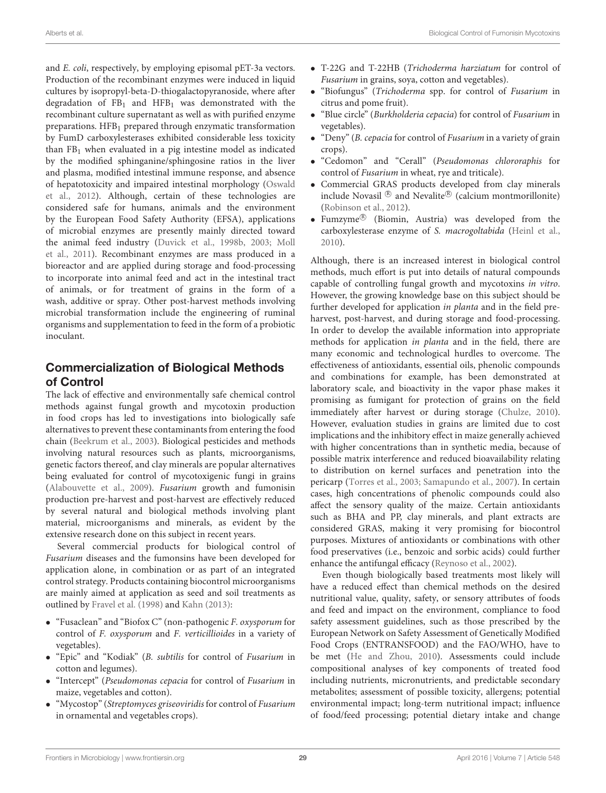and E. coli, respectively, by employing episomal pET-3a vectors. Production of the recombinant enzymes were induced in liquid cultures by isopropyl-beta-D-thiogalactopyranoside, where after degradation of  $FB<sub>1</sub>$  and  $HFB<sub>1</sub>$  was demonstrated with the recombinant culture supernatant as well as with purified enzyme preparations. HFB<sup>1</sup> prepared through enzymatic transformation by FumD carboxylesterases exhibited considerable less toxicity than  $FB<sub>1</sub>$  when evaluated in a pig intestine model as indicated by the modified sphinganine/sphingosine ratios in the liver and plasma, modified intestinal immune response, and absence of hepatotoxicity and impaired intestinal morphology (Oswald et al., [2012\)](#page-31-34). Although, certain of these technologies are considered safe for humans, animals and the environment by the European Food Safety Authority (EFSA), applications of microbial enzymes are presently mainly directed toward the animal feed industry [\(Duvick et al., 1998b,](#page-30-29) [2003;](#page-30-33) Moll et al., [2011\)](#page-31-35). Recombinant enzymes are mass produced in a bioreactor and are applied during storage and food-processing to incorporate into animal feed and act in the intestinal tract of animals, or for treatment of grains in the form of a wash, additive or spray. Other post-harvest methods involving microbial transformation include the engineering of ruminal organisms and supplementation to feed in the form of a probiotic inoculant.

# Commercialization of Biological Methods of Control

The lack of effective and environmentally safe chemical control methods against fungal growth and mycotoxin production in food crops has led to investigations into biologically safe alternatives to prevent these contaminants from entering the food chain [\(Beekrum et al., 2003\)](#page-29-3). Biological pesticides and methods involving natural resources such as plants, microorganisms, genetic factors thereof, and clay minerals are popular alternatives being evaluated for control of mycotoxigenic fungi in grains [\(Alabouvette et al., 2009\)](#page-29-0). Fusarium growth and fumonisin production pre-harvest and post-harvest are effectively reduced by several natural and biological methods involving plant material, microorganisms and minerals, as evident by the extensive research done on this subject in recent years.

Several commercial products for biological control of Fusarium diseases and the fumonsins have been developed for application alone, in combination or as part of an integrated control strategy. Products containing biocontrol microorganisms are mainly aimed at application as seed and soil treatments as outlined by [Fravel et al. \(1998\)](#page-30-34) and [Kahn \(2013\)](#page-31-36):

- "Fusaclean" and "Biofox C" (non-pathogenic F. oxysporum for control of F. oxysporum and F. verticillioides in a variety of vegetables).
- "Epic" and "Kodiak" (B. subtilis for control of Fusarium in cotton and legumes).
- "Intercept" (Pseudomonas cepacia for control of Fusarium in maize, vegetables and cotton).
- "Mycostop" (Streptomyces griseoviridis for control of Fusarium in ornamental and vegetables crops).
- T-22G and T-22HB (Trichoderma harziatum for control of Fusarium in grains, soya, cotton and vegetables).
- "Biofungus" (Trichoderma spp. for control of Fusarium in citrus and pome fruit).
- "Blue circle" (Burkholderia cepacia) for control of Fusarium in vegetables).
- "Deny" (B. cepacia for control of Fusarium in a variety of grain crops).
- "Cedomon" and "Cerall" (Pseudomonas chlororaphis for control of Fusarium in wheat, rye and triticale).
- Commercial GRAS products developed from clay minerals include Novasil  $\mathbb B$  and Nevalite $\mathbb B$  (calcium montmorillonite) [\(Robinson et al., 2012\)](#page-32-23).
- Fumzyme <sup>R</sup> (Biomin, Austria) was developed from the carboxylesterase enzyme of S. macrogoltabida [\(Heinl et al.,](#page-31-31) [2010\)](#page-31-31).

Although, there is an increased interest in biological control methods, much effort is put into details of natural compounds capable of controlling fungal growth and mycotoxins in vitro. However, the growing knowledge base on this subject should be further developed for application in planta and in the field preharvest, post-harvest, and during storage and food-processing. In order to develop the available information into appropriate methods for application in planta and in the field, there are many economic and technological hurdles to overcome. The effectiveness of antioxidants, essential oils, phenolic compounds and combinations for example, has been demonstrated at laboratory scale, and bioactivity in the vapor phase makes it promising as fumigant for protection of grains on the field immediately after harvest or during storage [\(Chulze, 2010\)](#page-30-5). However, evaluation studies in grains are limited due to cost implications and the inhibitory effect in maize generally achieved with higher concentrations than in synthetic media, because of possible matrix interference and reduced bioavailability relating to distribution on kernel surfaces and penetration into the pericarp [\(Torres et al., 2003;](#page-32-11) [Samapundo et al., 2007\)](#page-32-12). In certain cases, high concentrations of phenolic compounds could also affect the sensory quality of the maize. Certain antioxidants such as BHA and PP, clay minerals, and plant extracts are considered GRAS, making it very promising for biocontrol purposes. Mixtures of antioxidants or combinations with other food preservatives (i.e., benzoic and sorbic acids) could further enhance the antifungal efficacy [\(Reynoso et al., 2002\)](#page-32-10).

Even though biologically based treatments most likely will have a reduced effect than chemical methods on the desired nutritional value, quality, safety, or sensory attributes of foods and feed and impact on the environment, compliance to food safety assessment guidelines, such as those prescribed by the European Network on Safety Assessment of Genetically Modified Food Crops (ENTRANSFOOD) and the FAO/WHO, have to be met [\(He and Zhou, 2010\)](#page-31-7). Assessments could include compositional analyses of key components of treated food including nutrients, micronutrients, and predictable secondary metabolites; assessment of possible toxicity, allergens; potential environmental impact; long-term nutritional impact; influence of food/feed processing; potential dietary intake and change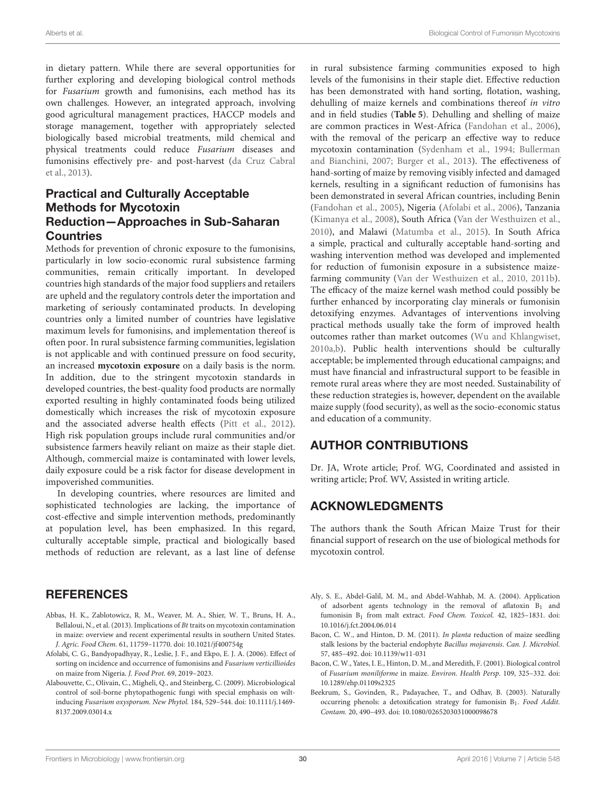in dietary pattern. While there are several opportunities for further exploring and developing biological control methods for Fusarium growth and fumonisins, each method has its own challenges. However, an integrated approach, involving good agricultural management practices, HACCP models and storage management, together with appropriately selected biologically based microbial treatments, mild chemical and physical treatments could reduce Fusarium diseases and fumonisins effectively pre- and post-harvest (da Cruz Cabral et al., [2013\)](#page-30-8).

# Practical and Culturally Acceptable Methods for Mycotoxin Reduction—Approaches in Sub-Saharan **Countries**

Methods for prevention of chronic exposure to the fumonisins, particularly in low socio-economic rural subsistence farming communities, remain critically important. In developed countries high standards of the major food suppliers and retailers are upheld and the regulatory controls deter the importation and marketing of seriously contaminated products. In developing countries only a limited number of countries have legislative maximum levels for fumonisins, and implementation thereof is often poor. In rural subsistence farming communities, legislation is not applicable and with continued pressure on food security, an increased **mycotoxin exposure** on a daily basis is the norm. In addition, due to the stringent mycotoxin standards in developed countries, the best-quality food products are normally exported resulting in highly contaminated foods being utilized domestically which increases the risk of mycotoxin exposure and the associated adverse health effects [\(Pitt et al., 2012\)](#page-32-27). High risk population groups include rural communities and/or subsistence farmers heavily reliant on maize as their staple diet. Although, commercial maize is contaminated with lower levels, daily exposure could be a risk factor for disease development in impoverished communities.

In developing countries, where resources are limited and sophisticated technologies are lacking, the importance of cost-effective and simple intervention methods, predominantly at population level, has been emphasized. In this regard, culturally acceptable simple, practical and biologically based methods of reduction are relevant, as a last line of defense

### **REFERENCES**

- <span id="page-29-4"></span>Abbas, H. K., Zablotowicz, R. M., Weaver, M. A., Shier, W. T., Bruns, H. A., Bellaloui, N., et al. (2013). Implications of Bt traits on mycotoxin contamination in maize: overview and recent experimental results in southern United States. J. Agric. Food Chem. 61, 11759–11770. doi: 10.1021/jf400754g
- <span id="page-29-6"></span>Afolabi, C. G., Bandyopadhyay, R., Leslie, J. F., and Ekpo, E. J. A. (2006). Effect of sorting on incidence and occurrence of fumonisins and Fusarium verticillioides on maize from Nigeria. J. Food Prot. 69, 2019–2023.
- <span id="page-29-0"></span>Alabouvette, C., Olivain, C., Migheli, Q., and Steinberg, C. (2009). Microbiological control of soil-borne phytopathogenic fungi with special emphasis on wiltinducing Fusarium oxysporum. New Phytol. 184, 529–544. doi: 10.1111/j.1469- 8137.2009.03014.x

in rural subsistence farming communities exposed to high levels of the fumonisins in their staple diet. Effective reduction has been demonstrated with hand sorting, flotation, washing, dehulling of maize kernels and combinations thereof in vitro and in field studies (**[Table 5](#page-24-0)**). Dehulling and shelling of maize are common practices in West-Africa [\(Fandohan et al., 2006\)](#page-30-3), with the removal of the pericarp an effective way to reduce mycotoxin contamination [\(Sydenham et al., 1994;](#page-32-28) Bullerman and Bianchini, [2007;](#page-30-35) [Burger et al., 2013\)](#page-30-4). The effectiveness of hand-sorting of maize by removing visibly infected and damaged kernels, resulting in a significant reduction of fumonisins has been demonstrated in several African countries, including Benin [\(Fandohan et al., 2005\)](#page-30-32), Nigeria [\(Afolabi et al., 2006\)](#page-29-6), Tanzania [\(Kimanya et al., 2008\)](#page-31-6), South Africa [\(Van der Westhuizen et al.,](#page-32-8) [2010\)](#page-32-8), and Malawi [\(Matumba et al., 2015\)](#page-31-33). In South Africa a simple, practical and culturally acceptable hand-sorting and washing intervention method was developed and implemented for reduction of fumonisin exposure in a subsistence maizefarming community [\(Van der Westhuizen et al., 2010,](#page-32-8) [2011b\)](#page-32-26). The efficacy of the maize kernel wash method could possibly be further enhanced by incorporating clay minerals or fumonisin detoxifying enzymes. Advantages of interventions involving practical methods usually take the form of improved health outcomes rather than market outcomes [\(Wu and Khlangwiset,](#page-32-29) [2010a](#page-32-29)[,b\)](#page-32-30). Public health interventions should be culturally acceptable; be implemented through educational campaigns; and must have financial and infrastructural support to be feasible in remote rural areas where they are most needed. Sustainability of these reduction strategies is, however, dependent on the available maize supply (food security), as well as the socio-economic status and education of a community.

# AUTHOR CONTRIBUTIONS

Dr. JA, Wrote article; Prof. WG, Coordinated and assisted in writing article; Prof. WV, Assisted in writing article.

# ACKNOWLEDGMENTS

The authors thank the South African Maize Trust for their financial support of research on the use of biological methods for mycotoxin control.

- <span id="page-29-5"></span>Aly, S. E., Abdel-Galil, M. M., and Abdel-Wahhab, M. A. (2004). Application of adsorbent agents technology in the removal of aflatoxin  $B_1$  and fumonisin B<sub>1</sub> from malt extract. Food Chem. Toxicol. 42, 1825-1831. doi: 10.1016/j.fct.2004.06.014
- <span id="page-29-1"></span>Bacon, C. W., and Hinton, D. M. (2011). In planta reduction of maize seedling stalk lesions by the bacterial endophyte Bacillus mojavensis. Can. J. Microbiol. 57, 485–492. doi: 10.1139/w11-031
- <span id="page-29-2"></span>Bacon, C. W., Yates, I. E., Hinton, D. M., and Meredith, F. (2001). Biological control of Fusarium moniliforme in maize. Environ. Health Persp. 109, 325–332. doi: 10.1289/ehp.01109s2325
- <span id="page-29-3"></span>Beekrum, S., Govinden, R., Padayachee, T., and Odhav, B. (2003). Naturally occurring phenols: a detoxification strategy for fumonisin B<sub>1</sub>. Food Addit. Contam. 20, 490–493. doi: 10.1080/0265203031000098678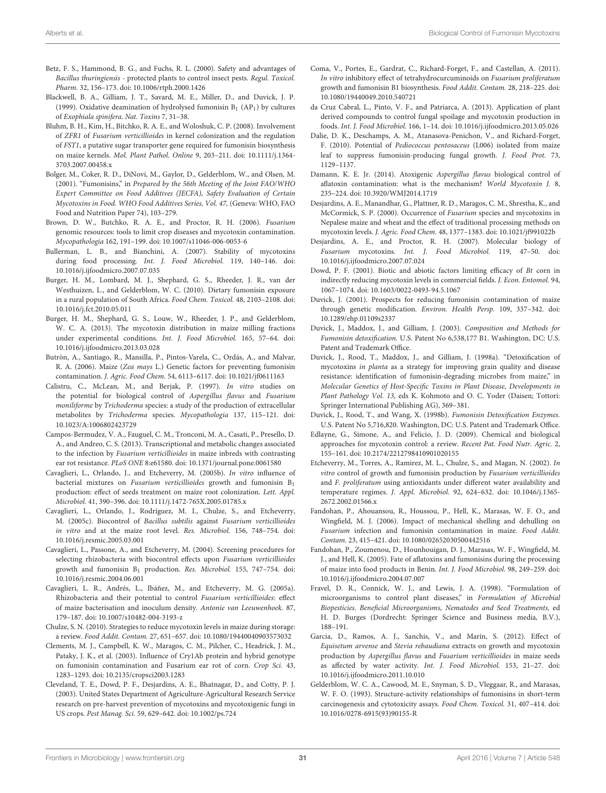- <span id="page-30-6"></span>Betz, F. S., Hammond, B. G., and Fuchs, R. L. (2000). Safety and advantages of Bacillus thuringiensis - protected plants to control insect pests. Regul. Toxicol. Pharm. 32, 156–173. doi: 10.1006/rtph.2000.1426
- <span id="page-30-30"></span>Blackwell, B. A., Gilliam, J. T., Savard, M. E., Miller, D., and Duvick, J. P. (1999). Oxidative deamination of hydrolysed fumonisin  $B_1$  (AP<sub>1</sub>) by cultures of Exophiala spinifera. Nat. Toxins 7, 31–38.
- <span id="page-30-14"></span>Bluhm, B. H., Kim, H., Bitchko, R. A. E., and Woloshuk, C. P. (2008). Involvement of ZFR1 of Fusarium verticillioides in kernel colonization and the regulation of FST1, a putative sugar transporter gene required for fumonisin biosynthesis on maize kernels. Mol. Plant Pathol. Online 9, 203–211. doi: 10.1111/j.1364- 3703.2007.00458.x
- <span id="page-30-1"></span>Bolger, M., Coker, R. D., DiNovi, M., Gaylor, D., Gelderblom, W., and Olsen, M. (2001). "Fumonisins," in Prepared by the 56th Meeting of the Joint FAO/WHO Expert Committee on Food Additives (JECFA), Safety Evaluation of Certain Mycotoxins in Food. WHO Food Additives Series, Vol. 47, (Geneva: WHO, FAO Food and Nutrition Paper 74), 103–279.
- <span id="page-30-22"></span>Brown, D. W., Butchko, R. A. E., and Proctor, R. H. (2006). Fusarium genomic resources: tools to limit crop diseases and mycotoxin contamination. Mycopathologia 162, 191–199. doi: 10.1007/s11046-006-0053-6
- <span id="page-30-35"></span>Bullerman, L. B., and Bianchini, A. (2007). Stability of mycotoxins during food processing. Int. J. Food Microbiol. 119, 140–146. doi: 10.1016/j.ijfoodmicro.2007.07.035
- <span id="page-30-0"></span>Burger, H. M., Lombard, M. J., Shephard, G. S., Rheeder, J. R., van der Westhuizen, L., and Gelderblom, W. C. (2010). Dietary fumonisin exposure in a rural population of South Africa. Food Chem. Toxicol. 48, 2103–2108. doi: 10.1016/j.fct.2010.05.011
- <span id="page-30-4"></span>Burger, H. M., Shephard, G. S., Louw, W., Rheeder, J. P., and Gelderblom, W. C. A. (2013). The mycotoxin distribution in maize milling fractions under experimental conditions. Int. J. Food Microbiol. 165, 57–64. doi: 10.1016/j.ijfoodmicro.2013.03.028
- <span id="page-30-25"></span>Butròn, A., Santiago, R., Mansilla, P., Pintos-Varela, C., Ordás, A., and Malvar, R. A. (2006). Maize (Zea mays L.) Genetic factors for preventing fumonisin contamination. J. Agric. Food Chem. 54, 6113–6117. doi: 10.1021/jf0611163
- <span id="page-30-13"></span>Calistru, C., McLean, M., and Berjak, P. (1997). In vitro studies on the potential for biological control of Aspergillus flavus and Fusarium moniliforme by Trichoderma species: a study of the production of extracellular metabolites by Trichoderma species. Mycopathologia 137, 115–121. doi: 10.1023/A:1006802423729
- <span id="page-30-24"></span>Campos-Bermudez, V. A., Fauguel, C. M., Tronconi, M. A., Casati, P., Presello, D. A., and Andreo, C. S. (2013). Transcriptional and metabolic changes associated to the infection by Fusarium verticillioides in maize inbreds with contrasting ear rot resistance. PLoS ONE 8:e61580. doi: 10.1371/journal.pone.0061580
- <span id="page-30-16"></span>Cavaglieri, L., Orlando, J., and Etcheverry, M. (2005b). In vitro influence of bacterial mixtures on Fusarium verticillioides growth and fumonisin B<sub>1</sub> production: effect of seeds treatment on maize root colonization. Lett. Appl. Microbiol. 41, 390–396. doi: 10.1111/j.1472-765X.2005.01785.x
- <span id="page-30-17"></span>Cavaglieri, L., Orlando, J., Rodríguez, M. I., Chulze, S., and Etcheverry, M. (2005c). Biocontrol of Bacillus subtilis against Fusarium verticillioides in vitro and at the maize root level. Res. Microbiol. 156, 748–754. doi: 10.1016/j.resmic.2005.03.001
- <span id="page-30-11"></span>Cavaglieri, L., Passone, A., and Etcheverry, M. (2004). Screening procedures for selecting rhizobacteria with biocontrol effects upon Fusarium verticillioides growth and fumonisin B<sup>1</sup> production. Res. Microbiol. 155, 747–754. doi: 10.1016/j.resmic.2004.06.001
- <span id="page-30-15"></span>Cavaglieri, L. R., Andrés, L., Ibáñez, M., and Etcheverry, M. G. (2005a). Rhizobacteria and their potential to control Fusarium verticillioides: effect of maize bacterisation and inoculum density. Antonie van Leeuwenhoek. 87, 179–187. doi: 10.1007/s10482-004-3193-z
- <span id="page-30-5"></span>Chulze, S. N. (2010). Strategies to reduce mycotoxin levels in maize during storage: a review. Food Addit. Contam. 27, 651–657. doi: 10.1080/19440040903573032
- <span id="page-30-27"></span>Clements, M. J., Campbell, K. W., Maragos, C. M., Pilcher, C., Headrick, J. M., Pataky, J. K., et al. (2003). Influence of Cry1Ab protein and hybrid genotype on fumonisin contamination and Fusarium ear rot of corn. Crop Sci. 43, 1283–1293. doi: 10.2135/cropsci2003.1283
- <span id="page-30-7"></span>Cleveland, T. E., Dowd, P. F., Desjardins, A. E., Bhatnagar, D., and Cotty, P. J. (2003). United States Department of Agriculture-Agricultural Research Service research on pre-harvest prevention of mycotoxins and mycotoxigenic fungi in US crops. Pest Manag. Sci. 59, 629–642. doi: 10.1002/ps.724
- <span id="page-30-19"></span>Coma, V., Portes, E., Gardrat, C., Richard-Forget, F., and Castellan, A. (2011). In vitro inhibitory effect of tetrahydrocurcuminoids on Fusarium proliferatum growth and fumonisin B1 biosynthesis. Food Addit. Contam. 28, 218–225. doi: 10.1080/19440049.2010.540721
- <span id="page-30-8"></span>da Cruz Cabral, L., Pinto, V. F., and Patriarca, A. (2013). Application of plant derived compounds to control fungal spoilage and mycotoxin production in foods. Int. J. Food Microbiol. 166, 1–14. doi: 10.1016/j.ijfoodmicro.2013.05.026
- <span id="page-30-12"></span>Dalie, D. K., Deschamps, A. M., Atanasova-Penichon, V., and Richard-Forget, F. (2010). Potential of Pediococcus pentosaceus (L006) isolated from maize leaf to suppress fumonisin-producing fungal growth. J. Food Prot. 73, 1129–1137.
- <span id="page-30-10"></span>Damann, K. E. Jr. (2014). Atoxigenic Aspergillus flavus biological control of aflatoxin contamination: what is the mechanism? World Mycotoxin J. 8, 235–224. doi: 10.3920/WMJ2014.1719
- <span id="page-30-31"></span>Desjardins, A. E., Manandhar, G., Plattner, R. D., Maragos, C. M., Shrestha, K., and McCormick, S. P. (2000). Occurrence of Fusarium species and mycotoxins in Nepalese maize and wheat and the effect of traditional processing methods on mycotoxin levels. J. Agric. Food Chem. 48, 1377–1383. doi: 10.1021/jf991022b
- <span id="page-30-23"></span>Desjardins, A. E., and Proctor, R. H. (2007). Molecular biology of Fusarium mycotoxins. Int. J. Food Microbiol. 119, 47–50. doi: 10.1016/j.ijfoodmicro.2007.07.024
- <span id="page-30-26"></span>Dowd, P. F. (2001). Biotic and abiotic factors limiting efficacy of Bt corn in indirectly reducing mycotoxin levels in commercial fields. J. Econ. Entomol. 94, 1067–1074. doi: 10.1603/0022-0493-94.5.1067
- <span id="page-30-21"></span>Duvick, J. (2001). Prospects for reducing fumonisin contamination of maize through genetic modification. Environ. Health Persp. 109, 337–342. doi: 10.1289/ehp.01109s2337
- <span id="page-30-33"></span>Duvick, J., Maddox, J., and Gilliam, J. (2003). Composition and Methods for Fumonisin detoxification. U.S. Patent No 6,538,177 B1. Washington, DC: U.S. Patent and Trademark Office.
- <span id="page-30-28"></span>Duvick, J., Rood, T., Maddox, J., and Gilliam, J. (1998a). "Detoxification of mycotoxins in planta as a strategy for improving grain quality and disease resistance: identification of fumonisin-degrading microbes from maize," in Molecular Genetics of Host-Specific Toxins in Plant Disease, Developments in Plant Pathology Vol. 13, eds K. Kohmoto and O. C. Yoder (Daisen; Tottori: Springer International Publishing AG), 369–381.
- <span id="page-30-29"></span>Duvick, J., Rood, T., and Wang, X. (1998b). Fumonisin Detoxification Enzymes. U.S. Patent No 5,716,820. Washington, DC: U.S. Patent and Trademark Office.
- <span id="page-30-9"></span>Edlayne, G., Simone, A., and Felicio, J. D. (2009). Chemical and biological approaches for mycotoxin control: a review. Recent Pat. Food Nutr. Agric. 2, 155–161. doi: 10.2174/2212798410901020155
- <span id="page-30-18"></span>Etcheverry, M., Torres, A., Ramirez, M. L., Chulze, S., and Magan, N. (2002). In vitro control of growth and fumonisin production by Fusarium verticillioides and F. proliferatum using antioxidants under different water availability and temperature regimes. J. Appl. Microbiol. 92, 624–632. doi: 10.1046/j.1365- 2672.2002.01566.x
- <span id="page-30-3"></span>Fandohan, P., Ahouansou, R., Houssou, P., Hell, K., Marasas, W. F. O., and Wingfield, M. J. (2006). Impact of mechanical shelling and dehulling on Fusarium infection and fumonisin contamination in maize. Food Addit. Contam. 23, 415–421. doi: 10.1080/02652030500442516
- <span id="page-30-32"></span>Fandohan, P., Zoumenou, D., Hounhouigan, D. J., Marasas, W. F., Wingfield, M. J., and Hell, K. (2005). Fate of aflatoxins and fumonisins during the processing of maize into food products in Benin. Int. J. Food Microbiol. 98, 249–259. doi: 10.1016/j.ijfoodmicro.2004.07.007
- <span id="page-30-34"></span>Fravel, D. R., Connick, W. J., and Lewis, J. A. (1998). "Formulation of microorganisms to control plant diseases," in Formulation of Microbial Biopesticies. Beneficial Microorganisms, Nematodes and Seed Treatments, ed H. D. Burges (Dordrecht: Springer Science and Business media, B.V.), 188–191.
- <span id="page-30-20"></span>Garcia, D., Ramos, A. J., Sanchis, V., and Marín, S. (2012). Effect of Equisetum arvense and Stevia rebaudiana extracts on growth and mycotoxin production by Aspergillus flavus and Fusarium verticillioides in maize seeds as affected by water activity. Int. J. Food Microbiol. 153, 21–27. doi: 10.1016/j.ijfoodmicro.2011.10.010
- <span id="page-30-2"></span>Gelderblom, W. C. A., Cawood, M. E., Snyman, S. D., Vleggaar, R., and Marasas, W. F. O. (1993). Structure-activity relationships of fumonisins in short-term carcinogenesis and cytotoxicity assays. Food Chem. Toxicol. 31, 407–414. doi: 10.1016/0278-6915(93)90155-R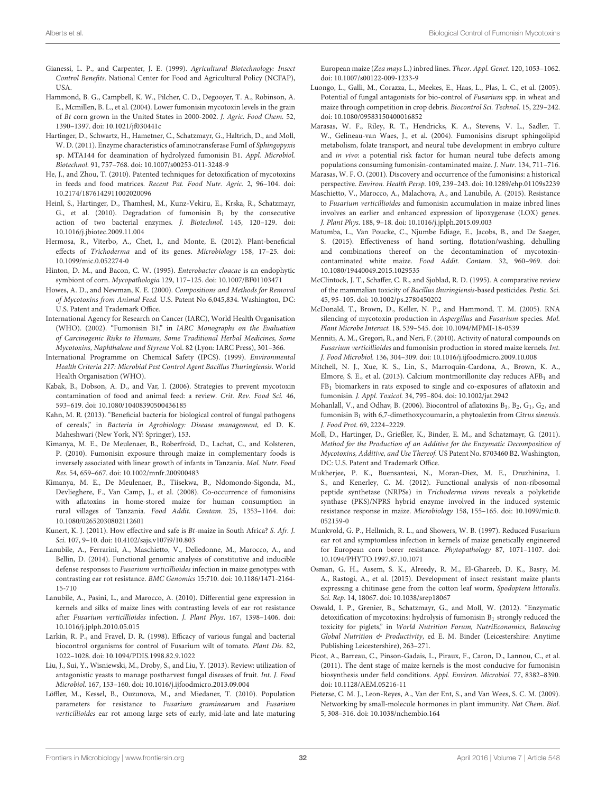- <span id="page-31-28"></span>Gianessi, L. P., and Carpenter, J. E. (1999). Agricultural Biotechnology: Insect Control Benefits. National Center for Food and Agricultural Policy (NCFAP), USA.
- <span id="page-31-24"></span>Hammond, B. G., Campbell, K. W., Pilcher, C. D., Degooyer, T. A., Robinson, A. E., Mcmillen, B. L., et al. (2004). Lower fumonisin mycotoxin levels in the grain of Bt corn grown in the United States in 2000-2002. J. Agric. Food Chem. 52, 1390–1397. doi: 10.1021/jf030441c
- <span id="page-31-32"></span>Hartinger, D., Schwartz, H., Hametner, C., Schatzmayr, G., Haltrich, D., and Moll, W. D. (2011). Enzyme characteristics of aminotransferase FumI of Sphingopyxis sp. MTA144 for deamination of hydrolyzed fumonisin B1. Appl. Microbiol. Biotechnol. 91, 757–768. doi: 10.1007/s00253-011-3248-9
- <span id="page-31-7"></span>He, J., and Zhou, T. (2010). Patented techniques for detoxification of mycotoxins in feeds and food matrices. Recent Pat. Food Nutr. Agric. 2, 96–104. doi: 10.2174/1876142911002020096
- <span id="page-31-31"></span>Heinl, S., Hartinger, D., Thamhesl, M., Kunz-Vekiru, E., Krska, R., Schatzmayr, G., et al. (2010). Degradation of fumonisin  $B_1$  by the consecutive action of two bacterial enzymes. J. Biotechnol. 145, 120–129. doi: 10.1016/j.jbiotec.2009.11.004
- <span id="page-31-12"></span>Hermosa, R., Viterbo, A., Chet, I., and Monte, E. (2012). Plant-beneficial effects of Trichoderma and of its genes. Microbiology 158, 17–25. doi: 10.1099/mic.0.052274-0
- <span id="page-31-16"></span>Hinton, D. M., and Bacon, C. W. (1995). Enterobacter cloacae is an endophytic symbiont of corn. Mycopathologia 129, 117–125. doi: 10.1007/BF01103471
- <span id="page-31-30"></span>Howes, A. D., and Newman, K. E. (2000). Compositions and Methods for Removal of Mycotoxins from Animal Feed. U.S. Patent No 6,045,834. Washington, DC: U.S. Patent and Trademark Office.
- <span id="page-31-5"></span>International Agency for Research on Cancer (IARC), World Health Organisation (WHO). (2002). "Fumonisin B1," in IARC Monographs on the Evaluation of Carcinogenic Risks to Humans, Some Traditional Herbal Medicines, Some Mycotoxins, Naphthalene and Styrene Vol. 82 (Lyon: IARC Press), 301–366.
- <span id="page-31-26"></span>International Programme on Chemical Safety (IPCS). (1999). Environmental Health Criteria 217: Microbial Pest Control Agent Bacillus Thuringiensis. World Health Organisation (WHO).
- <span id="page-31-10"></span>Kabak, B., Dobson, A. D., and Var, I. (2006). Strategies to prevent mycotoxin contamination of food and animal feed: a review. Crit. Rev. Food Sci. 46, 593–619. doi: 10.1080/10408390500436185
- <span id="page-31-36"></span>Kahn, M. R. (2013). "Beneficial bacteria for biological control of fungal pathogens of cereals," in Bacteria in Agrobiology: Disease management, ed D. K. Maheshwari (New York, NY: Springer), 153.
- <span id="page-31-4"></span>Kimanya, M. E., De Meulenaer, B., Roberfroid, D., Lachat, C., and Kolsteren, P. (2010). Fumonisin exposure through maize in complementary foods is inversely associated with linear growth of infants in Tanzania. Mol. Nutr. Food Res. 54, 659–667. doi: 10.1002/mnfr.200900483
- <span id="page-31-6"></span>Kimanya, M. E., De Meulenaer, B., Tiisekwa, B., Ndomondo-Sigonda, M., Devlieghere, F., Van Camp, J., et al. (2008). Co-occurrence of fumonisins with aflatoxins in home-stored maize for human consumption in rural villages of Tanzania. Food Addit. Contam. 25, 1353–1164. doi: 10.1080/02652030802112601
- <span id="page-31-25"></span>Kunert, K. J. (2011). How effective and safe is Bt-maize in South Africa? S. Afr. J. Sci. 107, 9–10. doi: 10.4102/sajs.v107i9/10.803
- <span id="page-31-20"></span>Lanubile, A., Ferrarini, A., Maschietto, V., Delledonne, M., Marocco, A., and Bellin, D. (2014). Functional genomic analysis of constitutive and inducible defense responses to Fusarium verticillioides infection in maize genotypes with contrasting ear rot resistance. BMC Genomics 15:710. doi: 10.1186/1471-2164- 15-710
- <span id="page-31-21"></span>Lanubile, A., Pasini, L., and Marocco, A. (2010). Differential gene expression in kernels and silks of maize lines with contrasting levels of ear rot resistance after Fusarium verticillioides infection. J. Plant Phys. 167, 1398–1406. doi: 10.1016/j.jplph.2010.05.015
- <span id="page-31-8"></span>Larkin, R. P., and Fravel, D. R. (1998). Efficacy of various fungal and bacterial biocontrol organisms for control of Fusarium wilt of tomato. Plant Dis. 82, 1022–1028. doi: 10.1094/PDIS.1998.82.9.1022
- <span id="page-31-9"></span>Liu, J., Sui, Y., Wisniewski, M., Droby, S., and Liu, Y. (2013). Review: utilization of antagonistic yeasts to manage postharvest fungal diseases of fruit. Int. J. Food Microbiol. 167, 153–160. doi: 10.1016/j.ijfoodmicro.2013.09.004
- <span id="page-31-19"></span>Löffler, M., Kessel, B., Ouzunova, M., and Miedaner, T. (2010). Population parameters for resistance to Fusarium graminearum and Fusarium verticillioides ear rot among large sets of early, mid-late and late maturing

European maize (Zea mays L.) inbred lines. Theor. Appl. Genet. 120, 1053–1062. doi: 10.1007/s00122-009-1233-9

<span id="page-31-11"></span>Luongo, L., Galli, M., Corazza, L., Meekes, E., Haas, L., Plas, L. C., et al. (2005). Potential of fungal antagonists for bio-control of Fusarium spp. in wheat and maize through competition in crop debris. Biocontrol Sci. Technol. 15, 229–242. doi: 10.1080/09583150400016852

<span id="page-31-3"></span>Marasas, W. F., Riley, R. T., Hendricks, K. A., Stevens, V. L., Sadler, T. W., Gelineau-van Waes, J., et al. (2004). Fumonisins disrupt sphingolipid metabolism, folate transport, and neural tube development in embryo culture and in vivo: a potential risk factor for human neural tube defects among populations consuming fumonisin-contaminated maize. J. Nutr. 134, 711–716.

- <span id="page-31-2"></span>Marasas, W. F. O. (2001). Discovery and occurrence of the fumonisins: a historical perspective. Environ. Health Persp. 109, 239–243. doi: 10.1289/ehp.01109s2239
- <span id="page-31-22"></span>Maschietto, V., Marocco, A., Malachova, A., and Lanubile, A. (2015). Resistance to Fusarium verticillioides and fumonisin accumulation in maize inbred lines involves an earlier and enhanced expression of lipoxygenase (LOX) genes. J. Plant Phys. 188, 9–18. doi: 10.1016/j.jplph.2015.09.003
- <span id="page-31-33"></span>Matumba, L., Van Poucke, C., Njumbe Ediage, E., Jacobs, B., and De Saeger, S. (2015). Effectiveness of hand sorting, flotation/washing, dehulling and combinations thereof on the decontamination of mycotoxincontaminated white maize. Food Addit. Contam. 32, 960–969. doi: 10.1080/19440049.2015.1029535
- <span id="page-31-27"></span>McClintock, J. T., Schaffer, C. R., and Sjoblad, R. D. (1995). A comparative review of the mammalian toxicity of Bacillus thuringiensis-based pesticides. Pestic. Sci. 45, 95–105. doi: 10.1002/ps.2780450202
- <span id="page-31-15"></span>McDonald, T., Brown, D., Keller, N. P., and Hammond, T. M. (2005). RNA silencing of mycotoxin production in Aspergillus and Fusarium species. Mol. Plant Microbe Interact. 18, 539–545. doi: 10.1094/MPMI-18-0539
- <span id="page-31-18"></span>Menniti, A. M., Gregori, R., and Neri, F. (2010). Activity of natural compounds on Fusarium verticillioides and fumonisin production in stored maize kernels. Int. J. Food Microbiol. 136, 304–309. doi: 10.1016/j.ijfoodmicro.2009.10.008
- <span id="page-31-29"></span>Mitchell, N. J., Xue, K. S., Lin, S., Marroquin-Cardona, A., Brown, K. A., Elmore, S. E., et al. (2013). Calcium montmorillonite clay reduces  $AFB<sub>1</sub>$  and FB<sup>1</sup> biomarkers in rats exposed to single and co-exposures of aflatoxin and fumonisin. J. Appl. Toxicol. 34, 795–804. doi: 10.1002/jat.2942
- <span id="page-31-17"></span>Mohanlall, V., and Odhav, B. (2006). Biocontrol of aflatoxins  $B_1$ ,  $B_2$ ,  $G_1$ ,  $G_2$ , and fumonisin  $B_1$  with 6,7-dimethoxycoumarin, a phytoalexin from Citrus sinensis. J. Food Prot. 69, 2224–2229.
- <span id="page-31-35"></span>Moll, D., Hartinger, D., Grießler, K., Binder, E. M., and Schatzmayr, G. (2011). Method for the Production of an Additive for the Enzymatic Decomposition of Mycotoxins, Additive, and Use Thereof. US Patent No. 8703460 B2. Washington, DC: U.S. Patent and Trademark Office.
- <span id="page-31-14"></span>Mukherjee, P. K., Buensanteai, N., Moran-Diez, M. E., Druzhinina, I. S., and Kenerley, C. M. (2012). Functional analysis of non-ribosomal peptide synthetase (NRPSs) in Trichoderma virens reveals a polyketide synthase (PKS)/NPRS hybrid enzyme involved in the induced systemic resistance response in maize. Microbiology 158, 155–165. doi: 10.1099/mic.0. 052159-0
- <span id="page-31-1"></span>Munkvold, G. P., Hellmich, R. L., and Showers, W. B. (1997). Reduced Fusarium ear rot and symptomless infection in kernels of maize genetically engineered for European corn borer resistance. Phytopathology 87, 1071–1107. doi: 10.1094/PHYTO.1997.87.10.1071
- <span id="page-31-23"></span>Osman, G. H., Assem, S. K., Alreedy, R. M., El-Ghareeb, D. K., Basry, M. A., Rastogi, A., et al. (2015). Development of insect resistant maize plants expressing a chitinase gene from the cotton leaf worm, Spodoptera littoralis. Sci. Rep. 14, 18067. doi: 10.1038/srep18067
- <span id="page-31-34"></span>Oswald, I. P., Grenier, B., Schatzmayr, G., and Moll, W. (2012). "Enzymatic detoxification of mycotoxins: hydrolysis of fumonisin  $B_1$  strongly reduced the toxicity for piglets," in World Nutrition Forum, NutriEconomics, Balancing Global Nutrition & Productivity, ed E. M. Binder (Leicestershire: Anytime Publishing Leicestershire), 263–271.
- <span id="page-31-0"></span>Picot, A., Barreau, C., Pinson-Gadais, L., Piraux, F., Caron, D., Lannou, C., et al. (2011). The dent stage of maize kernels is the most conducive for fumonisin biosynthesis under field conditions. Appl. Environ. Microbiol. 77, 8382–8390. doi: 10.1128/AEM.05216-11
- <span id="page-31-13"></span>Pieterse, C. M. J., Leon-Reyes, A., Van der Ent, S., and Van Wees, S. C. M. (2009). Networking by small-molecule hormones in plant immunity. Nat Chem. Biol. 5, 308–316. doi: 10.1038/nchembio.164